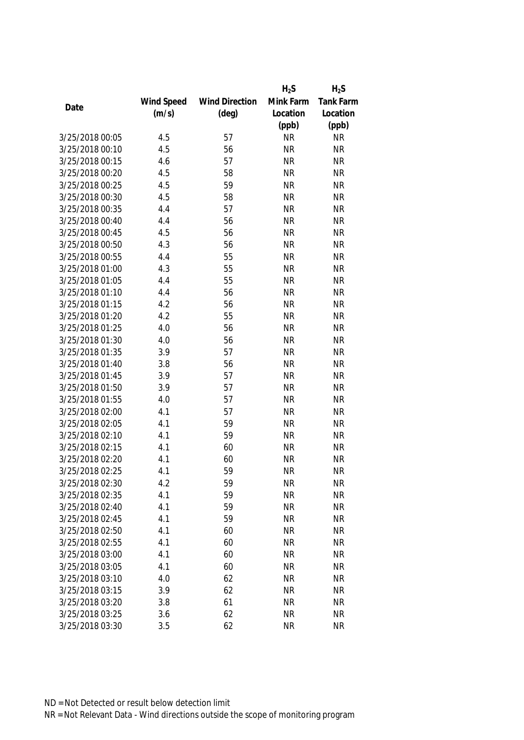|                 |            |                       | $H_2S$    | $H_2S$           |
|-----------------|------------|-----------------------|-----------|------------------|
|                 | Wind Speed | <b>Wind Direction</b> | Mink Farm | <b>Tank Farm</b> |
| Date            | (m/s)      | $(\text{deg})$        | Location  | Location         |
|                 |            |                       | (ppb)     | (ppb)            |
| 3/25/2018 00:05 | 4.5        | 57                    | <b>NR</b> | <b>NR</b>        |
| 3/25/2018 00:10 | 4.5        | 56                    | <b>NR</b> | <b>NR</b>        |
| 3/25/2018 00:15 | 4.6        | 57                    | <b>NR</b> | <b>NR</b>        |
| 3/25/2018 00:20 | 4.5        | 58                    | <b>NR</b> | <b>NR</b>        |
| 3/25/2018 00:25 | 4.5        | 59                    | <b>NR</b> | <b>NR</b>        |
| 3/25/2018 00:30 | 4.5        | 58                    | <b>NR</b> | <b>NR</b>        |
| 3/25/2018 00:35 | 4.4        | 57                    | <b>NR</b> | <b>NR</b>        |
| 3/25/2018 00:40 | 4.4        | 56                    | <b>NR</b> | <b>NR</b>        |
| 3/25/2018 00:45 | 4.5        | 56                    | <b>NR</b> | <b>NR</b>        |
| 3/25/2018 00:50 | 4.3        | 56                    | <b>NR</b> | <b>NR</b>        |
| 3/25/2018 00:55 | 4.4        | 55                    | <b>NR</b> | <b>NR</b>        |
| 3/25/2018 01:00 | 4.3        | 55                    | <b>NR</b> | <b>NR</b>        |
| 3/25/2018 01:05 | 4.4        | 55                    | <b>NR</b> | <b>NR</b>        |
| 3/25/2018 01:10 | 4.4        | 56                    | <b>NR</b> | <b>NR</b>        |
| 3/25/2018 01:15 | 4.2        | 56                    | <b>NR</b> | <b>NR</b>        |
| 3/25/2018 01:20 | 4.2        | 55                    | <b>NR</b> | <b>NR</b>        |
| 3/25/2018 01:25 | 4.0        | 56                    | <b>NR</b> | <b>NR</b>        |
| 3/25/2018 01:30 | 4.0        | 56                    | <b>NR</b> | <b>NR</b>        |
| 3/25/2018 01:35 | 3.9        | 57                    | <b>NR</b> | <b>NR</b>        |
| 3/25/2018 01:40 | 3.8        | 56                    | <b>NR</b> | <b>NR</b>        |
| 3/25/2018 01:45 | 3.9        | 57                    | <b>NR</b> | <b>NR</b>        |
| 3/25/2018 01:50 | 3.9        | 57                    | <b>NR</b> | <b>NR</b>        |
| 3/25/2018 01:55 | 4.0        | 57                    | <b>NR</b> | <b>NR</b>        |
| 3/25/2018 02:00 | 4.1        | 57                    | <b>NR</b> | <b>NR</b>        |
| 3/25/2018 02:05 | 4.1        | 59                    | <b>NR</b> | <b>NR</b>        |
| 3/25/2018 02:10 | 4.1        | 59                    | <b>NR</b> | <b>NR</b>        |
| 3/25/2018 02:15 | 4.1        | 60                    | <b>NR</b> | <b>NR</b>        |
| 3/25/2018 02:20 | 4.1        | 60                    | <b>NR</b> | <b>NR</b>        |
| 3/25/2018 02:25 | 4.1        | 59                    | <b>NR</b> | <b>NR</b>        |
| 3/25/2018 02:30 | 4.2        | 59                    | <b>NR</b> | <b>NR</b>        |
| 3/25/2018 02:35 | 4.1        | 59                    | <b>NR</b> | <b>NR</b>        |
| 3/25/2018 02:40 | 4.1        | 59                    | <b>NR</b> | <b>NR</b>        |
| 3/25/2018 02:45 | 4.1        | 59                    | <b>NR</b> | <b>NR</b>        |
| 3/25/2018 02:50 | 4.1        | 60                    | <b>NR</b> | <b>NR</b>        |
| 3/25/2018 02:55 | 4.1        | 60                    | <b>NR</b> | <b>NR</b>        |
| 3/25/2018 03:00 | 4.1        | 60                    | <b>NR</b> | <b>NR</b>        |
| 3/25/2018 03:05 | 4.1        | 60                    | <b>NR</b> | <b>NR</b>        |
| 3/25/2018 03:10 | 4.0        | 62                    | <b>NR</b> | <b>NR</b>        |
| 3/25/2018 03:15 | 3.9        | 62                    | <b>NR</b> | <b>NR</b>        |
| 3/25/2018 03:20 | 3.8        | 61                    | <b>NR</b> | <b>NR</b>        |
| 3/25/2018 03:25 | 3.6        | 62                    | <b>NR</b> | <b>NR</b>        |
| 3/25/2018 03:30 | 3.5        | 62                    | <b>NR</b> | <b>NR</b>        |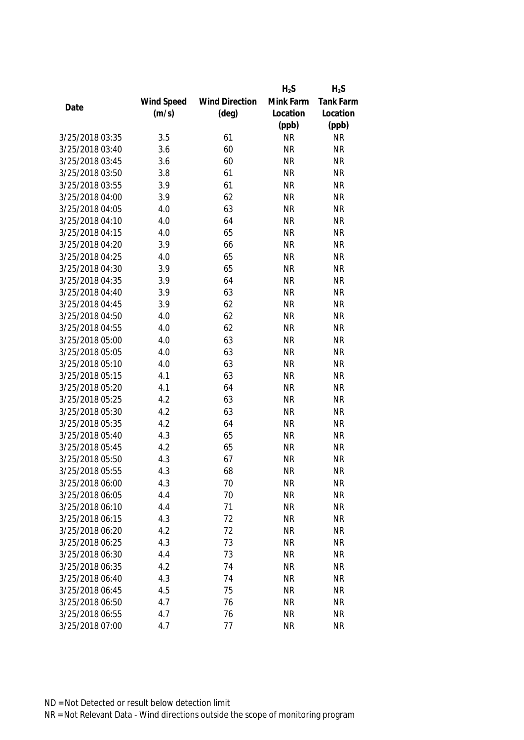|                 |            |                       | $H_2S$    | $H_2S$           |
|-----------------|------------|-----------------------|-----------|------------------|
|                 | Wind Speed | <b>Wind Direction</b> | Mink Farm | <b>Tank Farm</b> |
| Date            | (m/s)      | $(\text{deg})$        | Location  | Location         |
|                 |            |                       | (ppb)     | (ppb)            |
| 3/25/2018 03:35 | 3.5        | 61                    | <b>NR</b> | <b>NR</b>        |
| 3/25/2018 03:40 | 3.6        | 60                    | <b>NR</b> | <b>NR</b>        |
| 3/25/2018 03:45 | 3.6        | 60                    | <b>NR</b> | <b>NR</b>        |
| 3/25/2018 03:50 | 3.8        | 61                    | <b>NR</b> | <b>NR</b>        |
| 3/25/2018 03:55 | 3.9        | 61                    | <b>NR</b> | <b>NR</b>        |
| 3/25/2018 04:00 | 3.9        | 62                    | <b>NR</b> | <b>NR</b>        |
| 3/25/2018 04:05 | 4.0        | 63                    | <b>NR</b> | <b>NR</b>        |
| 3/25/2018 04:10 | 4.0        | 64                    | <b>NR</b> | <b>NR</b>        |
| 3/25/2018 04:15 | 4.0        | 65                    | <b>NR</b> | <b>NR</b>        |
| 3/25/2018 04:20 | 3.9        | 66                    | <b>NR</b> | <b>NR</b>        |
| 3/25/2018 04:25 | 4.0        | 65                    | <b>NR</b> | <b>NR</b>        |
| 3/25/2018 04:30 | 3.9        | 65                    | <b>NR</b> | <b>NR</b>        |
| 3/25/2018 04:35 | 3.9        | 64                    | <b>NR</b> | <b>NR</b>        |
| 3/25/2018 04:40 | 3.9        | 63                    | <b>NR</b> | <b>NR</b>        |
| 3/25/2018 04:45 | 3.9        | 62                    | <b>NR</b> | <b>NR</b>        |
| 3/25/2018 04:50 | 4.0        | 62                    | <b>NR</b> | <b>NR</b>        |
| 3/25/2018 04:55 | 4.0        | 62                    | <b>NR</b> | <b>NR</b>        |
| 3/25/2018 05:00 | 4.0        | 63                    | <b>NR</b> | <b>NR</b>        |
| 3/25/2018 05:05 | 4.0        | 63                    | <b>NR</b> | <b>NR</b>        |
| 3/25/2018 05:10 | 4.0        | 63                    | <b>NR</b> | <b>NR</b>        |
| 3/25/2018 05:15 | 4.1        | 63                    | <b>NR</b> | <b>NR</b>        |
| 3/25/2018 05:20 | 4.1        | 64                    | <b>NR</b> | <b>NR</b>        |
| 3/25/2018 05:25 | 4.2        | 63                    | <b>NR</b> | <b>NR</b>        |
| 3/25/2018 05:30 | 4.2        | 63                    | <b>NR</b> | <b>NR</b>        |
| 3/25/2018 05:35 | 4.2        | 64                    | <b>NR</b> | <b>NR</b>        |
| 3/25/2018 05:40 | 4.3        | 65                    | <b>NR</b> | <b>NR</b>        |
| 3/25/2018 05:45 | 4.2        | 65                    | <b>NR</b> | <b>NR</b>        |
| 3/25/2018 05:50 | 4.3        | 67                    | <b>NR</b> | <b>NR</b>        |
| 3/25/2018 05:55 | 4.3        | 68                    | <b>NR</b> | <b>NR</b>        |
| 3/25/2018 06:00 | 4.3        | 70                    | <b>NR</b> | <b>NR</b>        |
| 3/25/2018 06:05 | 4.4        | 70                    | <b>NR</b> | <b>NR</b>        |
| 3/25/2018 06:10 | 4.4        | 71                    | <b>NR</b> | <b>NR</b>        |
| 3/25/2018 06:15 | 4.3        | 72                    | <b>NR</b> | <b>NR</b>        |
| 3/25/2018 06:20 | 4.2        | 72                    | <b>NR</b> | <b>NR</b>        |
| 3/25/2018 06:25 | 4.3        | 73                    | <b>NR</b> | <b>NR</b>        |
| 3/25/2018 06:30 | 4.4        | 73                    | <b>NR</b> | <b>NR</b>        |
| 3/25/2018 06:35 | 4.2        | 74                    | <b>NR</b> | <b>NR</b>        |
| 3/25/2018 06:40 |            |                       |           |                  |
| 3/25/2018 06:45 | 4.3        | 74                    | <b>NR</b> | <b>NR</b>        |
|                 | 4.5        | 75                    | <b>NR</b> | <b>NR</b>        |
| 3/25/2018 06:50 | 4.7        | 76                    | <b>NR</b> | <b>NR</b>        |
| 3/25/2018 06:55 | 4.7        | 76                    | <b>NR</b> | <b>NR</b>        |
| 3/25/2018 07:00 | 4.7        | 77                    | <b>NR</b> | <b>NR</b>        |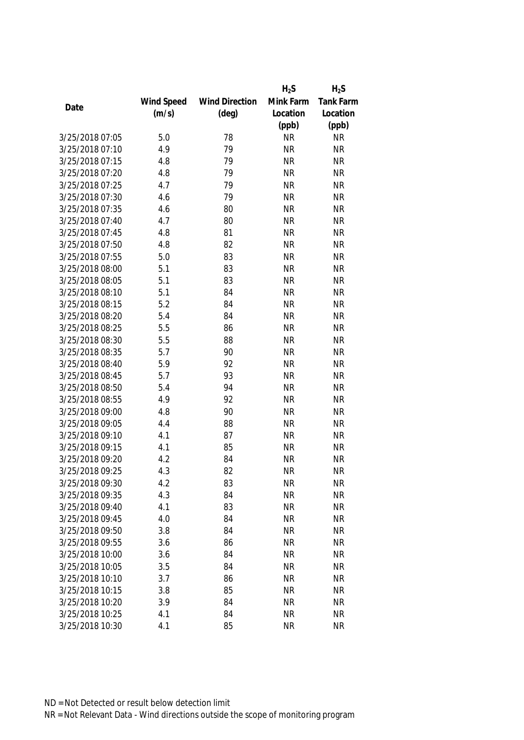|                 |            |                       | $H_2S$    | $H_2S$           |
|-----------------|------------|-----------------------|-----------|------------------|
|                 | Wind Speed | <b>Wind Direction</b> | Mink Farm | <b>Tank Farm</b> |
| Date            | (m/s)      | $(\text{deg})$        | Location  | Location         |
|                 |            |                       | (ppb)     | (ppb)            |
| 3/25/2018 07:05 | 5.0        | 78                    | <b>NR</b> | <b>NR</b>        |
| 3/25/2018 07:10 | 4.9        | 79                    | <b>NR</b> | <b>NR</b>        |
| 3/25/2018 07:15 | 4.8        | 79                    | <b>NR</b> | <b>NR</b>        |
| 3/25/2018 07:20 | 4.8        | 79                    | <b>NR</b> | <b>NR</b>        |
| 3/25/2018 07:25 | 4.7        | 79                    | <b>NR</b> | <b>NR</b>        |
| 3/25/2018 07:30 | 4.6        | 79                    | <b>NR</b> | <b>NR</b>        |
| 3/25/2018 07:35 | 4.6        | 80                    | <b>NR</b> | <b>NR</b>        |
| 3/25/2018 07:40 | 4.7        | 80                    | <b>NR</b> | <b>NR</b>        |
| 3/25/2018 07:45 | 4.8        | 81                    | <b>NR</b> | <b>NR</b>        |
| 3/25/2018 07:50 | 4.8        | 82                    | <b>NR</b> | <b>NR</b>        |
| 3/25/2018 07:55 | 5.0        | 83                    | <b>NR</b> | <b>NR</b>        |
| 3/25/2018 08:00 | 5.1        | 83                    | <b>NR</b> | <b>NR</b>        |
| 3/25/2018 08:05 | 5.1        | 83                    | <b>NR</b> | <b>NR</b>        |
| 3/25/2018 08:10 | 5.1        | 84                    | <b>NR</b> | <b>NR</b>        |
| 3/25/2018 08:15 | 5.2        | 84                    | <b>NR</b> | <b>NR</b>        |
| 3/25/2018 08:20 | 5.4        | 84                    | <b>NR</b> | <b>NR</b>        |
| 3/25/2018 08:25 | 5.5        | 86                    | <b>NR</b> | <b>NR</b>        |
| 3/25/2018 08:30 | 5.5        | 88                    | <b>NR</b> | <b>NR</b>        |
| 3/25/2018 08:35 | 5.7        | 90                    | <b>NR</b> | <b>NR</b>        |
| 3/25/2018 08:40 | 5.9        | 92                    | <b>NR</b> | <b>NR</b>        |
| 3/25/2018 08:45 | 5.7        | 93                    | <b>NR</b> | <b>NR</b>        |
| 3/25/2018 08:50 | 5.4        | 94                    | <b>NR</b> | <b>NR</b>        |
| 3/25/2018 08:55 | 4.9        | 92                    | <b>NR</b> | <b>NR</b>        |
| 3/25/2018 09:00 | 4.8        | 90                    | <b>NR</b> | <b>NR</b>        |
| 3/25/2018 09:05 | 4.4        | 88                    | <b>NR</b> | <b>NR</b>        |
| 3/25/2018 09:10 | 4.1        | 87                    | <b>NR</b> | <b>NR</b>        |
| 3/25/2018 09:15 | 4.1        | 85                    | <b>NR</b> | <b>NR</b>        |
| 3/25/2018 09:20 | 4.2        | 84                    | <b>NR</b> | <b>NR</b>        |
| 3/25/2018 09:25 | 4.3        | 82                    | <b>NR</b> | <b>NR</b>        |
| 3/25/2018 09:30 | 4.2        | 83                    | <b>NR</b> | <b>NR</b>        |
| 3/25/2018 09:35 | 4.3        | 84                    | <b>NR</b> | <b>NR</b>        |
| 3/25/2018 09:40 | 4.1        | 83                    | <b>NR</b> | <b>NR</b>        |
| 3/25/2018 09:45 | 4.0        | 84                    | <b>NR</b> | <b>NR</b>        |
| 3/25/2018 09:50 | 3.8        | 84                    | <b>NR</b> | <b>NR</b>        |
| 3/25/2018 09:55 | 3.6        | 86                    | <b>NR</b> | <b>NR</b>        |
| 3/25/2018 10:00 | 3.6        | 84                    | <b>NR</b> | <b>NR</b>        |
| 3/25/2018 10:05 | 3.5        | 84                    | <b>NR</b> | <b>NR</b>        |
| 3/25/2018 10:10 | 3.7        | 86                    | <b>NR</b> | <b>NR</b>        |
| 3/25/2018 10:15 | 3.8        | 85                    | <b>NR</b> | <b>NR</b>        |
| 3/25/2018 10:20 | 3.9        | 84                    | <b>NR</b> | <b>NR</b>        |
| 3/25/2018 10:25 | 4.1        | 84                    | <b>NR</b> | <b>NR</b>        |
| 3/25/2018 10:30 | 4.1        | 85                    | <b>NR</b> | <b>NR</b>        |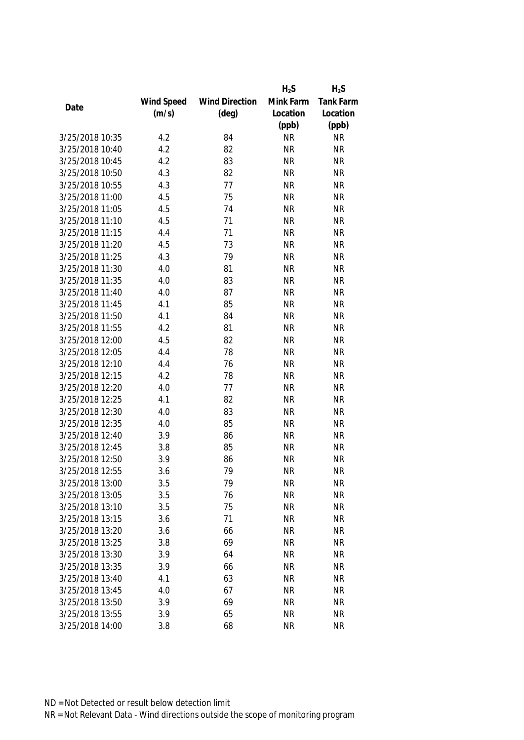|                 |            |                       | $H_2S$    | $H_2S$           |
|-----------------|------------|-----------------------|-----------|------------------|
|                 | Wind Speed | <b>Wind Direction</b> | Mink Farm | <b>Tank Farm</b> |
| Date            | (m/s)      | $(\text{deg})$        | Location  | Location         |
|                 |            |                       | (ppb)     | (ppb)            |
| 3/25/2018 10:35 | 4.2        | 84                    | <b>NR</b> | <b>NR</b>        |
| 3/25/2018 10:40 | 4.2        | 82                    | <b>NR</b> | <b>NR</b>        |
| 3/25/2018 10:45 | 4.2        | 83                    | <b>NR</b> | <b>NR</b>        |
| 3/25/2018 10:50 | 4.3        | 82                    | <b>NR</b> | <b>NR</b>        |
| 3/25/2018 10:55 | 4.3        | 77                    | <b>NR</b> | <b>NR</b>        |
| 3/25/2018 11:00 | 4.5        | 75                    | <b>NR</b> | <b>NR</b>        |
| 3/25/2018 11:05 | 4.5        | 74                    | <b>NR</b> | <b>NR</b>        |
| 3/25/2018 11:10 | 4.5        | 71                    | <b>NR</b> | <b>NR</b>        |
| 3/25/2018 11:15 | 4.4        | 71                    | <b>NR</b> | <b>NR</b>        |
| 3/25/2018 11:20 | 4.5        | 73                    | <b>NR</b> | <b>NR</b>        |
| 3/25/2018 11:25 | 4.3        | 79                    | <b>NR</b> | <b>NR</b>        |
| 3/25/2018 11:30 | 4.0        | 81                    | <b>NR</b> | <b>NR</b>        |
| 3/25/2018 11:35 | 4.0        | 83                    | <b>NR</b> | <b>NR</b>        |
| 3/25/2018 11:40 | 4.0        | 87                    | <b>NR</b> | <b>NR</b>        |
| 3/25/2018 11:45 | 4.1        | 85                    | <b>NR</b> | <b>NR</b>        |
| 3/25/2018 11:50 | 4.1        | 84                    | <b>NR</b> | <b>NR</b>        |
| 3/25/2018 11:55 | 4.2        | 81                    | <b>NR</b> | <b>NR</b>        |
| 3/25/2018 12:00 | 4.5        | 82                    | <b>NR</b> | <b>NR</b>        |
| 3/25/2018 12:05 | 4.4        | 78                    | <b>NR</b> | <b>NR</b>        |
| 3/25/2018 12:10 | 4.4        | 76                    | <b>NR</b> | <b>NR</b>        |
| 3/25/2018 12:15 | 4.2        | 78                    | <b>NR</b> | <b>NR</b>        |
| 3/25/2018 12:20 | 4.0        | 77                    | <b>NR</b> | <b>NR</b>        |
| 3/25/2018 12:25 | 4.1        | 82                    | <b>NR</b> | <b>NR</b>        |
| 3/25/2018 12:30 | 4.0        | 83                    | <b>NR</b> | <b>NR</b>        |
| 3/25/2018 12:35 | 4.0        | 85                    | <b>NR</b> | <b>NR</b>        |
| 3/25/2018 12:40 | 3.9        | 86                    | <b>NR</b> | <b>NR</b>        |
| 3/25/2018 12:45 | 3.8        | 85                    | <b>NR</b> | <b>NR</b>        |
| 3/25/2018 12:50 | 3.9        | 86                    | <b>NR</b> | <b>NR</b>        |
| 3/25/2018 12:55 | 3.6        | 79                    | <b>NR</b> | <b>NR</b>        |
| 3/25/2018 13:00 | 3.5        | 79                    | <b>NR</b> | <b>NR</b>        |
| 3/25/2018 13:05 | 3.5        | 76                    | <b>NR</b> | <b>NR</b>        |
| 3/25/2018 13:10 | 3.5        | 75                    | <b>NR</b> | <b>NR</b>        |
| 3/25/2018 13:15 | 3.6        | 71                    | <b>NR</b> | <b>NR</b>        |
| 3/25/2018 13:20 | 3.6        | 66                    | <b>NR</b> | <b>NR</b>        |
| 3/25/2018 13:25 | 3.8        | 69                    | <b>NR</b> | <b>NR</b>        |
| 3/25/2018 13:30 | 3.9        | 64                    | <b>NR</b> | <b>NR</b>        |
| 3/25/2018 13:35 | 3.9        | 66                    | <b>NR</b> | <b>NR</b>        |
| 3/25/2018 13:40 | 4.1        | 63                    | <b>NR</b> | <b>NR</b>        |
| 3/25/2018 13:45 | 4.0        | 67                    | <b>NR</b> | <b>NR</b>        |
| 3/25/2018 13:50 | 3.9        | 69                    | <b>NR</b> | <b>NR</b>        |
| 3/25/2018 13:55 | 3.9        | 65                    | <b>NR</b> | <b>NR</b>        |
| 3/25/2018 14:00 | 3.8        | 68                    | <b>NR</b> | <b>NR</b>        |
|                 |            |                       |           |                  |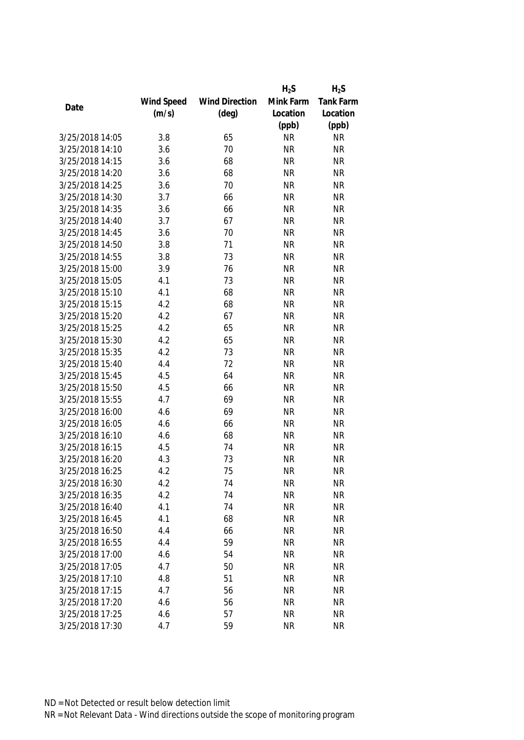|                 |            |                       | $H_2S$                 | $H_2S$                 |
|-----------------|------------|-----------------------|------------------------|------------------------|
|                 | Wind Speed | <b>Wind Direction</b> | Mink Farm              | <b>Tank Farm</b>       |
| Date            | (m/s)      | $(\text{deg})$        | Location               | Location               |
|                 |            |                       | (ppb)                  | (ppb)                  |
| 3/25/2018 14:05 | 3.8        | 65                    | <b>NR</b>              | <b>NR</b>              |
| 3/25/2018 14:10 | 3.6        | 70                    | <b>NR</b>              | <b>NR</b>              |
| 3/25/2018 14:15 | 3.6        | 68                    | <b>NR</b>              | <b>NR</b>              |
| 3/25/2018 14:20 | 3.6        | 68                    | <b>NR</b>              | <b>NR</b>              |
| 3/25/2018 14:25 | 3.6        | 70                    | <b>NR</b>              | <b>NR</b>              |
| 3/25/2018 14:30 | 3.7        | 66                    | <b>NR</b>              | <b>NR</b>              |
| 3/25/2018 14:35 | 3.6        | 66                    | <b>NR</b>              | <b>NR</b>              |
| 3/25/2018 14:40 | 3.7        | 67                    | <b>NR</b>              | <b>NR</b>              |
| 3/25/2018 14:45 | 3.6        | 70                    | <b>NR</b>              | <b>NR</b>              |
| 3/25/2018 14:50 | 3.8        | 71                    | <b>NR</b>              | <b>NR</b>              |
| 3/25/2018 14:55 | 3.8        | 73                    | <b>NR</b>              | <b>NR</b>              |
| 3/25/2018 15:00 | 3.9        | 76                    | <b>NR</b>              | <b>NR</b>              |
| 3/25/2018 15:05 | 4.1        | 73                    | <b>NR</b>              | <b>NR</b>              |
| 3/25/2018 15:10 | 4.1        | 68                    | <b>NR</b>              | <b>NR</b>              |
| 3/25/2018 15:15 | 4.2        | 68                    | <b>NR</b>              | <b>NR</b>              |
| 3/25/2018 15:20 | 4.2        | 67                    | <b>NR</b>              | <b>NR</b>              |
| 3/25/2018 15:25 | 4.2        | 65                    | <b>NR</b>              | <b>NR</b>              |
| 3/25/2018 15:30 | 4.2        | 65                    | <b>NR</b>              | <b>NR</b>              |
| 3/25/2018 15:35 | 4.2        | 73                    | <b>NR</b>              | <b>NR</b>              |
| 3/25/2018 15:40 | 4.4        | 72                    | <b>NR</b>              | <b>NR</b>              |
| 3/25/2018 15:45 | 4.5        | 64                    | <b>NR</b>              | <b>NR</b>              |
| 3/25/2018 15:50 | 4.5        | 66                    | <b>NR</b>              | <b>NR</b>              |
| 3/25/2018 15:55 | 4.7        | 69                    | <b>NR</b>              | <b>NR</b>              |
| 3/25/2018 16:00 | 4.6        | 69                    | <b>NR</b>              | <b>NR</b>              |
| 3/25/2018 16:05 | 4.6        | 66                    | <b>NR</b>              | <b>NR</b>              |
| 3/25/2018 16:10 | 4.6        | 68                    | <b>NR</b>              | <b>NR</b>              |
| 3/25/2018 16:15 | 4.5        | 74                    | <b>NR</b>              | <b>NR</b>              |
| 3/25/2018 16:20 | 4.3        | 73                    | <b>NR</b>              | <b>NR</b>              |
| 3/25/2018 16:25 | 4.2        | 75                    | <b>NR</b>              | <b>NR</b>              |
| 3/25/2018 16:30 | 4.2        | 74                    | <b>NR</b>              | <b>NR</b>              |
| 3/25/2018 16:35 |            | 74                    | <b>NR</b>              | <b>NR</b>              |
|                 | 4.2        | 74                    |                        |                        |
| 3/25/2018 16:40 | 4.1        |                       | <b>NR</b><br><b>NR</b> | <b>NR</b><br><b>NR</b> |
| 3/25/2018 16:45 | 4.1        | 68                    |                        |                        |
| 3/25/2018 16:50 | 4.4        | 66                    | <b>NR</b>              | <b>NR</b>              |
| 3/25/2018 16:55 | 4.4        | 59                    | <b>NR</b>              | <b>NR</b>              |
| 3/25/2018 17:00 | 4.6        | 54                    | <b>NR</b>              | <b>NR</b>              |
| 3/25/2018 17:05 | 4.7        | 50                    | <b>NR</b>              | <b>NR</b>              |
| 3/25/2018 17:10 | 4.8        | 51                    | <b>NR</b>              | <b>NR</b>              |
| 3/25/2018 17:15 | 4.7        | 56                    | <b>NR</b>              | <b>NR</b>              |
| 3/25/2018 17:20 | 4.6        | 56                    | <b>NR</b>              | <b>NR</b>              |
| 3/25/2018 17:25 | 4.6        | 57                    | <b>NR</b>              | <b>NR</b>              |
| 3/25/2018 17:30 | 4.7        | 59                    | <b>NR</b>              | <b>NR</b>              |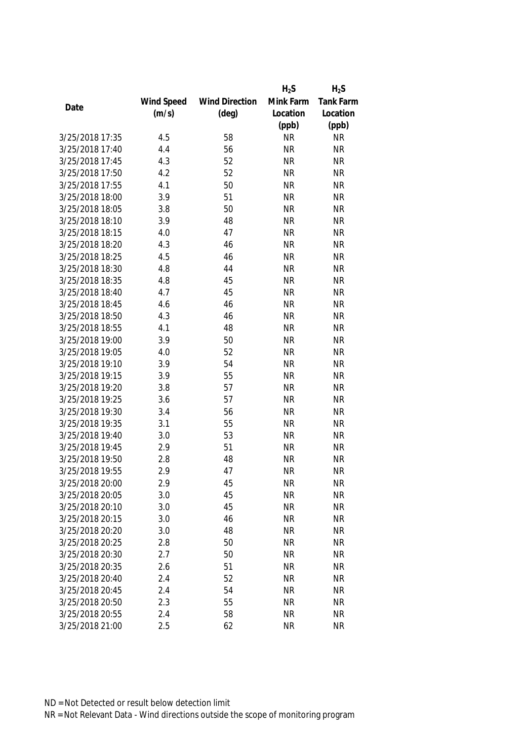|                 |            |                       | $H_2S$    | $H_2S$           |
|-----------------|------------|-----------------------|-----------|------------------|
|                 | Wind Speed | <b>Wind Direction</b> | Mink Farm | <b>Tank Farm</b> |
| Date            | (m/s)      | $(\text{deg})$        | Location  | Location         |
|                 |            |                       | (ppb)     | (ppb)            |
| 3/25/2018 17:35 | 4.5        | 58                    | <b>NR</b> | <b>NR</b>        |
| 3/25/2018 17:40 | 4.4        | 56                    | <b>NR</b> | <b>NR</b>        |
| 3/25/2018 17:45 | 4.3        | 52                    | <b>NR</b> | <b>NR</b>        |
| 3/25/2018 17:50 | 4.2        | 52                    | <b>NR</b> | <b>NR</b>        |
| 3/25/2018 17:55 | 4.1        | 50                    | <b>NR</b> | <b>NR</b>        |
| 3/25/2018 18:00 | 3.9        | 51                    | <b>NR</b> | <b>NR</b>        |
| 3/25/2018 18:05 | 3.8        | 50                    | <b>NR</b> | <b>NR</b>        |
| 3/25/2018 18:10 | 3.9        | 48                    | <b>NR</b> | <b>NR</b>        |
| 3/25/2018 18:15 | 4.0        | 47                    | <b>NR</b> | <b>NR</b>        |
| 3/25/2018 18:20 | 4.3        | 46                    | <b>NR</b> | <b>NR</b>        |
| 3/25/2018 18:25 | 4.5        | 46                    | <b>NR</b> | <b>NR</b>        |
| 3/25/2018 18:30 | 4.8        | 44                    | <b>NR</b> | <b>NR</b>        |
| 3/25/2018 18:35 | 4.8        | 45                    | <b>NR</b> | <b>NR</b>        |
| 3/25/2018 18:40 | 4.7        | 45                    | <b>NR</b> | <b>NR</b>        |
| 3/25/2018 18:45 | 4.6        | 46                    | <b>NR</b> | <b>NR</b>        |
| 3/25/2018 18:50 | 4.3        | 46                    | <b>NR</b> | <b>NR</b>        |
| 3/25/2018 18:55 | 4.1        | 48                    | <b>NR</b> | <b>NR</b>        |
| 3/25/2018 19:00 | 3.9        | 50                    | <b>NR</b> | <b>NR</b>        |
| 3/25/2018 19:05 | 4.0        | 52                    | <b>NR</b> | <b>NR</b>        |
| 3/25/2018 19:10 | 3.9        | 54                    | <b>NR</b> | <b>NR</b>        |
| 3/25/2018 19:15 | 3.9        | 55                    | <b>NR</b> | <b>NR</b>        |
| 3/25/2018 19:20 | 3.8        | 57                    | <b>NR</b> | <b>NR</b>        |
| 3/25/2018 19:25 | 3.6        | 57                    | <b>NR</b> | <b>NR</b>        |
| 3/25/2018 19:30 | 3.4        | 56                    | <b>NR</b> | <b>NR</b>        |
| 3/25/2018 19:35 | 3.1        | 55                    | <b>NR</b> | <b>NR</b>        |
| 3/25/2018 19:40 | 3.0        | 53                    | <b>NR</b> | <b>NR</b>        |
| 3/25/2018 19:45 | 2.9        | 51                    | <b>NR</b> | <b>NR</b>        |
| 3/25/2018 19:50 | 2.8        | 48                    | <b>NR</b> | <b>NR</b>        |
| 3/25/2018 19:55 | 2.9        | 47                    | <b>NR</b> | <b>NR</b>        |
| 3/25/2018 20:00 | 2.9        | 45                    | <b>NR</b> | <b>NR</b>        |
| 3/25/2018 20:05 | 3.0        | 45                    | <b>NR</b> | <b>NR</b>        |
| 3/25/2018 20:10 | 3.0        | 45                    | <b>NR</b> | <b>NR</b>        |
| 3/25/2018 20:15 | 3.0        | 46                    | <b>NR</b> | <b>NR</b>        |
| 3/25/2018 20:20 | 3.0        | 48                    | <b>NR</b> | <b>NR</b>        |
| 3/25/2018 20:25 | 2.8        | 50                    | <b>NR</b> | <b>NR</b>        |
| 3/25/2018 20:30 | 2.7        | 50                    | <b>NR</b> | <b>NR</b>        |
| 3/25/2018 20:35 | 2.6        | 51                    | <b>NR</b> | <b>NR</b>        |
| 3/25/2018 20:40 | 2.4        | 52                    | <b>NR</b> | <b>NR</b>        |
| 3/25/2018 20:45 | 2.4        | 54                    | <b>NR</b> | <b>NR</b>        |
| 3/25/2018 20:50 | 2.3        | 55                    | <b>NR</b> | <b>NR</b>        |
| 3/25/2018 20:55 | 2.4        | 58                    | <b>NR</b> | <b>NR</b>        |
| 3/25/2018 21:00 | 2.5        | 62                    | <b>NR</b> | <b>NR</b>        |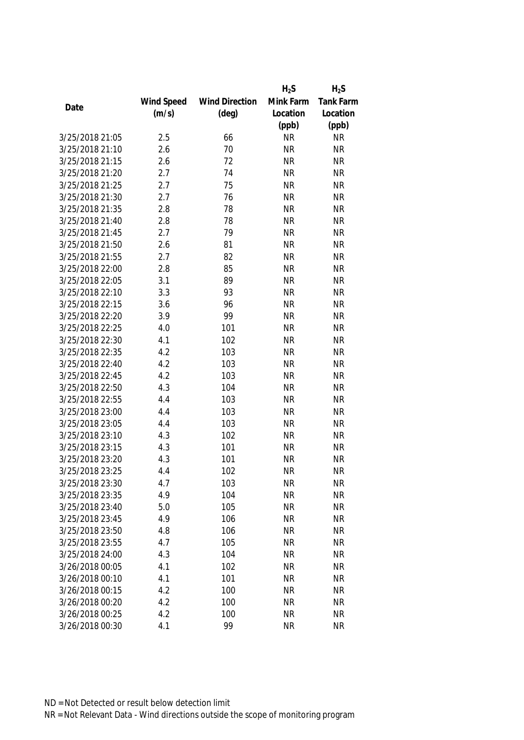|                 |            |                       | $H_2S$    | $H_2S$    |
|-----------------|------------|-----------------------|-----------|-----------|
|                 | Wind Speed | <b>Wind Direction</b> | Mink Farm | Tank Farm |
| Date            | (m/s)      | $(\text{deg})$        | Location  | Location  |
|                 |            |                       | (ppb)     | (ppb)     |
| 3/25/2018 21:05 | 2.5        | 66                    | <b>NR</b> | <b>NR</b> |
| 3/25/2018 21:10 | 2.6        | 70                    | <b>NR</b> | <b>NR</b> |
| 3/25/2018 21:15 | 2.6        | 72                    | <b>NR</b> | <b>NR</b> |
| 3/25/2018 21:20 | 2.7        | 74                    | <b>NR</b> | <b>NR</b> |
| 3/25/2018 21:25 | 2.7        | 75                    | <b>NR</b> | <b>NR</b> |
| 3/25/2018 21:30 | 2.7        | 76                    | <b>NR</b> | <b>NR</b> |
| 3/25/2018 21:35 | 2.8        | 78                    | <b>NR</b> | <b>NR</b> |
| 3/25/2018 21:40 | 2.8        | 78                    | <b>NR</b> | <b>NR</b> |
| 3/25/2018 21:45 | 2.7        | 79                    | <b>NR</b> | <b>NR</b> |
| 3/25/2018 21:50 | 2.6        | 81                    | <b>NR</b> | <b>NR</b> |
| 3/25/2018 21:55 | 2.7        | 82                    | <b>NR</b> | <b>NR</b> |
| 3/25/2018 22:00 | 2.8        | 85                    | <b>NR</b> | <b>NR</b> |
| 3/25/2018 22:05 | 3.1        | 89                    | <b>NR</b> | <b>NR</b> |
| 3/25/2018 22:10 | 3.3        | 93                    | <b>NR</b> | <b>NR</b> |
| 3/25/2018 22:15 | 3.6        | 96                    | <b>NR</b> | <b>NR</b> |
| 3/25/2018 22:20 | 3.9        | 99                    | <b>NR</b> | <b>NR</b> |
| 3/25/2018 22:25 | 4.0        | 101                   | <b>NR</b> | <b>NR</b> |
| 3/25/2018 22:30 | 4.1        | 102                   | <b>NR</b> | <b>NR</b> |
| 3/25/2018 22:35 | 4.2        | 103                   | <b>NR</b> | <b>NR</b> |
| 3/25/2018 22:40 | 4.2        | 103                   | <b>NR</b> | <b>NR</b> |
| 3/25/2018 22:45 | 4.2        | 103                   | <b>NR</b> | <b>NR</b> |
| 3/25/2018 22:50 | 4.3        | 104                   | <b>NR</b> | <b>NR</b> |
| 3/25/2018 22:55 | 4.4        | 103                   | <b>NR</b> | <b>NR</b> |
| 3/25/2018 23:00 | 4.4        | 103                   | <b>NR</b> | <b>NR</b> |
| 3/25/2018 23:05 | 4.4        | 103                   | <b>NR</b> | <b>NR</b> |
| 3/25/2018 23:10 | 4.3        | 102                   | <b>NR</b> | <b>NR</b> |
| 3/25/2018 23:15 | 4.3        | 101                   | <b>NR</b> | <b>NR</b> |
| 3/25/2018 23:20 | 4.3        | 101                   | <b>NR</b> | <b>NR</b> |
| 3/25/2018 23:25 | 4.4        | 102                   | <b>NR</b> | <b>NR</b> |
| 3/25/2018 23:30 | 4.7        | 103                   | <b>NR</b> | <b>NR</b> |
| 3/25/2018 23:35 | 4.9        | 104                   | <b>NR</b> | <b>NR</b> |
| 3/25/2018 23:40 | 5.0        | 105                   | <b>NR</b> | <b>NR</b> |
| 3/25/2018 23:45 | 4.9        | 106                   | <b>NR</b> | <b>NR</b> |
| 3/25/2018 23:50 | 4.8        | 106                   | <b>NR</b> | <b>NR</b> |
| 3/25/2018 23:55 | 4.7        | 105                   | <b>NR</b> | <b>NR</b> |
| 3/25/2018 24:00 | 4.3        | 104                   | <b>NR</b> | <b>NR</b> |
| 3/26/2018 00:05 | 4.1        | 102                   | <b>NR</b> | <b>NR</b> |
| 3/26/2018 00:10 | 4.1        | 101                   | <b>NR</b> | <b>NR</b> |
| 3/26/2018 00:15 | 4.2        | 100                   | <b>NR</b> | <b>NR</b> |
| 3/26/2018 00:20 | 4.2        | 100                   | <b>NR</b> | <b>NR</b> |
| 3/26/2018 00:25 | 4.2        | 100                   | <b>NR</b> | <b>NR</b> |
| 3/26/2018 00:30 | 4.1        | 99                    | <b>NR</b> | <b>NR</b> |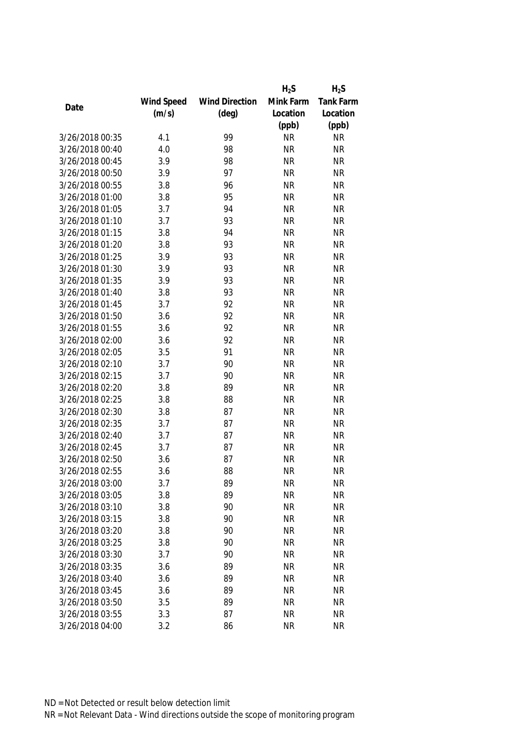|                 |            |                       | $H_2S$    | $H_2S$           |
|-----------------|------------|-----------------------|-----------|------------------|
|                 | Wind Speed | <b>Wind Direction</b> | Mink Farm | <b>Tank Farm</b> |
| Date            | (m/s)      | $(\text{deg})$        | Location  | Location         |
|                 |            |                       | (ppb)     | (ppb)            |
| 3/26/2018 00:35 | 4.1        | 99                    | <b>NR</b> | <b>NR</b>        |
| 3/26/2018 00:40 | 4.0        | 98                    | <b>NR</b> | <b>NR</b>        |
| 3/26/2018 00:45 | 3.9        | 98                    | <b>NR</b> | <b>NR</b>        |
| 3/26/2018 00:50 | 3.9        | 97                    | <b>NR</b> | <b>NR</b>        |
| 3/26/2018 00:55 | 3.8        | 96                    | <b>NR</b> | <b>NR</b>        |
| 3/26/2018 01:00 | 3.8        | 95                    | <b>NR</b> | <b>NR</b>        |
| 3/26/2018 01:05 | 3.7        | 94                    | <b>NR</b> | <b>NR</b>        |
| 3/26/2018 01:10 | 3.7        | 93                    | <b>NR</b> | <b>NR</b>        |
| 3/26/2018 01:15 | 3.8        | 94                    | <b>NR</b> | <b>NR</b>        |
| 3/26/2018 01:20 | 3.8        | 93                    | <b>NR</b> | <b>NR</b>        |
| 3/26/2018 01:25 | 3.9        | 93                    | <b>NR</b> | <b>NR</b>        |
| 3/26/2018 01:30 | 3.9        | 93                    | <b>NR</b> | <b>NR</b>        |
| 3/26/2018 01:35 | 3.9        | 93                    | <b>NR</b> | <b>NR</b>        |
| 3/26/2018 01:40 | 3.8        | 93                    | <b>NR</b> | <b>NR</b>        |
| 3/26/2018 01:45 | 3.7        | 92                    | <b>NR</b> | <b>NR</b>        |
| 3/26/2018 01:50 | 3.6        | 92                    | <b>NR</b> | <b>NR</b>        |
| 3/26/2018 01:55 | 3.6        | 92                    | <b>NR</b> | <b>NR</b>        |
| 3/26/2018 02:00 | 3.6        | 92                    | <b>NR</b> | <b>NR</b>        |
| 3/26/2018 02:05 | 3.5        | 91                    | <b>NR</b> | <b>NR</b>        |
| 3/26/2018 02:10 | 3.7        | 90                    | <b>NR</b> | <b>NR</b>        |
| 3/26/2018 02:15 | 3.7        | 90                    | <b>NR</b> | <b>NR</b>        |
| 3/26/2018 02:20 | 3.8        | 89                    | <b>NR</b> | <b>NR</b>        |
| 3/26/2018 02:25 | 3.8        | 88                    | <b>NR</b> | <b>NR</b>        |
| 3/26/2018 02:30 | 3.8        | 87                    | <b>NR</b> | <b>NR</b>        |
| 3/26/2018 02:35 | 3.7        | 87                    | <b>NR</b> | <b>NR</b>        |
| 3/26/2018 02:40 | 3.7        | 87                    | <b>NR</b> | <b>NR</b>        |
| 3/26/2018 02:45 | 3.7        | 87                    | <b>NR</b> | <b>NR</b>        |
| 3/26/2018 02:50 | 3.6        | 87                    | <b>NR</b> | <b>NR</b>        |
| 3/26/2018 02:55 | 3.6        | 88                    | <b>NR</b> | <b>NR</b>        |
| 3/26/2018 03:00 | 3.7        | 89                    | <b>NR</b> | <b>NR</b>        |
| 3/26/2018 03:05 | 3.8        | 89                    | <b>NR</b> | <b>NR</b>        |
| 3/26/2018 03:10 | 3.8        | 90                    | <b>NR</b> | <b>NR</b>        |
| 3/26/2018 03:15 | 3.8        | 90                    | <b>NR</b> | <b>NR</b>        |
| 3/26/2018 03:20 | 3.8        | 90                    | <b>NR</b> | <b>NR</b>        |
| 3/26/2018 03:25 | 3.8        | 90                    | <b>NR</b> | <b>NR</b>        |
| 3/26/2018 03:30 | 3.7        | 90                    | <b>NR</b> | <b>NR</b>        |
| 3/26/2018 03:35 | 3.6        | 89                    | <b>NR</b> | <b>NR</b>        |
| 3/26/2018 03:40 | 3.6        | 89                    | <b>NR</b> | <b>NR</b>        |
| 3/26/2018 03:45 | 3.6        | 89                    | <b>NR</b> | <b>NR</b>        |
| 3/26/2018 03:50 | 3.5        | 89                    | <b>NR</b> | <b>NR</b>        |
| 3/26/2018 03:55 | 3.3        | 87                    | <b>NR</b> | <b>NR</b>        |
| 3/26/2018 04:00 | 3.2        | 86                    | <b>NR</b> | <b>NR</b>        |
|                 |            |                       |           |                  |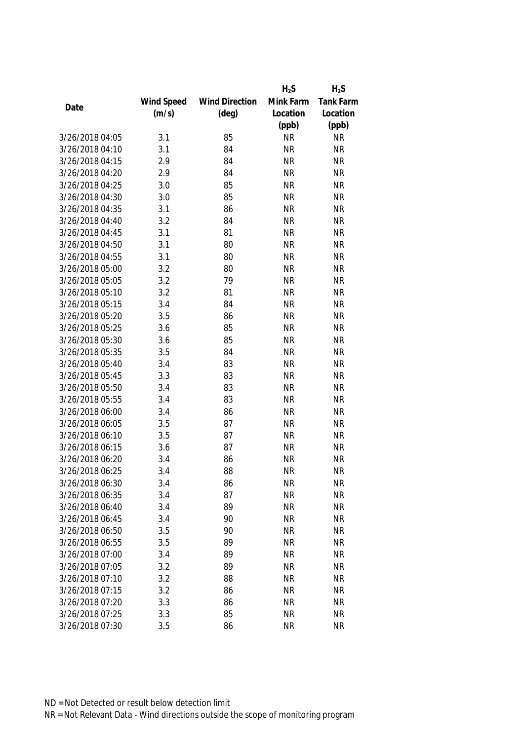|                 |            |                       | $H_2S$    | $H_2S$           |
|-----------------|------------|-----------------------|-----------|------------------|
|                 | Wind Speed | <b>Wind Direction</b> | Mink Farm | <b>Tank Farm</b> |
| Date            | (m/s)      | $(\text{deg})$        | Location  | Location         |
|                 |            |                       | (ppb)     | (ppb)            |
| 3/26/2018 04:05 | 3.1        | 85                    | <b>NR</b> | <b>NR</b>        |
| 3/26/2018 04:10 | 3.1        | 84                    | <b>NR</b> | <b>NR</b>        |
| 3/26/2018 04:15 | 2.9        | 84                    | <b>NR</b> | <b>NR</b>        |
| 3/26/2018 04:20 | 2.9        | 84                    | <b>NR</b> | <b>NR</b>        |
| 3/26/2018 04:25 | 3.0        | 85                    | <b>NR</b> | <b>NR</b>        |
| 3/26/2018 04:30 | 3.0        | 85                    | <b>NR</b> | <b>NR</b>        |
| 3/26/2018 04:35 | 3.1        | 86                    | <b>NR</b> | <b>NR</b>        |
| 3/26/2018 04:40 | 3.2        | 84                    | <b>NR</b> | <b>NR</b>        |
| 3/26/2018 04:45 | 3.1        | 81                    | <b>NR</b> | <b>NR</b>        |
| 3/26/2018 04:50 | 3.1        | 80                    | <b>NR</b> | <b>NR</b>        |
| 3/26/2018 04:55 | 3.1        | 80                    | <b>NR</b> | <b>NR</b>        |
| 3/26/2018 05:00 | 3.2        | 80                    | <b>NR</b> | <b>NR</b>        |
| 3/26/2018 05:05 | 3.2        | 79                    | <b>NR</b> | <b>NR</b>        |
| 3/26/2018 05:10 | 3.2        | 81                    | <b>NR</b> | <b>NR</b>        |
| 3/26/2018 05:15 | 3.4        | 84                    | <b>NR</b> | <b>NR</b>        |
| 3/26/2018 05:20 | 3.5        | 86                    | <b>NR</b> | <b>NR</b>        |
| 3/26/2018 05:25 | 3.6        | 85                    | <b>NR</b> | <b>NR</b>        |
| 3/26/2018 05:30 | 3.6        | 85                    | <b>NR</b> | <b>NR</b>        |
| 3/26/2018 05:35 | 3.5        | 84                    | <b>NR</b> | <b>NR</b>        |
| 3/26/2018 05:40 | 3.4        | 83                    | <b>NR</b> | <b>NR</b>        |
| 3/26/2018 05:45 | 3.3        | 83                    | <b>NR</b> | <b>NR</b>        |
| 3/26/2018 05:50 | 3.4        | 83                    | <b>NR</b> | <b>NR</b>        |
| 3/26/2018 05:55 | 3.4        | 83                    | <b>NR</b> | <b>NR</b>        |
| 3/26/2018 06:00 | 3.4        | 86                    | <b>NR</b> | <b>NR</b>        |
| 3/26/2018 06:05 | 3.5        | 87                    | <b>NR</b> | <b>NR</b>        |
| 3/26/2018 06:10 | 3.5        | 87                    | <b>NR</b> | <b>NR</b>        |
| 3/26/2018 06:15 | 3.6        | 87                    | <b>NR</b> | <b>NR</b>        |
| 3/26/2018 06:20 | 3.4        | 86                    | <b>NR</b> | <b>NR</b>        |
| 3/26/2018 06:25 | 3.4        | 88                    | <b>NR</b> | <b>NR</b>        |
| 3/26/2018 06:30 | 3.4        | 86                    | <b>NR</b> | <b>NR</b>        |
| 3/26/2018 06:35 | 3.4        | 87                    | <b>NR</b> | <b>NR</b>        |
| 3/26/2018 06:40 | 3.4        | 89                    | <b>NR</b> | <b>NR</b>        |
| 3/26/2018 06:45 | 3.4        | 90                    | <b>NR</b> | <b>NR</b>        |
| 3/26/2018 06:50 | 3.5        | 90                    | <b>NR</b> | <b>NR</b>        |
| 3/26/2018 06:55 | 3.5        | 89                    | <b>NR</b> | <b>NR</b>        |
| 3/26/2018 07:00 | 3.4        | 89                    | <b>NR</b> | <b>NR</b>        |
| 3/26/2018 07:05 | 3.2        | 89                    | <b>NR</b> | <b>NR</b>        |
| 3/26/2018 07:10 | 3.2        | 88                    | <b>NR</b> | <b>NR</b>        |
| 3/26/2018 07:15 | 3.2        | 86                    | <b>NR</b> | <b>NR</b>        |
| 3/26/2018 07:20 | 3.3        | 86                    | <b>NR</b> | <b>NR</b>        |
| 3/26/2018 07:25 | 3.3        | 85                    | <b>NR</b> | <b>NR</b>        |
| 3/26/2018 07:30 | 3.5        | 86                    | <b>NR</b> | <b>NR</b>        |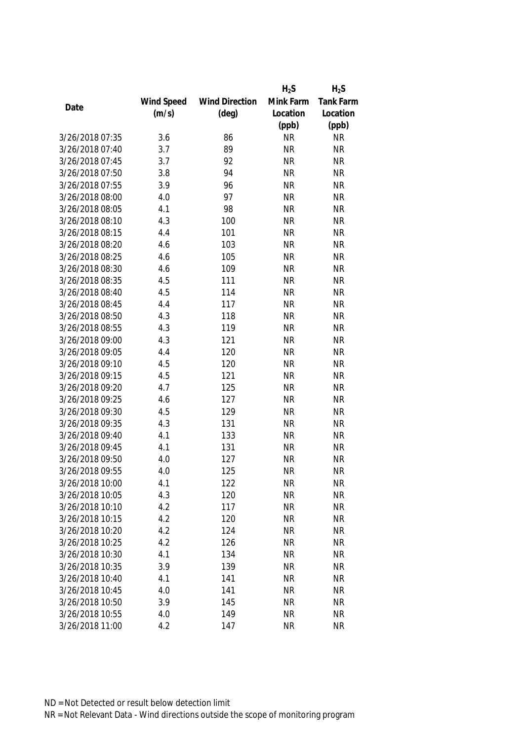|                 |            |                       | $H_2S$    | $H_2S$    |
|-----------------|------------|-----------------------|-----------|-----------|
|                 | Wind Speed | <b>Wind Direction</b> | Mink Farm | Tank Farm |
| Date            | (m/s)      | $(\text{deg})$        | Location  | Location  |
|                 |            |                       | (ppb)     | (ppb)     |
| 3/26/2018 07:35 | 3.6        | 86                    | <b>NR</b> | <b>NR</b> |
| 3/26/2018 07:40 | 3.7        | 89                    | <b>NR</b> | <b>NR</b> |
| 3/26/2018 07:45 | 3.7        | 92                    | <b>NR</b> | <b>NR</b> |
| 3/26/2018 07:50 | 3.8        | 94                    | <b>NR</b> | <b>NR</b> |
| 3/26/2018 07:55 | 3.9        | 96                    | <b>NR</b> | <b>NR</b> |
| 3/26/2018 08:00 | 4.0        | 97                    | <b>NR</b> | <b>NR</b> |
| 3/26/2018 08:05 | 4.1        | 98                    | <b>NR</b> | <b>NR</b> |
| 3/26/2018 08:10 | 4.3        | 100                   | <b>NR</b> | <b>NR</b> |
| 3/26/2018 08:15 | 4.4        | 101                   | <b>NR</b> | <b>NR</b> |
| 3/26/2018 08:20 | 4.6        | 103                   | <b>NR</b> | <b>NR</b> |
| 3/26/2018 08:25 | 4.6        | 105                   | <b>NR</b> | <b>NR</b> |
| 3/26/2018 08:30 | 4.6        | 109                   | <b>NR</b> | <b>NR</b> |
| 3/26/2018 08:35 | 4.5        | 111                   | <b>NR</b> | <b>NR</b> |
| 3/26/2018 08:40 | 4.5        | 114                   | <b>NR</b> | <b>NR</b> |
| 3/26/2018 08:45 | 4.4        | 117                   | <b>NR</b> | <b>NR</b> |
| 3/26/2018 08:50 | 4.3        | 118                   | <b>NR</b> | <b>NR</b> |
| 3/26/2018 08:55 | 4.3        | 119                   | <b>NR</b> | <b>NR</b> |
| 3/26/2018 09:00 | 4.3        | 121                   | <b>NR</b> | <b>NR</b> |
| 3/26/2018 09:05 | 4.4        | 120                   | <b>NR</b> | <b>NR</b> |
| 3/26/2018 09:10 | 4.5        | 120                   | <b>NR</b> | <b>NR</b> |
| 3/26/2018 09:15 | 4.5        | 121                   | <b>NR</b> | <b>NR</b> |
| 3/26/2018 09:20 | 4.7        | 125                   | <b>NR</b> | <b>NR</b> |
| 3/26/2018 09:25 | 4.6        | 127                   | <b>NR</b> | <b>NR</b> |
| 3/26/2018 09:30 | 4.5        | 129                   | <b>NR</b> | <b>NR</b> |
| 3/26/2018 09:35 | 4.3        | 131                   | <b>NR</b> | <b>NR</b> |
| 3/26/2018 09:40 | 4.1        | 133                   | <b>NR</b> | <b>NR</b> |
| 3/26/2018 09:45 | 4.1        | 131                   | <b>NR</b> | <b>NR</b> |
| 3/26/2018 09:50 | 4.0        | 127                   | <b>NR</b> | <b>NR</b> |
| 3/26/2018 09:55 | 4.0        | 125                   | <b>NR</b> | <b>NR</b> |
| 3/26/2018 10:00 | 4.1        | 122                   | <b>NR</b> | <b>NR</b> |
| 3/26/2018 10:05 | 4.3        | 120                   | <b>NR</b> | <b>NR</b> |
| 3/26/2018 10:10 | 4.2        | 117                   | <b>NR</b> | <b>NR</b> |
| 3/26/2018 10:15 | 4.2        | 120                   | <b>NR</b> | <b>NR</b> |
| 3/26/2018 10:20 | 4.2        | 124                   | <b>NR</b> | <b>NR</b> |
| 3/26/2018 10:25 | 4.2        | 126                   | <b>NR</b> | <b>NR</b> |
| 3/26/2018 10:30 | 4.1        | 134                   | <b>NR</b> | <b>NR</b> |
| 3/26/2018 10:35 | 3.9        | 139                   | <b>NR</b> | <b>NR</b> |
| 3/26/2018 10:40 | 4.1        | 141                   | <b>NR</b> | <b>NR</b> |
| 3/26/2018 10:45 | 4.0        | 141                   | <b>NR</b> | <b>NR</b> |
| 3/26/2018 10:50 | 3.9        | 145                   | <b>NR</b> | <b>NR</b> |
| 3/26/2018 10:55 | 4.0        | 149                   | <b>NR</b> | <b>NR</b> |
| 3/26/2018 11:00 | 4.2        | 147                   | <b>NR</b> | <b>NR</b> |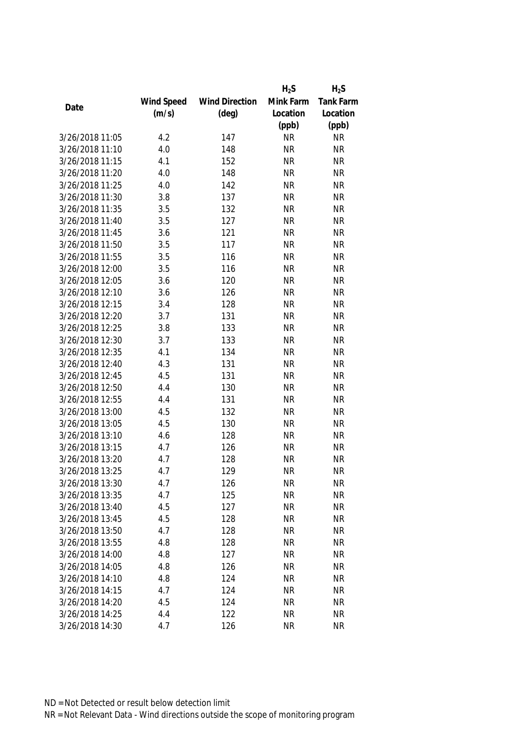|                 |            |                       | $H_2S$    | $H_2S$    |
|-----------------|------------|-----------------------|-----------|-----------|
|                 | Wind Speed | <b>Wind Direction</b> | Mink Farm | Tank Farm |
| Date            | (m/s)      | $(\text{deg})$        | Location  | Location  |
|                 |            |                       | (ppb)     | (ppb)     |
| 3/26/2018 11:05 | 4.2        | 147                   | <b>NR</b> | <b>NR</b> |
| 3/26/2018 11:10 | 4.0        | 148                   | <b>NR</b> | <b>NR</b> |
| 3/26/2018 11:15 | 4.1        | 152                   | <b>NR</b> | <b>NR</b> |
| 3/26/2018 11:20 | 4.0        | 148                   | <b>NR</b> | <b>NR</b> |
| 3/26/2018 11:25 | 4.0        | 142                   | <b>NR</b> | <b>NR</b> |
| 3/26/2018 11:30 | 3.8        | 137                   | <b>NR</b> | <b>NR</b> |
| 3/26/2018 11:35 | 3.5        | 132                   | <b>NR</b> | <b>NR</b> |
| 3/26/2018 11:40 | 3.5        | 127                   | <b>NR</b> | <b>NR</b> |
| 3/26/2018 11:45 | 3.6        | 121                   | <b>NR</b> | <b>NR</b> |
| 3/26/2018 11:50 | 3.5        | 117                   | <b>NR</b> | <b>NR</b> |
| 3/26/2018 11:55 | 3.5        | 116                   | <b>NR</b> | <b>NR</b> |
| 3/26/2018 12:00 | 3.5        | 116                   | <b>NR</b> | <b>NR</b> |
| 3/26/2018 12:05 | 3.6        | 120                   | <b>NR</b> | <b>NR</b> |
| 3/26/2018 12:10 | 3.6        | 126                   | <b>NR</b> | <b>NR</b> |
| 3/26/2018 12:15 | 3.4        | 128                   | <b>NR</b> | <b>NR</b> |
| 3/26/2018 12:20 | 3.7        | 131                   | <b>NR</b> | <b>NR</b> |
| 3/26/2018 12:25 | 3.8        | 133                   | <b>NR</b> | <b>NR</b> |
| 3/26/2018 12:30 | 3.7        | 133                   | <b>NR</b> | <b>NR</b> |
| 3/26/2018 12:35 | 4.1        | 134                   | <b>NR</b> | <b>NR</b> |
| 3/26/2018 12:40 | 4.3        | 131                   | <b>NR</b> | <b>NR</b> |
| 3/26/2018 12:45 | 4.5        | 131                   | <b>NR</b> | <b>NR</b> |
| 3/26/2018 12:50 | 4.4        | 130                   | <b>NR</b> | <b>NR</b> |
| 3/26/2018 12:55 | 4.4        | 131                   | <b>NR</b> | <b>NR</b> |
| 3/26/2018 13:00 | 4.5        | 132                   | <b>NR</b> | <b>NR</b> |
| 3/26/2018 13:05 | 4.5        | 130                   | <b>NR</b> | <b>NR</b> |
| 3/26/2018 13:10 | 4.6        | 128                   | <b>NR</b> | <b>NR</b> |
| 3/26/2018 13:15 | 4.7        | 126                   | <b>NR</b> | <b>NR</b> |
| 3/26/2018 13:20 | 4.7        | 128                   | <b>NR</b> | <b>NR</b> |
| 3/26/2018 13:25 | 4.7        | 129                   | <b>NR</b> | <b>NR</b> |
| 3/26/2018 13:30 | 4.7        | 126                   | NR        | <b>NR</b> |
| 3/26/2018 13:35 | 4.7        | 125                   | <b>NR</b> | <b>NR</b> |
| 3/26/2018 13:40 | 4.5        | 127                   | <b>NR</b> | <b>NR</b> |
| 3/26/2018 13:45 | 4.5        | 128                   | <b>NR</b> | <b>NR</b> |
| 3/26/2018 13:50 | 4.7        | 128                   | <b>NR</b> | <b>NR</b> |
| 3/26/2018 13:55 | 4.8        | 128                   | <b>NR</b> | <b>NR</b> |
| 3/26/2018 14:00 | 4.8        | 127                   | <b>NR</b> | <b>NR</b> |
|                 |            |                       |           |           |
| 3/26/2018 14:05 | 4.8        | 126                   | <b>NR</b> | <b>NR</b> |
| 3/26/2018 14:10 | 4.8        | 124                   | <b>NR</b> | <b>NR</b> |
| 3/26/2018 14:15 | 4.7        | 124                   | <b>NR</b> | <b>NR</b> |
| 3/26/2018 14:20 | 4.5        | 124                   | <b>NR</b> | <b>NR</b> |
| 3/26/2018 14:25 | 4.4        | 122                   | <b>NR</b> | <b>NR</b> |
| 3/26/2018 14:30 | 4.7        | 126                   | <b>NR</b> | <b>NR</b> |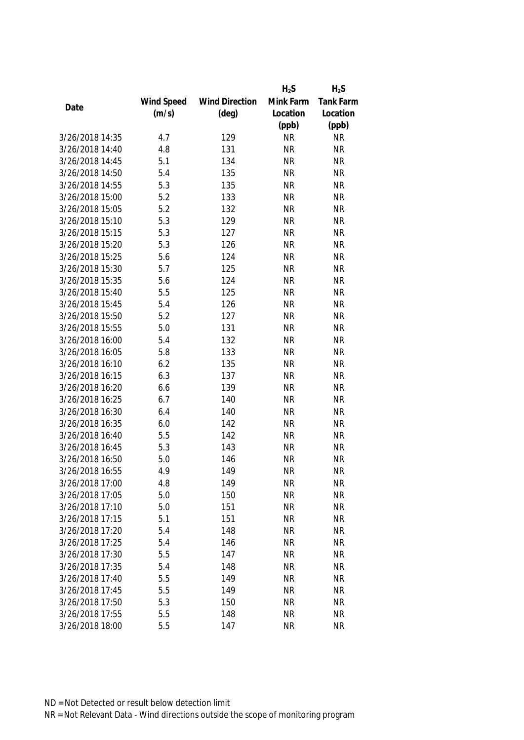|                 |            |                       | $H_2S$    | $H_2S$    |
|-----------------|------------|-----------------------|-----------|-----------|
|                 | Wind Speed | <b>Wind Direction</b> | Mink Farm | Tank Farm |
| Date            | (m/s)      | $(\text{deg})$        | Location  | Location  |
|                 |            |                       | (ppb)     | (ppb)     |
| 3/26/2018 14:35 | 4.7        | 129                   | <b>NR</b> | <b>NR</b> |
| 3/26/2018 14:40 | 4.8        | 131                   | <b>NR</b> | <b>NR</b> |
| 3/26/2018 14:45 | 5.1        | 134                   | <b>NR</b> | <b>NR</b> |
| 3/26/2018 14:50 | 5.4        | 135                   | <b>NR</b> | <b>NR</b> |
| 3/26/2018 14:55 | 5.3        | 135                   | <b>NR</b> | <b>NR</b> |
| 3/26/2018 15:00 | 5.2        | 133                   | <b>NR</b> | <b>NR</b> |
| 3/26/2018 15:05 | 5.2        | 132                   | <b>NR</b> | <b>NR</b> |
| 3/26/2018 15:10 | 5.3        | 129                   | <b>NR</b> | <b>NR</b> |
| 3/26/2018 15:15 | 5.3        | 127                   | <b>NR</b> | <b>NR</b> |
| 3/26/2018 15:20 | 5.3        | 126                   | <b>NR</b> | <b>NR</b> |
| 3/26/2018 15:25 | 5.6        | 124                   | <b>NR</b> | <b>NR</b> |
| 3/26/2018 15:30 | 5.7        | 125                   | <b>NR</b> | <b>NR</b> |
| 3/26/2018 15:35 | 5.6        | 124                   | <b>NR</b> | <b>NR</b> |
| 3/26/2018 15:40 | 5.5        | 125                   | <b>NR</b> | <b>NR</b> |
| 3/26/2018 15:45 | 5.4        | 126                   | <b>NR</b> | <b>NR</b> |
| 3/26/2018 15:50 | 5.2        | 127                   | <b>NR</b> | <b>NR</b> |
| 3/26/2018 15:55 | 5.0        | 131                   | <b>NR</b> | <b>NR</b> |
| 3/26/2018 16:00 | 5.4        | 132                   | <b>NR</b> | <b>NR</b> |
| 3/26/2018 16:05 | 5.8        | 133                   | <b>NR</b> | <b>NR</b> |
| 3/26/2018 16:10 | 6.2        | 135                   | <b>NR</b> | <b>NR</b> |
| 3/26/2018 16:15 | 6.3        | 137                   | <b>NR</b> | <b>NR</b> |
| 3/26/2018 16:20 | 6.6        | 139                   | <b>NR</b> | <b>NR</b> |
| 3/26/2018 16:25 | 6.7        | 140                   | <b>NR</b> | <b>NR</b> |
| 3/26/2018 16:30 | 6.4        | 140                   | <b>NR</b> | <b>NR</b> |
| 3/26/2018 16:35 | 6.0        | 142                   | <b>NR</b> | <b>NR</b> |
| 3/26/2018 16:40 | 5.5        | 142                   | <b>NR</b> | <b>NR</b> |
| 3/26/2018 16:45 | 5.3        | 143                   | <b>NR</b> | <b>NR</b> |
| 3/26/2018 16:50 | 5.0        | 146                   | <b>NR</b> | <b>NR</b> |
| 3/26/2018 16:55 | 4.9        | 149                   | <b>NR</b> | <b>NR</b> |
| 3/26/2018 17:00 | 4.8        | 149                   | <b>NR</b> | <b>NR</b> |
| 3/26/2018 17:05 | 5.0        | 150                   | <b>NR</b> | <b>NR</b> |
| 3/26/2018 17:10 | 5.0        | 151                   | <b>NR</b> | <b>NR</b> |
| 3/26/2018 17:15 | 5.1        | 151                   | <b>NR</b> | <b>NR</b> |
| 3/26/2018 17:20 | 5.4        | 148                   | <b>NR</b> | <b>NR</b> |
| 3/26/2018 17:25 | 5.4        | 146                   | <b>NR</b> | <b>NR</b> |
| 3/26/2018 17:30 | 5.5        | 147                   | <b>NR</b> | <b>NR</b> |
| 3/26/2018 17:35 | 5.4        | 148                   | <b>NR</b> | <b>NR</b> |
| 3/26/2018 17:40 | 5.5        | 149                   | <b>NR</b> | <b>NR</b> |
| 3/26/2018 17:45 | 5.5        | 149                   | <b>NR</b> | <b>NR</b> |
| 3/26/2018 17:50 | 5.3        | 150                   | <b>NR</b> | <b>NR</b> |
| 3/26/2018 17:55 | 5.5        | 148                   | <b>NR</b> | <b>NR</b> |
|                 |            |                       |           |           |
| 3/26/2018 18:00 | 5.5        | 147                   | <b>NR</b> | <b>NR</b> |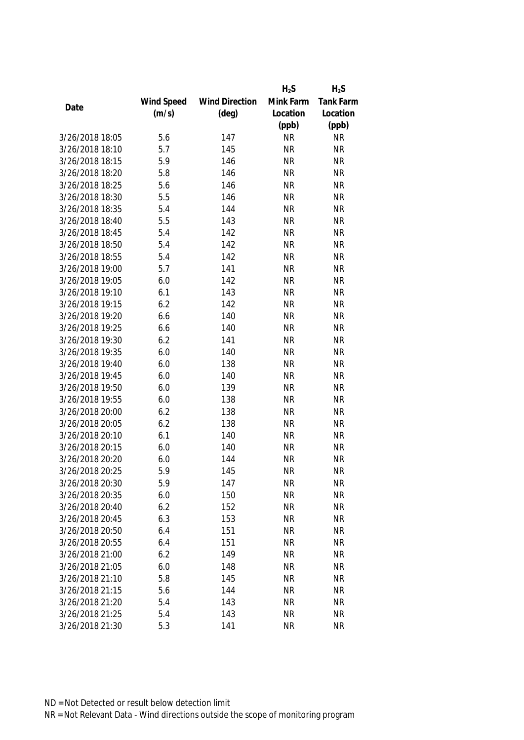|                 |            |                       | $H_2S$    | $H_2S$    |
|-----------------|------------|-----------------------|-----------|-----------|
|                 | Wind Speed | <b>Wind Direction</b> | Mink Farm | Tank Farm |
| Date            | (m/s)      | $(\text{deg})$        | Location  | Location  |
|                 |            |                       | (ppb)     | (ppb)     |
| 3/26/2018 18:05 | 5.6        | 147                   | <b>NR</b> | <b>NR</b> |
| 3/26/2018 18:10 | 5.7        | 145                   | <b>NR</b> | <b>NR</b> |
| 3/26/2018 18:15 | 5.9        | 146                   | <b>NR</b> | <b>NR</b> |
| 3/26/2018 18:20 | 5.8        | 146                   | <b>NR</b> | <b>NR</b> |
| 3/26/2018 18:25 | 5.6        | 146                   | <b>NR</b> | <b>NR</b> |
| 3/26/2018 18:30 | 5.5        | 146                   | <b>NR</b> | <b>NR</b> |
| 3/26/2018 18:35 | 5.4        | 144                   | <b>NR</b> | <b>NR</b> |
| 3/26/2018 18:40 | 5.5        | 143                   | <b>NR</b> | <b>NR</b> |
| 3/26/2018 18:45 | 5.4        | 142                   | <b>NR</b> | <b>NR</b> |
| 3/26/2018 18:50 | 5.4        | 142                   | <b>NR</b> | <b>NR</b> |
| 3/26/2018 18:55 | 5.4        | 142                   | <b>NR</b> | <b>NR</b> |
| 3/26/2018 19:00 | 5.7        | 141                   | <b>NR</b> | <b>NR</b> |
| 3/26/2018 19:05 | 6.0        | 142                   | <b>NR</b> | <b>NR</b> |
| 3/26/2018 19:10 | 6.1        | 143                   | <b>NR</b> | <b>NR</b> |
| 3/26/2018 19:15 | 6.2        | 142                   | <b>NR</b> | <b>NR</b> |
| 3/26/2018 19:20 | 6.6        | 140                   | <b>NR</b> | <b>NR</b> |
| 3/26/2018 19:25 | 6.6        | 140                   | <b>NR</b> | <b>NR</b> |
| 3/26/2018 19:30 | 6.2        | 141                   | <b>NR</b> | <b>NR</b> |
| 3/26/2018 19:35 | 6.0        | 140                   | <b>NR</b> | <b>NR</b> |
| 3/26/2018 19:40 | 6.0        | 138                   | <b>NR</b> | <b>NR</b> |
| 3/26/2018 19:45 | 6.0        | 140                   | <b>NR</b> | <b>NR</b> |
| 3/26/2018 19:50 | 6.0        | 139                   | <b>NR</b> | <b>NR</b> |
| 3/26/2018 19:55 | 6.0        | 138                   | <b>NR</b> | <b>NR</b> |
| 3/26/2018 20:00 | 6.2        | 138                   | <b>NR</b> | <b>NR</b> |
| 3/26/2018 20:05 | 6.2        | 138                   | <b>NR</b> | <b>NR</b> |
| 3/26/2018 20:10 | 6.1        | 140                   | <b>NR</b> | <b>NR</b> |
| 3/26/2018 20:15 | 6.0        | 140                   | <b>NR</b> | <b>NR</b> |
| 3/26/2018 20:20 | 6.0        | 144                   | <b>NR</b> | <b>NR</b> |
| 3/26/2018 20:25 | 5.9        | 145                   | <b>NR</b> | <b>NR</b> |
| 3/26/2018 20:30 | 5.9        | 147                   | <b>NR</b> | <b>NR</b> |
| 3/26/2018 20:35 | 6.0        | 150                   | <b>NR</b> | <b>NR</b> |
| 3/26/2018 20:40 | 6.2        | 152                   | <b>NR</b> | <b>NR</b> |
| 3/26/2018 20:45 | 6.3        | 153                   | <b>NR</b> | <b>NR</b> |
| 3/26/2018 20:50 | 6.4        | 151                   | <b>NR</b> | <b>NR</b> |
| 3/26/2018 20:55 | 6.4        | 151                   | <b>NR</b> | <b>NR</b> |
| 3/26/2018 21:00 | 6.2        | 149                   | <b>NR</b> | <b>NR</b> |
| 3/26/2018 21:05 | 6.0        | 148                   | <b>NR</b> | <b>NR</b> |
| 3/26/2018 21:10 | 5.8        | 145                   | <b>NR</b> | <b>NR</b> |
| 3/26/2018 21:15 | 5.6        | 144                   | <b>NR</b> | <b>NR</b> |
| 3/26/2018 21:20 | 5.4        | 143                   | <b>NR</b> | <b>NR</b> |
| 3/26/2018 21:25 | 5.4        | 143                   | <b>NR</b> | <b>NR</b> |
| 3/26/2018 21:30 | 5.3        | 141                   | <b>NR</b> | <b>NR</b> |
|                 |            |                       |           |           |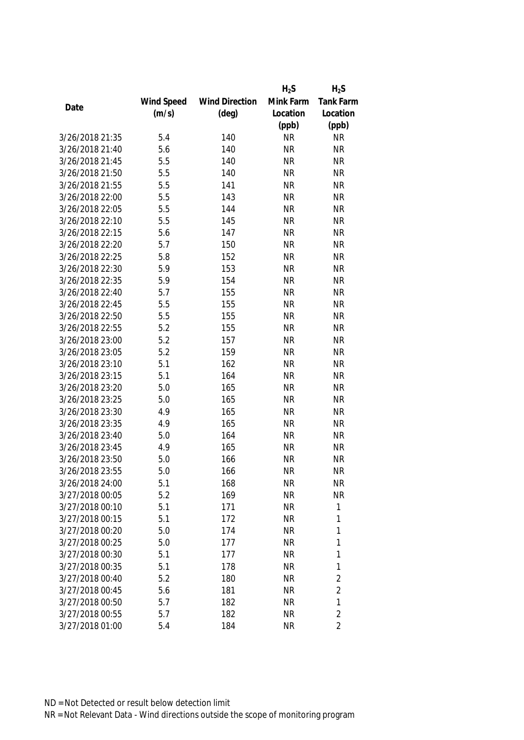|                 |            |                       | $H_2S$    | $H_2S$         |
|-----------------|------------|-----------------------|-----------|----------------|
|                 | Wind Speed | <b>Wind Direction</b> | Mink Farm | Tank Farm      |
| Date            | (m/s)      | $(\text{deg})$        | Location  | Location       |
|                 |            |                       | (ppb)     | (ppb)          |
| 3/26/2018 21:35 | 5.4        | 140                   | <b>NR</b> | <b>NR</b>      |
| 3/26/2018 21:40 | 5.6        | 140                   | <b>NR</b> | <b>NR</b>      |
| 3/26/2018 21:45 | 5.5        | 140                   | <b>NR</b> | <b>NR</b>      |
| 3/26/2018 21:50 | 5.5        | 140                   | <b>NR</b> | <b>NR</b>      |
| 3/26/2018 21:55 | 5.5        | 141                   | <b>NR</b> | <b>NR</b>      |
| 3/26/2018 22:00 | 5.5        | 143                   | <b>NR</b> | <b>NR</b>      |
| 3/26/2018 22:05 | 5.5        | 144                   | <b>NR</b> | <b>NR</b>      |
| 3/26/2018 22:10 | 5.5        | 145                   | <b>NR</b> | <b>NR</b>      |
| 3/26/2018 22:15 | 5.6        | 147                   | <b>NR</b> | <b>NR</b>      |
| 3/26/2018 22:20 | 5.7        | 150                   | <b>NR</b> | <b>NR</b>      |
| 3/26/2018 22:25 | 5.8        | 152                   | <b>NR</b> | <b>NR</b>      |
| 3/26/2018 22:30 | 5.9        | 153                   | <b>NR</b> | <b>NR</b>      |
| 3/26/2018 22:35 | 5.9        | 154                   | <b>NR</b> | <b>NR</b>      |
| 3/26/2018 22:40 | 5.7        | 155                   | <b>NR</b> | <b>NR</b>      |
| 3/26/2018 22:45 | 5.5        | 155                   | <b>NR</b> | <b>NR</b>      |
| 3/26/2018 22:50 | 5.5        | 155                   | <b>NR</b> | <b>NR</b>      |
| 3/26/2018 22:55 | 5.2        | 155                   | <b>NR</b> | <b>NR</b>      |
| 3/26/2018 23:00 | 5.2        | 157                   | <b>NR</b> | <b>NR</b>      |
| 3/26/2018 23:05 | 5.2        | 159                   | <b>NR</b> | <b>NR</b>      |
| 3/26/2018 23:10 | 5.1        | 162                   | <b>NR</b> | <b>NR</b>      |
| 3/26/2018 23:15 | 5.1        | 164                   | <b>NR</b> | <b>NR</b>      |
| 3/26/2018 23:20 | 5.0        | 165                   | <b>NR</b> | <b>NR</b>      |
| 3/26/2018 23:25 | 5.0        | 165                   | <b>NR</b> | <b>NR</b>      |
| 3/26/2018 23:30 | 4.9        | 165                   | <b>NR</b> | <b>NR</b>      |
| 3/26/2018 23:35 | 4.9        | 165                   | <b>NR</b> | <b>NR</b>      |
| 3/26/2018 23:40 | 5.0        | 164                   | <b>NR</b> | <b>NR</b>      |
| 3/26/2018 23:45 | 4.9        | 165                   | <b>NR</b> | <b>NR</b>      |
| 3/26/2018 23:50 | 5.0        | 166                   | <b>NR</b> | <b>NR</b>      |
| 3/26/2018 23:55 | 5.0        | 166                   | <b>NR</b> | <b>NR</b>      |
| 3/26/2018 24:00 | 5.1        | 168                   | <b>NR</b> | <b>NR</b>      |
| 3/27/2018 00:05 | 5.2        | 169                   | <b>NR</b> | <b>NR</b>      |
| 3/27/2018 00:10 | 5.1        | 171                   | <b>NR</b> | 1              |
| 3/27/2018 00:15 | 5.1        | 172                   | <b>NR</b> | 1              |
| 3/27/2018 00:20 | 5.0        | 174                   | <b>NR</b> | 1              |
| 3/27/2018 00:25 | 5.0        | 177                   | <b>NR</b> | 1              |
| 3/27/2018 00:30 | 5.1        | 177                   | <b>NR</b> | $\mathbf{1}$   |
| 3/27/2018 00:35 | 5.1        | 178                   | <b>NR</b> | 1              |
| 3/27/2018 00:40 | 5.2        | 180                   | <b>NR</b> | $\overline{2}$ |
| 3/27/2018 00:45 | 5.6        | 181                   | <b>NR</b> | $\overline{2}$ |
| 3/27/2018 00:50 | 5.7        | 182                   | <b>NR</b> | 1              |
| 3/27/2018 00:55 | 5.7        | 182                   | <b>NR</b> | $\overline{2}$ |
| 3/27/2018 01:00 | 5.4        | 184                   | <b>NR</b> | $\overline{2}$ |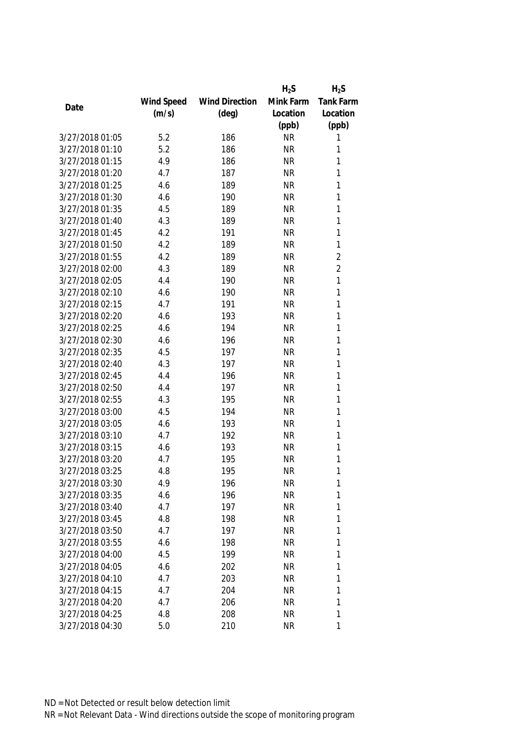|                 |            |                       | $H_2S$    | $H_2S$           |
|-----------------|------------|-----------------------|-----------|------------------|
|                 | Wind Speed | <b>Wind Direction</b> | Mink Farm | <b>Tank Farm</b> |
| Date            | (m/s)      | $(\text{deg})$        | Location  | Location         |
|                 |            |                       | (ppb)     | (ppb)            |
| 3/27/2018 01:05 | 5.2        | 186                   | <b>NR</b> | 1                |
| 3/27/2018 01:10 | 5.2        | 186                   | <b>NR</b> | 1                |
| 3/27/2018 01:15 | 4.9        | 186                   | <b>NR</b> | 1                |
| 3/27/2018 01:20 | 4.7        | 187                   | <b>NR</b> | 1                |
| 3/27/2018 01:25 | 4.6        | 189                   | <b>NR</b> | 1                |
| 3/27/2018 01:30 | 4.6        | 190                   | <b>NR</b> | 1                |
| 3/27/2018 01:35 | 4.5        | 189                   | <b>NR</b> | 1                |
| 3/27/2018 01:40 | 4.3        | 189                   | <b>NR</b> | 1                |
| 3/27/2018 01:45 | 4.2        | 191                   | <b>NR</b> | 1                |
| 3/27/2018 01:50 | 4.2        | 189                   | <b>NR</b> | $\mathbf{1}$     |
| 3/27/2018 01:55 | 4.2        | 189                   | <b>NR</b> | $\overline{2}$   |
| 3/27/2018 02:00 | 4.3        | 189                   | <b>NR</b> | $\overline{2}$   |
| 3/27/2018 02:05 | 4.4        | 190                   | <b>NR</b> | 1                |
| 3/27/2018 02:10 | 4.6        | 190                   | <b>NR</b> | 1                |
| 3/27/2018 02:15 | 4.7        | 191                   | <b>NR</b> | 1                |
| 3/27/2018 02:20 | 4.6        | 193                   | <b>NR</b> | $\mathbf{1}$     |
| 3/27/2018 02:25 | 4.6        | 194                   | <b>NR</b> | 1                |
| 3/27/2018 02:30 | 4.6        | 196                   | <b>NR</b> | 1                |
| 3/27/2018 02:35 | 4.5        | 197                   | <b>NR</b> | 1                |
| 3/27/2018 02:40 | 4.3        | 197                   | <b>NR</b> | 1                |
| 3/27/2018 02:45 | 4.4        | 196                   | <b>NR</b> | 1                |
| 3/27/2018 02:50 | 4.4        | 197                   | <b>NR</b> | 1                |
| 3/27/2018 02:55 | 4.3        | 195                   | <b>NR</b> | 1                |
| 3/27/2018 03:00 | 4.5        | 194                   | <b>NR</b> | 1                |
| 3/27/2018 03:05 | 4.6        | 193                   | <b>NR</b> | 1                |
| 3/27/2018 03:10 | 4.7        | 192                   | <b>NR</b> | 1                |
| 3/27/2018 03:15 | 4.6        | 193                   | <b>NR</b> | 1                |
| 3/27/2018 03:20 | 4.7        | 195                   | <b>NR</b> | 1                |
| 3/27/2018 03:25 | 4.8        | 195                   | <b>NR</b> | 1                |
| 3/27/2018 03:30 | 4.9        | 196                   | <b>NR</b> | 1                |
| 3/27/2018 03:35 | 4.6        | 196                   | <b>NR</b> | 1                |
| 3/27/2018 03:40 | 4.7        | 197                   | <b>NR</b> | 1                |
| 3/27/2018 03:45 | 4.8        | 198                   | <b>NR</b> | 1                |
| 3/27/2018 03:50 | 4.7        | 197                   | <b>NR</b> | 1                |
| 3/27/2018 03:55 | 4.6        | 198                   | <b>NR</b> | 1                |
| 3/27/2018 04:00 | 4.5        | 199                   | <b>NR</b> | 1                |
| 3/27/2018 04:05 | 4.6        | 202                   | <b>NR</b> | 1                |
| 3/27/2018 04:10 | 4.7        | 203                   | NR        | 1                |
| 3/27/2018 04:15 | 4.7        | 204                   | <b>NR</b> | 1                |
| 3/27/2018 04:20 | 4.7        | 206                   | <b>NR</b> | 1                |
| 3/27/2018 04:25 | 4.8        | 208                   | <b>NR</b> | 1                |
| 3/27/2018 04:30 | 5.0        | 210                   | <b>NR</b> | 1                |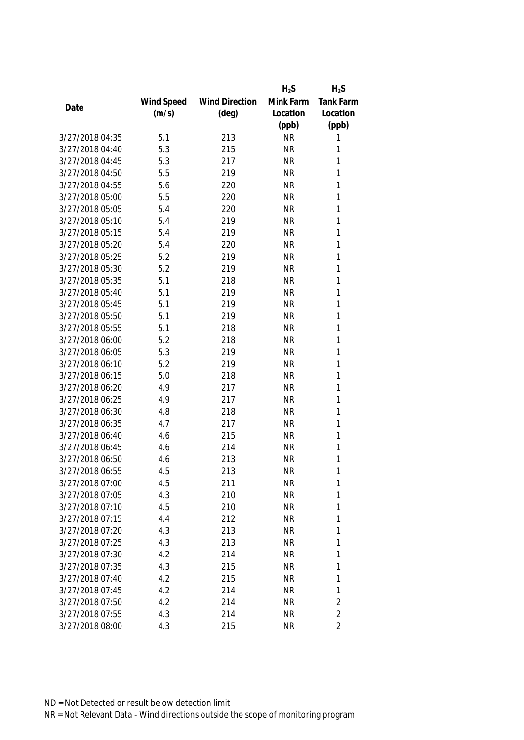|                 |            |                       | $H_2S$    | $H_2S$         |
|-----------------|------------|-----------------------|-----------|----------------|
|                 | Wind Speed | <b>Wind Direction</b> | Mink Farm | Tank Farm      |
| Date            | (m/s)      | $(\text{deg})$        | Location  | Location       |
|                 |            |                       | (ppb)     | (ppb)          |
| 3/27/2018 04:35 | 5.1        | 213                   | <b>NR</b> | 1              |
| 3/27/2018 04:40 | 5.3        | 215                   | <b>NR</b> | 1              |
| 3/27/2018 04:45 | 5.3        | 217                   | <b>NR</b> | 1              |
| 3/27/2018 04:50 | 5.5        | 219                   | <b>NR</b> | 1              |
| 3/27/2018 04:55 | 5.6        | 220                   | <b>NR</b> | 1              |
| 3/27/2018 05:00 | 5.5        | 220                   | <b>NR</b> | 1              |
| 3/27/2018 05:05 | 5.4        | 220                   | <b>NR</b> | 1              |
| 3/27/2018 05:10 | 5.4        | 219                   | <b>NR</b> | 1              |
| 3/27/2018 05:15 | 5.4        | 219                   | <b>NR</b> | 1              |
| 3/27/2018 05:20 | 5.4        | 220                   | <b>NR</b> | 1              |
| 3/27/2018 05:25 | 5.2        | 219                   | <b>NR</b> | 1              |
| 3/27/2018 05:30 | 5.2        | 219                   | <b>NR</b> | 1              |
| 3/27/2018 05:35 | 5.1        | 218                   | <b>NR</b> | 1              |
| 3/27/2018 05:40 | 5.1        | 219                   | <b>NR</b> | 1              |
| 3/27/2018 05:45 | 5.1        | 219                   | <b>NR</b> | 1              |
| 3/27/2018 05:50 | 5.1        | 219                   | <b>NR</b> | $\mathbf{1}$   |
| 3/27/2018 05:55 | 5.1        | 218                   | <b>NR</b> | 1              |
| 3/27/2018 06:00 | 5.2        | 218                   | <b>NR</b> | 1              |
| 3/27/2018 06:05 | 5.3        | 219                   | <b>NR</b> | 1              |
| 3/27/2018 06:10 | 5.2        | 219                   | <b>NR</b> | 1              |
| 3/27/2018 06:15 | 5.0        | 218                   | <b>NR</b> | 1              |
| 3/27/2018 06:20 | 4.9        | 217                   | <b>NR</b> | 1              |
| 3/27/2018 06:25 | 4.9        | 217                   | <b>NR</b> | $\mathbf{1}$   |
| 3/27/2018 06:30 | 4.8        | 218                   | <b>NR</b> | 1              |
| 3/27/2018 06:35 | 4.7        | 217                   | <b>NR</b> | 1              |
| 3/27/2018 06:40 | 4.6        | 215                   | <b>NR</b> | 1              |
| 3/27/2018 06:45 | 4.6        | 214                   | <b>NR</b> | 1              |
| 3/27/2018 06:50 | 4.6        | 213                   | <b>NR</b> | 1              |
| 3/27/2018 06:55 | 4.5        | 213                   | <b>NR</b> | 1              |
| 3/27/2018 07:00 | 4.5        | 211                   | <b>NR</b> | 1              |
| 3/27/2018 07:05 | 4.3        | 210                   | <b>NR</b> | 1              |
| 3/27/2018 07:10 | 4.5        | 210                   | <b>NR</b> | 1              |
| 3/27/2018 07:15 | 4.4        | 212                   | <b>NR</b> | 1              |
| 3/27/2018 07:20 | 4.3        | 213                   | <b>NR</b> | 1              |
| 3/27/2018 07:25 | 4.3        | 213                   | <b>NR</b> | 1              |
| 3/27/2018 07:30 | 4.2        | 214                   | <b>NR</b> | 1              |
| 3/27/2018 07:35 | 4.3        | 215                   | <b>NR</b> | 1              |
| 3/27/2018 07:40 | 4.2        | 215                   | <b>NR</b> | 1              |
| 3/27/2018 07:45 | 4.2        | 214                   | <b>NR</b> | 1              |
| 3/27/2018 07:50 | 4.2        | 214                   | <b>NR</b> | $\overline{2}$ |
| 3/27/2018 07:55 | 4.3        | 214                   | <b>NR</b> | $\overline{2}$ |
| 3/27/2018 08:00 | 4.3        | 215                   | <b>NR</b> | $\overline{2}$ |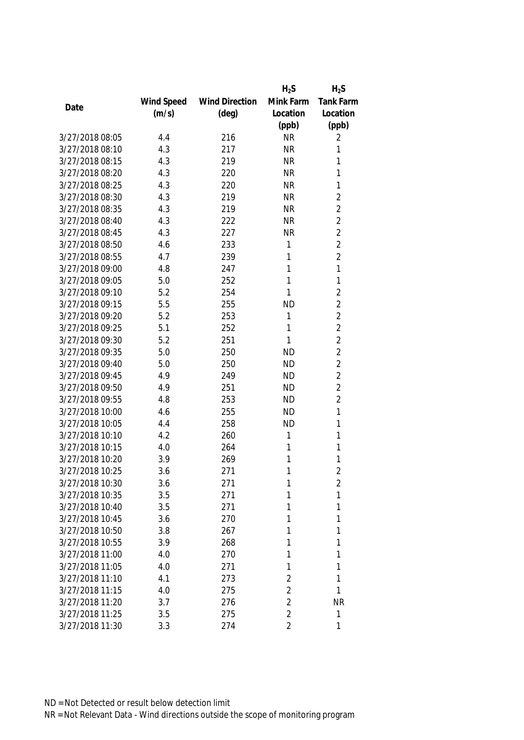|                 |            |                       | $H_2S$         | $H_2S$         |
|-----------------|------------|-----------------------|----------------|----------------|
|                 | Wind Speed | <b>Wind Direction</b> | Mink Farm      | Tank Farm      |
| Date            | (m/s)      | $(\text{deg})$        | Location       | Location       |
|                 |            |                       | (ppb)          | (ppb)          |
| 3/27/2018 08:05 | 4.4        | 216                   | <b>NR</b>      | 2              |
| 3/27/2018 08:10 | 4.3        | 217                   | <b>NR</b>      | 1              |
| 3/27/2018 08:15 | 4.3        | 219                   | <b>NR</b>      | 1              |
| 3/27/2018 08:20 | 4.3        | 220                   | <b>NR</b>      | 1              |
| 3/27/2018 08:25 | 4.3        | 220                   | <b>NR</b>      | 1              |
| 3/27/2018 08:30 | 4.3        | 219                   | <b>NR</b>      | $\overline{2}$ |
| 3/27/2018 08:35 | 4.3        | 219                   | <b>NR</b>      | $\overline{2}$ |
| 3/27/2018 08:40 | 4.3        | 222                   | <b>NR</b>      | $\overline{2}$ |
| 3/27/2018 08:45 | 4.3        | 227                   | <b>NR</b>      | $\overline{2}$ |
| 3/27/2018 08:50 | 4.6        | 233                   | 1              | $\overline{2}$ |
| 3/27/2018 08:55 | 4.7        | 239                   | 1              | $\overline{2}$ |
| 3/27/2018 09:00 | 4.8        | 247                   | 1              | 1              |
| 3/27/2018 09:05 | 5.0        | 252                   | 1              | 1              |
| 3/27/2018 09:10 | 5.2        | 254                   | 1              | $\overline{2}$ |
| 3/27/2018 09:15 | 5.5        | 255                   | <b>ND</b>      | $\overline{2}$ |
| 3/27/2018 09:20 | 5.2        | 253                   | 1              | $\overline{2}$ |
| 3/27/2018 09:25 | 5.1        | 252                   | 1              | $\overline{2}$ |
| 3/27/2018 09:30 | 5.2        | 251                   | 1              | $\overline{2}$ |
| 3/27/2018 09:35 | 5.0        | 250                   | <b>ND</b>      | $\overline{2}$ |
| 3/27/2018 09:40 | 5.0        | 250                   | <b>ND</b>      | $\overline{2}$ |
| 3/27/2018 09:45 | 4.9        | 249                   | <b>ND</b>      | $\overline{2}$ |
| 3/27/2018 09:50 | 4.9        | 251                   | <b>ND</b>      | $\overline{2}$ |
| 3/27/2018 09:55 | 4.8        | 253                   | <b>ND</b>      | $\overline{2}$ |
| 3/27/2018 10:00 | 4.6        | 255                   | <b>ND</b>      | 1              |
| 3/27/2018 10:05 | 4.4        | 258                   | <b>ND</b>      | 1              |
| 3/27/2018 10:10 | 4.2        | 260                   | 1              | 1              |
| 3/27/2018 10:15 | 4.0        | 264                   | 1              | 1              |
| 3/27/2018 10:20 | 3.9        | 269                   | 1              | 1              |
| 3/27/2018 10:25 | 3.6        | 271                   | 1              | $\overline{2}$ |
| 3/27/2018 10:30 | 3.6        | 271                   | 1              | 2              |
| 3/27/2018 10:35 | 3.5        | 271                   | 1              | 1              |
| 3/27/2018 10:40 | 3.5        | 271                   | 1              | 1              |
| 3/27/2018 10:45 | 3.6        | 270                   | 1              | 1              |
| 3/27/2018 10:50 | 3.8        | 267                   | 1              | 1              |
| 3/27/2018 10:55 | 3.9        | 268                   | 1              | 1              |
| 3/27/2018 11:00 | 4.0        | 270                   | 1              | 1              |
| 3/27/2018 11:05 | 4.0        | 271                   | 1              | 1              |
| 3/27/2018 11:10 | 4.1        | 273                   | 2              | 1              |
| 3/27/2018 11:15 | 4.0        | 275                   | $\overline{2}$ | 1              |
| 3/27/2018 11:20 | 3.7        | 276                   | 2              | <b>NR</b>      |
| 3/27/2018 11:25 | 3.5        | 275                   | $\overline{2}$ | 1              |
| 3/27/2018 11:30 | 3.3        | 274                   | 2              | 1              |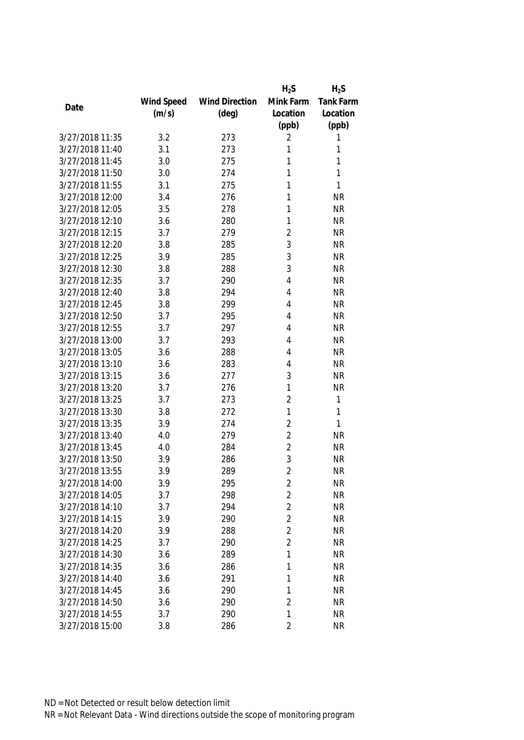|                 |            |                       | $H_2S$         | $H_2S$           |
|-----------------|------------|-----------------------|----------------|------------------|
|                 | Wind Speed | <b>Wind Direction</b> | Mink Farm      | <b>Tank Farm</b> |
| Date            | (m/s)      | $(\text{deg})$        | Location       | Location         |
|                 |            |                       | (ppb)          | (ppb)            |
| 3/27/2018 11:35 | 3.2        | 273                   | 2              | 1                |
| 3/27/2018 11:40 | 3.1        | 273                   | 1              | 1                |
| 3/27/2018 11:45 | 3.0        | 275                   | 1              | 1                |
| 3/27/2018 11:50 | 3.0        | 274                   | 1              | 1                |
| 3/27/2018 11:55 | 3.1        | 275                   | 1              | 1                |
| 3/27/2018 12:00 | 3.4        | 276                   | 1              | <b>NR</b>        |
| 3/27/2018 12:05 | 3.5        | 278                   | 1              | <b>NR</b>        |
| 3/27/2018 12:10 | 3.6        | 280                   | 1              | <b>NR</b>        |
| 3/27/2018 12:15 | 3.7        | 279                   | $\overline{2}$ | <b>NR</b>        |
| 3/27/2018 12:20 | 3.8        | 285                   | 3              | <b>NR</b>        |
| 3/27/2018 12:25 | 3.9        | 285                   | 3              | <b>NR</b>        |
| 3/27/2018 12:30 | 3.8        | 288                   | 3              | <b>NR</b>        |
| 3/27/2018 12:35 | 3.7        | 290                   | 4              | <b>NR</b>        |
| 3/27/2018 12:40 | 3.8        | 294                   | 4              | <b>NR</b>        |
| 3/27/2018 12:45 | 3.8        | 299                   | 4              | <b>NR</b>        |
| 3/27/2018 12:50 | 3.7        | 295                   | 4              | <b>NR</b>        |
| 3/27/2018 12:55 | 3.7        | 297                   | 4              | <b>NR</b>        |
| 3/27/2018 13:00 | 3.7        | 293                   | 4              | <b>NR</b>        |
| 3/27/2018 13:05 | 3.6        | 288                   | 4              | <b>NR</b>        |
| 3/27/2018 13:10 | 3.6        | 283                   | 4              | <b>NR</b>        |
| 3/27/2018 13:15 | 3.6        | 277                   | 3              | <b>NR</b>        |
| 3/27/2018 13:20 | 3.7        | 276                   | 1              | <b>NR</b>        |
| 3/27/2018 13:25 | 3.7        | 273                   | $\overline{2}$ | $\mathbf{1}$     |
| 3/27/2018 13:30 | 3.8        | 272                   | 1              | 1                |
| 3/27/2018 13:35 | 3.9        | 274                   | $\overline{2}$ | 1                |
| 3/27/2018 13:40 | 4.0        | 279                   | $\overline{2}$ | <b>NR</b>        |
| 3/27/2018 13:45 | 4.0        | 284                   | $\overline{2}$ | <b>NR</b>        |
| 3/27/2018 13:50 | 3.9        | 286                   | 3              | <b>NR</b>        |
| 3/27/2018 13:55 | 3.9        | 289                   | $\overline{2}$ | <b>NR</b>        |
| 3/27/2018 14:00 | 3.9        | 295                   | 2              | <b>NR</b>        |
| 3/27/2018 14:05 | 3.7        | 298                   | $\overline{2}$ | <b>NR</b>        |
| 3/27/2018 14:10 | 3.7        | 294                   | $\overline{2}$ | <b>NR</b>        |
| 3/27/2018 14:15 | 3.9        | 290                   | $\overline{2}$ | <b>NR</b>        |
| 3/27/2018 14:20 | 3.9        | 288                   | $\overline{2}$ | <b>NR</b>        |
| 3/27/2018 14:25 | 3.7        | 290                   | $\overline{2}$ | <b>NR</b>        |
| 3/27/2018 14:30 | 3.6        | 289                   | 1              | <b>NR</b>        |
| 3/27/2018 14:35 | 3.6        | 286                   | 1              | <b>NR</b>        |
| 3/27/2018 14:40 | 3.6        | 291                   | 1              | <b>NR</b>        |
| 3/27/2018 14:45 | 3.6        | 290                   | 1              | <b>NR</b>        |
| 3/27/2018 14:50 | 3.6        | 290                   | $\overline{2}$ | <b>NR</b>        |
| 3/27/2018 14:55 | 3.7        | 290                   | 1              | <b>NR</b>        |
| 3/27/2018 15:00 | 3.8        | 286                   | $\overline{2}$ | <b>NR</b>        |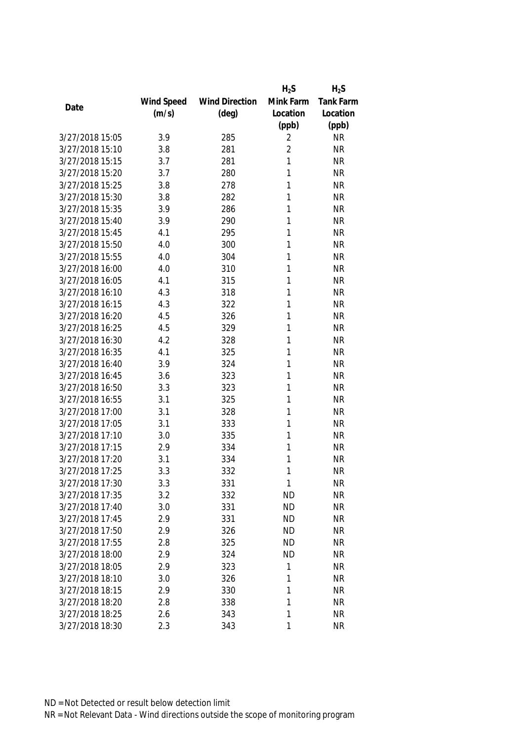|                 |            |                       | $H_2S$         | $H_2S$           |
|-----------------|------------|-----------------------|----------------|------------------|
|                 | Wind Speed | <b>Wind Direction</b> | Mink Farm      | <b>Tank Farm</b> |
| Date            | (m/s)      | $(\text{deg})$        | Location       | Location         |
|                 |            |                       | (ppb)          | (ppb)            |
| 3/27/2018 15:05 | 3.9        | 285                   | 2              | <b>NR</b>        |
| 3/27/2018 15:10 | 3.8        | 281                   | $\overline{2}$ | <b>NR</b>        |
| 3/27/2018 15:15 | 3.7        | 281                   | 1              | <b>NR</b>        |
| 3/27/2018 15:20 | 3.7        | 280                   | 1              | <b>NR</b>        |
| 3/27/2018 15:25 | 3.8        | 278                   | 1              | <b>NR</b>        |
| 3/27/2018 15:30 | 3.8        | 282                   | 1              | <b>NR</b>        |
| 3/27/2018 15:35 | 3.9        | 286                   | 1              | <b>NR</b>        |
| 3/27/2018 15:40 | 3.9        | 290                   | 1              | <b>NR</b>        |
| 3/27/2018 15:45 | 4.1        | 295                   | 1              | <b>NR</b>        |
| 3/27/2018 15:50 | 4.0        | 300                   | 1              | <b>NR</b>        |
| 3/27/2018 15:55 | 4.0        | 304                   | 1              | <b>NR</b>        |
| 3/27/2018 16:00 | 4.0        | 310                   | 1              | <b>NR</b>        |
| 3/27/2018 16:05 | 4.1        | 315                   | 1              | <b>NR</b>        |
| 3/27/2018 16:10 | 4.3        | 318                   | 1              | <b>NR</b>        |
| 3/27/2018 16:15 | 4.3        | 322                   | 1              | <b>NR</b>        |
| 3/27/2018 16:20 | 4.5        | 326                   | 1              | <b>NR</b>        |
| 3/27/2018 16:25 | 4.5        | 329                   | 1              | <b>NR</b>        |
| 3/27/2018 16:30 | 4.2        | 328                   | 1              | <b>NR</b>        |
| 3/27/2018 16:35 | 4.1        | 325                   | 1              | <b>NR</b>        |
| 3/27/2018 16:40 | 3.9        | 324                   | 1              | <b>NR</b>        |
| 3/27/2018 16:45 | 3.6        | 323                   | 1              | <b>NR</b>        |
| 3/27/2018 16:50 | 3.3        | 323                   | 1              | <b>NR</b>        |
| 3/27/2018 16:55 | 3.1        | 325                   | 1              | <b>NR</b>        |
| 3/27/2018 17:00 | 3.1        | 328                   | 1              | <b>NR</b>        |
| 3/27/2018 17:05 | 3.1        | 333                   | 1              | <b>NR</b>        |
| 3/27/2018 17:10 | 3.0        | 335                   | 1              | <b>NR</b>        |
| 3/27/2018 17:15 | 2.9        | 334                   | 1              | <b>NR</b>        |
| 3/27/2018 17:20 | 3.1        | 334                   | 1              | <b>NR</b>        |
| 3/27/2018 17:25 | 3.3        | 332                   | 1              | <b>NR</b>        |
| 3/27/2018 17:30 | 3.3        | 331                   | 1              | <b>NR</b>        |
| 3/27/2018 17:35 | 3.2        | 332                   | <b>ND</b>      | <b>NR</b>        |
| 3/27/2018 17:40 | 3.0        | 331                   | <b>ND</b>      | <b>NR</b>        |
| 3/27/2018 17:45 | 2.9        | 331                   | <b>ND</b>      | <b>NR</b>        |
| 3/27/2018 17:50 | 2.9        | 326                   | <b>ND</b>      | <b>NR</b>        |
| 3/27/2018 17:55 | 2.8        | 325                   | <b>ND</b>      | <b>NR</b>        |
| 3/27/2018 18:00 | 2.9        | 324                   | <b>ND</b>      | <b>NR</b>        |
| 3/27/2018 18:05 | 2.9        | 323                   | 1              | <b>NR</b>        |
| 3/27/2018 18:10 | 3.0        | 326                   | 1              | <b>NR</b>        |
| 3/27/2018 18:15 | 2.9        | 330                   | 1              | <b>NR</b>        |
| 3/27/2018 18:20 | 2.8        | 338                   | 1              | <b>NR</b>        |
| 3/27/2018 18:25 | 2.6        | 343                   | 1              | <b>NR</b>        |
| 3/27/2018 18:30 | 2.3        | 343                   | 1              | <b>NR</b>        |
|                 |            |                       |                |                  |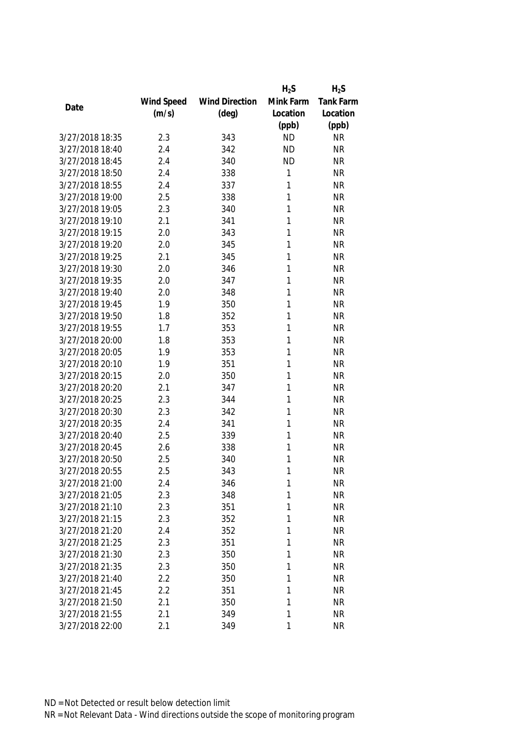|                 |            |                       | $H_2S$    | $H_2S$    |
|-----------------|------------|-----------------------|-----------|-----------|
|                 | Wind Speed | <b>Wind Direction</b> | Mink Farm | Tank Farm |
| Date            | (m/s)      | $(\text{deg})$        | Location  | Location  |
|                 |            |                       | (ppb)     | (ppb)     |
| 3/27/2018 18:35 | 2.3        | 343                   | <b>ND</b> | <b>NR</b> |
| 3/27/2018 18:40 | 2.4        | 342                   | <b>ND</b> | <b>NR</b> |
| 3/27/2018 18:45 | 2.4        | 340                   | <b>ND</b> | <b>NR</b> |
| 3/27/2018 18:50 | 2.4        | 338                   | 1         | <b>NR</b> |
| 3/27/2018 18:55 | 2.4        | 337                   | 1         | <b>NR</b> |
| 3/27/2018 19:00 | 2.5        | 338                   | 1         | <b>NR</b> |
| 3/27/2018 19:05 | 2.3        | 340                   | 1         | <b>NR</b> |
| 3/27/2018 19:10 | 2.1        | 341                   | 1         | <b>NR</b> |
| 3/27/2018 19:15 | 2.0        | 343                   | 1         | <b>NR</b> |
| 3/27/2018 19:20 | 2.0        | 345                   | 1         | <b>NR</b> |
| 3/27/2018 19:25 | 2.1        | 345                   | 1         | <b>NR</b> |
| 3/27/2018 19:30 | 2.0        | 346                   | 1         | <b>NR</b> |
| 3/27/2018 19:35 | 2.0        | 347                   | 1         | <b>NR</b> |
| 3/27/2018 19:40 | 2.0        | 348                   | 1         | <b>NR</b> |
| 3/27/2018 19:45 | 1.9        | 350                   | 1         | <b>NR</b> |
| 3/27/2018 19:50 | 1.8        | 352                   | 1         | <b>NR</b> |
| 3/27/2018 19:55 | 1.7        | 353                   | 1         | <b>NR</b> |
| 3/27/2018 20:00 | 1.8        | 353                   | 1         | <b>NR</b> |
| 3/27/2018 20:05 | 1.9        | 353                   | 1         | <b>NR</b> |
| 3/27/2018 20:10 | 1.9        | 351                   | 1         | <b>NR</b> |
| 3/27/2018 20:15 | 2.0        | 350                   | 1         | <b>NR</b> |
| 3/27/2018 20:20 | 2.1        | 347                   | 1         | <b>NR</b> |
| 3/27/2018 20:25 | 2.3        | 344                   | 1         | <b>NR</b> |
| 3/27/2018 20:30 | 2.3        | 342                   | 1         | <b>NR</b> |
| 3/27/2018 20:35 | 2.4        | 341                   | 1         | <b>NR</b> |
| 3/27/2018 20:40 | 2.5        | 339                   | 1         | <b>NR</b> |
| 3/27/2018 20:45 | 2.6        | 338                   | 1         | <b>NR</b> |
| 3/27/2018 20:50 | 2.5        | 340                   | 1         | <b>NR</b> |
| 3/27/2018 20:55 | 2.5        | 343                   | 1         | <b>NR</b> |
| 3/27/2018 21:00 | 2.4        | 346                   | 1         | <b>NR</b> |
| 3/27/2018 21:05 | 2.3        | 348                   | 1         | <b>NR</b> |
| 3/27/2018 21:10 | 2.3        | 351                   | 1         | <b>NR</b> |
| 3/27/2018 21:15 | 2.3        | 352                   | 1         | <b>NR</b> |
| 3/27/2018 21:20 | 2.4        | 352                   | 1         | <b>NR</b> |
| 3/27/2018 21:25 | 2.3        | 351                   | 1         | <b>NR</b> |
| 3/27/2018 21:30 | 2.3        | 350                   | 1         | <b>NR</b> |
| 3/27/2018 21:35 | 2.3        | 350                   | 1         | <b>NR</b> |
| 3/27/2018 21:40 | 2.2        | 350                   | 1         | <b>NR</b> |
| 3/27/2018 21:45 | 2.2        | 351                   | 1         | <b>NR</b> |
| 3/27/2018 21:50 | 2.1        | 350                   | 1         | <b>NR</b> |
| 3/27/2018 21:55 | 2.1        | 349                   | 1         | <b>NR</b> |
| 3/27/2018 22:00 | 2.1        | 349                   | 1         | <b>NR</b> |
|                 |            |                       |           |           |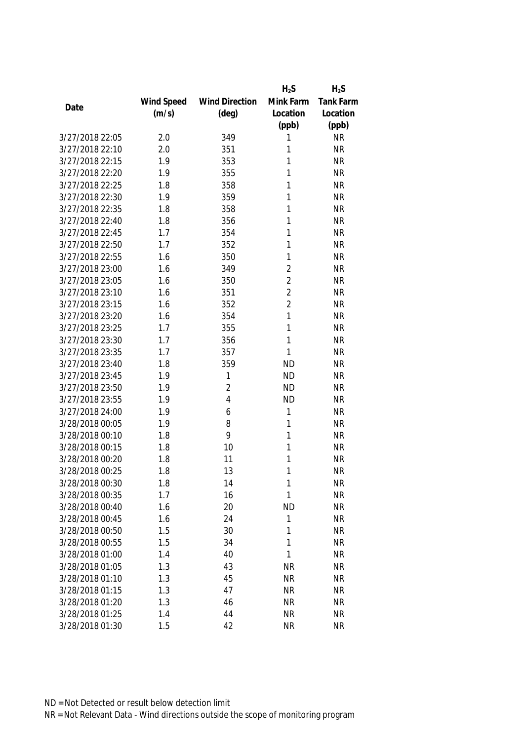|                 |            |                       | $H_2S$         | $H_2S$           |
|-----------------|------------|-----------------------|----------------|------------------|
|                 | Wind Speed | <b>Wind Direction</b> | Mink Farm      | <b>Tank Farm</b> |
| Date            | (m/s)      | $(\text{deg})$        | Location       | Location         |
|                 |            |                       | (ppb)          | (ppb)            |
| 3/27/2018 22:05 | 2.0        | 349                   | 1              | <b>NR</b>        |
| 3/27/2018 22:10 | 2.0        | 351                   | 1              | <b>NR</b>        |
| 3/27/2018 22:15 | 1.9        | 353                   | 1              | <b>NR</b>        |
| 3/27/2018 22:20 | 1.9        | 355                   | 1              | <b>NR</b>        |
| 3/27/2018 22:25 | 1.8        | 358                   | 1              | <b>NR</b>        |
| 3/27/2018 22:30 | 1.9        | 359                   | 1              | <b>NR</b>        |
| 3/27/2018 22:35 | 1.8        | 358                   | 1              | <b>NR</b>        |
| 3/27/2018 22:40 | 1.8        | 356                   | 1              | <b>NR</b>        |
| 3/27/2018 22:45 | 1.7        | 354                   | 1              | <b>NR</b>        |
| 3/27/2018 22:50 | 1.7        | 352                   | 1              | <b>NR</b>        |
| 3/27/2018 22:55 | 1.6        | 350                   | 1              | <b>NR</b>        |
| 3/27/2018 23:00 | 1.6        | 349                   | $\overline{2}$ | <b>NR</b>        |
| 3/27/2018 23:05 | 1.6        | 350                   | $\overline{2}$ | <b>NR</b>        |
| 3/27/2018 23:10 | 1.6        | 351                   | $\overline{2}$ | <b>NR</b>        |
| 3/27/2018 23:15 | 1.6        | 352                   | $\overline{2}$ | <b>NR</b>        |
| 3/27/2018 23:20 | 1.6        | 354                   | 1              | <b>NR</b>        |
| 3/27/2018 23:25 | 1.7        | 355                   | 1              | <b>NR</b>        |
| 3/27/2018 23:30 | 1.7        | 356                   | 1              | <b>NR</b>        |
| 3/27/2018 23:35 | 1.7        | 357                   | 1              | <b>NR</b>        |
| 3/27/2018 23:40 | 1.8        | 359                   | <b>ND</b>      | <b>NR</b>        |
| 3/27/2018 23:45 | 1.9        | 1                     | <b>ND</b>      | <b>NR</b>        |
| 3/27/2018 23:50 | 1.9        | $\overline{2}$        | <b>ND</b>      | <b>NR</b>        |
| 3/27/2018 23:55 | 1.9        | 4                     | <b>ND</b>      | <b>NR</b>        |
| 3/27/2018 24:00 | 1.9        | 6                     | 1              | <b>NR</b>        |
| 3/28/2018 00:05 | 1.9        | 8                     | 1              | <b>NR</b>        |
| 3/28/2018 00:10 | 1.8        | 9                     | 1              | <b>NR</b>        |
| 3/28/2018 00:15 | 1.8        | 10                    | 1              | <b>NR</b>        |
| 3/28/2018 00:20 | 1.8        | 11                    | 1              | <b>NR</b>        |
| 3/28/2018 00:25 | 1.8        | 13                    | 1              | <b>NR</b>        |
| 3/28/2018 00:30 | 1.8        | 14                    | 1              | <b>NR</b>        |
| 3/28/2018 00:35 | 1.7        | 16                    | 1              | <b>NR</b>        |
| 3/28/2018 00:40 | 1.6        | 20                    | <b>ND</b>      | <b>NR</b>        |
| 3/28/2018 00:45 | 1.6        | 24                    | 1              | <b>NR</b>        |
| 3/28/2018 00:50 | 1.5        | 30                    | 1              | <b>NR</b>        |
| 3/28/2018 00:55 | 1.5        | 34                    | 1              | <b>NR</b>        |
| 3/28/2018 01:00 | 1.4        | 40                    | 1              | <b>NR</b>        |
| 3/28/2018 01:05 | 1.3        | 43                    | <b>NR</b>      | <b>NR</b>        |
| 3/28/2018 01:10 | 1.3        | 45                    | <b>NR</b>      | <b>NR</b>        |
| 3/28/2018 01:15 | 1.3        | 47                    | <b>NR</b>      | <b>NR</b>        |
| 3/28/2018 01:20 | 1.3        | 46                    | <b>NR</b>      | <b>NR</b>        |
| 3/28/2018 01:25 | 1.4        | 44                    | <b>NR</b>      | NR               |
| 3/28/2018 01:30 | 1.5        | 42                    | <b>NR</b>      | <b>NR</b>        |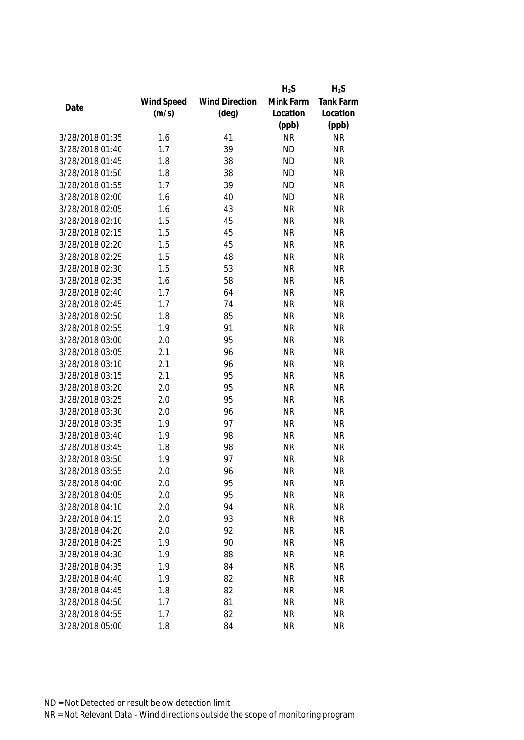|                 |            |                       | $H_2S$    | $H_2S$           |
|-----------------|------------|-----------------------|-----------|------------------|
|                 | Wind Speed | <b>Wind Direction</b> | Mink Farm | <b>Tank Farm</b> |
| Date            | (m/s)      | $(\text{deg})$        | Location  | Location         |
|                 |            |                       | (ppb)     | (ppb)            |
| 3/28/2018 01:35 | 1.6        | 41                    | <b>NR</b> | <b>NR</b>        |
| 3/28/2018 01:40 | 1.7        | 39                    | <b>ND</b> | <b>NR</b>        |
| 3/28/2018 01:45 | 1.8        | 38                    | <b>ND</b> | <b>NR</b>        |
| 3/28/2018 01:50 | 1.8        | 38                    | <b>ND</b> | <b>NR</b>        |
| 3/28/2018 01:55 | 1.7        | 39                    | <b>ND</b> | <b>NR</b>        |
| 3/28/2018 02:00 | 1.6        | 40                    | <b>ND</b> | <b>NR</b>        |
| 3/28/2018 02:05 | 1.6        | 43                    | <b>NR</b> | <b>NR</b>        |
| 3/28/2018 02:10 | 1.5        | 45                    | <b>NR</b> | <b>NR</b>        |
| 3/28/2018 02:15 | 1.5        | 45                    | <b>NR</b> | <b>NR</b>        |
| 3/28/2018 02:20 | 1.5        | 45                    | <b>NR</b> | <b>NR</b>        |
| 3/28/2018 02:25 | 1.5        | 48                    | <b>NR</b> | <b>NR</b>        |
| 3/28/2018 02:30 | 1.5        | 53                    | <b>NR</b> | <b>NR</b>        |
| 3/28/2018 02:35 | 1.6        | 58                    | <b>NR</b> | <b>NR</b>        |
| 3/28/2018 02:40 | 1.7        | 64                    | <b>NR</b> | <b>NR</b>        |
| 3/28/2018 02:45 | 1.7        | 74                    | <b>NR</b> | <b>NR</b>        |
| 3/28/2018 02:50 | 1.8        | 85                    | <b>NR</b> | <b>NR</b>        |
| 3/28/2018 02:55 | 1.9        | 91                    | <b>NR</b> | <b>NR</b>        |
| 3/28/2018 03:00 | 2.0        | 95                    | <b>NR</b> | <b>NR</b>        |
| 3/28/2018 03:05 | 2.1        | 96                    | <b>NR</b> | <b>NR</b>        |
| 3/28/2018 03:10 | 2.1        | 96                    | <b>NR</b> | <b>NR</b>        |
| 3/28/2018 03:15 | 2.1        | 95                    | <b>NR</b> | <b>NR</b>        |
| 3/28/2018 03:20 | 2.0        | 95                    | <b>NR</b> | <b>NR</b>        |
| 3/28/2018 03:25 | 2.0        | 95                    | <b>NR</b> | <b>NR</b>        |
| 3/28/2018 03:30 | 2.0        | 96                    | <b>NR</b> | <b>NR</b>        |
| 3/28/2018 03:35 | 1.9        | 97                    | <b>NR</b> | <b>NR</b>        |
| 3/28/2018 03:40 | 1.9        | 98                    | <b>NR</b> | <b>NR</b>        |
| 3/28/2018 03:45 | 1.8        | 98                    | <b>NR</b> | <b>NR</b>        |
| 3/28/2018 03:50 | 1.9        | 97                    | <b>NR</b> | <b>NR</b>        |
| 3/28/2018 03:55 | 2.0        | 96                    | <b>NR</b> | <b>NR</b>        |
| 3/28/2018 04:00 | 2.0        | 95                    | <b>NR</b> | <b>NR</b>        |
| 3/28/2018 04:05 | 2.0        | 95                    | <b>NR</b> | <b>NR</b>        |
| 3/28/2018 04:10 | 2.0        | 94                    | <b>NR</b> | <b>NR</b>        |
| 3/28/2018 04:15 | 2.0        | 93                    | <b>NR</b> | <b>NR</b>        |
| 3/28/2018 04:20 | 2.0        | 92                    | <b>NR</b> | <b>NR</b>        |
| 3/28/2018 04:25 | 1.9        | 90                    | <b>NR</b> | <b>NR</b>        |
| 3/28/2018 04:30 | 1.9        | 88                    | <b>NR</b> | <b>NR</b>        |
| 3/28/2018 04:35 | 1.9        | 84                    | <b>NR</b> | <b>NR</b>        |
| 3/28/2018 04:40 | 1.9        | 82                    | <b>NR</b> | <b>NR</b>        |
| 3/28/2018 04:45 | 1.8        | 82                    | <b>NR</b> | <b>NR</b>        |
| 3/28/2018 04:50 | 1.7        | 81                    | <b>NR</b> | <b>NR</b>        |
| 3/28/2018 04:55 | 1.7        | 82                    | <b>NR</b> | <b>NR</b>        |
|                 |            |                       |           |                  |
| 3/28/2018 05:00 | 1.8        | 84                    | <b>NR</b> | <b>NR</b>        |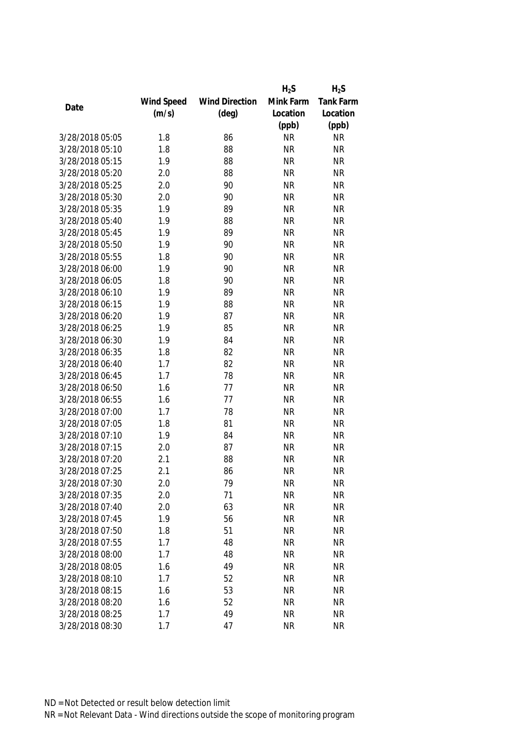|                 |            |                       | $H_2S$    | $H_2S$           |
|-----------------|------------|-----------------------|-----------|------------------|
|                 | Wind Speed | <b>Wind Direction</b> | Mink Farm | <b>Tank Farm</b> |
| Date            | (m/s)      | $(\text{deg})$        | Location  | Location         |
|                 |            |                       | (ppb)     | (ppb)            |
| 3/28/2018 05:05 | 1.8        | 86                    | <b>NR</b> | <b>NR</b>        |
| 3/28/2018 05:10 | 1.8        | 88                    | <b>NR</b> | <b>NR</b>        |
| 3/28/2018 05:15 | 1.9        | 88                    | <b>NR</b> | <b>NR</b>        |
| 3/28/2018 05:20 | 2.0        | 88                    | <b>NR</b> | <b>NR</b>        |
| 3/28/2018 05:25 | 2.0        | 90                    | <b>NR</b> | <b>NR</b>        |
| 3/28/2018 05:30 | 2.0        | 90                    | <b>NR</b> | <b>NR</b>        |
| 3/28/2018 05:35 | 1.9        | 89                    | <b>NR</b> | <b>NR</b>        |
| 3/28/2018 05:40 | 1.9        | 88                    | <b>NR</b> | <b>NR</b>        |
| 3/28/2018 05:45 | 1.9        | 89                    | <b>NR</b> | <b>NR</b>        |
| 3/28/2018 05:50 | 1.9        | 90                    | <b>NR</b> | <b>NR</b>        |
| 3/28/2018 05:55 | 1.8        | 90                    | <b>NR</b> | <b>NR</b>        |
| 3/28/2018 06:00 | 1.9        | 90                    | <b>NR</b> | <b>NR</b>        |
| 3/28/2018 06:05 | 1.8        | 90                    | <b>NR</b> | <b>NR</b>        |
| 3/28/2018 06:10 | 1.9        | 89                    | <b>NR</b> | <b>NR</b>        |
| 3/28/2018 06:15 | 1.9        | 88                    | <b>NR</b> | <b>NR</b>        |
| 3/28/2018 06:20 | 1.9        | 87                    | <b>NR</b> | <b>NR</b>        |
| 3/28/2018 06:25 | 1.9        | 85                    | <b>NR</b> | <b>NR</b>        |
| 3/28/2018 06:30 | 1.9        | 84                    | <b>NR</b> | <b>NR</b>        |
| 3/28/2018 06:35 | 1.8        | 82                    | <b>NR</b> | <b>NR</b>        |
| 3/28/2018 06:40 | 1.7        | 82                    | <b>NR</b> | <b>NR</b>        |
| 3/28/2018 06:45 | 1.7        | 78                    | <b>NR</b> | <b>NR</b>        |
| 3/28/2018 06:50 | 1.6        | 77                    | <b>NR</b> | <b>NR</b>        |
| 3/28/2018 06:55 | 1.6        | 77                    | <b>NR</b> | <b>NR</b>        |
| 3/28/2018 07:00 | 1.7        | 78                    | <b>NR</b> | <b>NR</b>        |
| 3/28/2018 07:05 | 1.8        | 81                    | <b>NR</b> | <b>NR</b>        |
| 3/28/2018 07:10 | 1.9        | 84                    | <b>NR</b> | <b>NR</b>        |
| 3/28/2018 07:15 | 2.0        | 87                    | <b>NR</b> | <b>NR</b>        |
| 3/28/2018 07:20 | 2.1        | 88                    | <b>NR</b> | <b>NR</b>        |
| 3/28/2018 07:25 | 2.1        | 86                    | <b>NR</b> | <b>NR</b>        |
| 3/28/2018 07:30 | 2.0        | 79                    | <b>NR</b> | <b>NR</b>        |
| 3/28/2018 07:35 | 2.0        | 71                    | <b>NR</b> | <b>NR</b>        |
| 3/28/2018 07:40 | 2.0        | 63                    | <b>NR</b> | <b>NR</b>        |
| 3/28/2018 07:45 | 1.9        | 56                    | <b>NR</b> | <b>NR</b>        |
| 3/28/2018 07:50 | 1.8        | 51                    | <b>NR</b> | <b>NR</b>        |
| 3/28/2018 07:55 | 1.7        | 48                    | <b>NR</b> | <b>NR</b>        |
| 3/28/2018 08:00 | 1.7        | 48                    | <b>NR</b> | <b>NR</b>        |
| 3/28/2018 08:05 | 1.6        | 49                    | <b>NR</b> | <b>NR</b>        |
| 3/28/2018 08:10 | 1.7        | 52                    | <b>NR</b> | <b>NR</b>        |
| 3/28/2018 08:15 | 1.6        | 53                    | <b>NR</b> | <b>NR</b>        |
| 3/28/2018 08:20 | 1.6        | 52                    | <b>NR</b> | <b>NR</b>        |
| 3/28/2018 08:25 | 1.7        | 49                    | <b>NR</b> | <b>NR</b>        |
| 3/28/2018 08:30 | 1.7        | 47                    | <b>NR</b> | <b>NR</b>        |
|                 |            |                       |           |                  |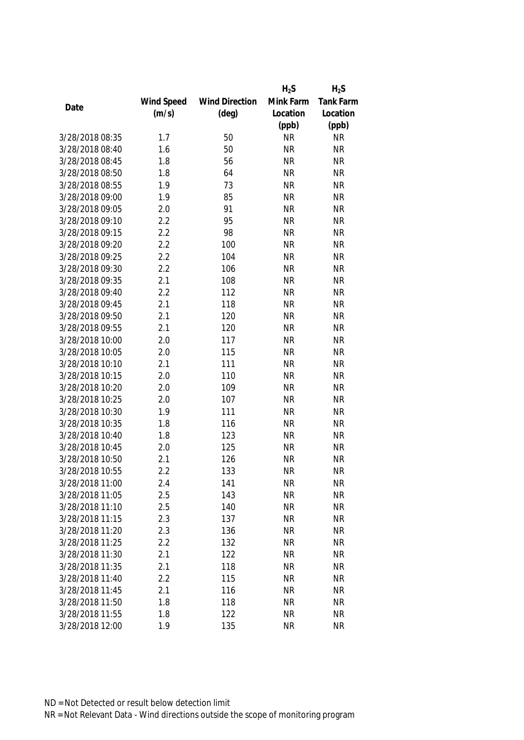|                 |            |                       | $H_2S$    | $H_2S$    |
|-----------------|------------|-----------------------|-----------|-----------|
|                 | Wind Speed | <b>Wind Direction</b> | Mink Farm | Tank Farm |
| Date            | (m/s)      | $(\text{deg})$        | Location  | Location  |
|                 |            |                       | (ppb)     | (ppb)     |
| 3/28/2018 08:35 | 1.7        | 50                    | <b>NR</b> | <b>NR</b> |
| 3/28/2018 08:40 | 1.6        | 50                    | <b>NR</b> | <b>NR</b> |
| 3/28/2018 08:45 | 1.8        | 56                    | <b>NR</b> | <b>NR</b> |
| 3/28/2018 08:50 | 1.8        | 64                    | <b>NR</b> | <b>NR</b> |
| 3/28/2018 08:55 | 1.9        | 73                    | <b>NR</b> | <b>NR</b> |
| 3/28/2018 09:00 | 1.9        | 85                    | <b>NR</b> | <b>NR</b> |
| 3/28/2018 09:05 | 2.0        | 91                    | <b>NR</b> | <b>NR</b> |
| 3/28/2018 09:10 | 2.2        | 95                    | <b>NR</b> | <b>NR</b> |
| 3/28/2018 09:15 | 2.2        | 98                    | <b>NR</b> | <b>NR</b> |
| 3/28/2018 09:20 | 2.2        | 100                   | <b>NR</b> | <b>NR</b> |
| 3/28/2018 09:25 | 2.2        | 104                   | <b>NR</b> | <b>NR</b> |
| 3/28/2018 09:30 | 2.2        | 106                   | <b>NR</b> | <b>NR</b> |
| 3/28/2018 09:35 | 2.1        | 108                   | <b>NR</b> | <b>NR</b> |
| 3/28/2018 09:40 | 2.2        | 112                   | <b>NR</b> | <b>NR</b> |
| 3/28/2018 09:45 | 2.1        | 118                   | <b>NR</b> | <b>NR</b> |
| 3/28/2018 09:50 | 2.1        | 120                   | <b>NR</b> | <b>NR</b> |
| 3/28/2018 09:55 | 2.1        | 120                   | <b>NR</b> | <b>NR</b> |
| 3/28/2018 10:00 | 2.0        | 117                   | <b>NR</b> | <b>NR</b> |
| 3/28/2018 10:05 | 2.0        | 115                   | <b>NR</b> | <b>NR</b> |
| 3/28/2018 10:10 | 2.1        | 111                   | <b>NR</b> | <b>NR</b> |
| 3/28/2018 10:15 | 2.0        | 110                   | <b>NR</b> | <b>NR</b> |
| 3/28/2018 10:20 | 2.0        | 109                   | <b>NR</b> | <b>NR</b> |
| 3/28/2018 10:25 | 2.0        | 107                   | <b>NR</b> | <b>NR</b> |
| 3/28/2018 10:30 | 1.9        | 111                   | <b>NR</b> | <b>NR</b> |
| 3/28/2018 10:35 | 1.8        | 116                   | <b>NR</b> | <b>NR</b> |
| 3/28/2018 10:40 | 1.8        | 123                   | <b>NR</b> | <b>NR</b> |
| 3/28/2018 10:45 | 2.0        | 125                   | <b>NR</b> | <b>NR</b> |
| 3/28/2018 10:50 | 2.1        | 126                   | <b>NR</b> | <b>NR</b> |
| 3/28/2018 10:55 | 2.2        | 133                   | <b>NR</b> | <b>NR</b> |
| 3/28/2018 11:00 | 2.4        | 141                   | <b>NR</b> | <b>NR</b> |
| 3/28/2018 11:05 | 2.5        | 143                   | <b>NR</b> | <b>NR</b> |
| 3/28/2018 11:10 | 2.5        | 140                   | <b>NR</b> | <b>NR</b> |
| 3/28/2018 11:15 | 2.3        | 137                   | <b>NR</b> | <b>NR</b> |
| 3/28/2018 11:20 | 2.3        | 136                   | <b>NR</b> | <b>NR</b> |
| 3/28/2018 11:25 | 2.2        | 132                   | <b>NR</b> | <b>NR</b> |
| 3/28/2018 11:30 | 2.1        | 122                   | <b>NR</b> | <b>NR</b> |
| 3/28/2018 11:35 | 2.1        | 118                   | <b>NR</b> | <b>NR</b> |
| 3/28/2018 11:40 | 2.2        | 115                   | <b>NR</b> | <b>NR</b> |
| 3/28/2018 11:45 | 2.1        | 116                   | <b>NR</b> | <b>NR</b> |
| 3/28/2018 11:50 | 1.8        | 118                   | <b>NR</b> | <b>NR</b> |
| 3/28/2018 11:55 | 1.8        | 122                   | <b>NR</b> | <b>NR</b> |
| 3/28/2018 12:00 | 1.9        | 135                   | <b>NR</b> | <b>NR</b> |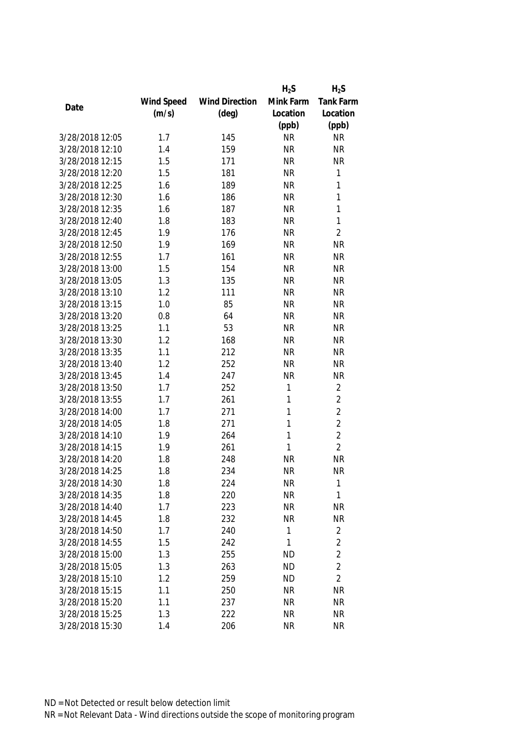|                 |            |                       | $H_2S$      | $H_2S$         |
|-----------------|------------|-----------------------|-------------|----------------|
|                 | Wind Speed | <b>Wind Direction</b> | Mink Farm   | Tank Farm      |
| Date            | (m/s)      | $(\text{deg})$        | Location    | Location       |
|                 |            |                       | (ppb)       | (ppb)          |
| 3/28/2018 12:05 | 1.7        | 145                   | <b>NR</b>   | <b>NR</b>      |
| 3/28/2018 12:10 | 1.4        | 159                   | <b>NR</b>   | <b>NR</b>      |
| 3/28/2018 12:15 | 1.5        | 171                   | <b>NR</b>   | <b>NR</b>      |
| 3/28/2018 12:20 | 1.5        | 181                   | <b>NR</b>   | 1              |
| 3/28/2018 12:25 | 1.6        | 189                   | <b>NR</b>   | 1              |
| 3/28/2018 12:30 | 1.6        | 186                   | <b>NR</b>   | 1              |
| 3/28/2018 12:35 | 1.6        | 187                   | <b>NR</b>   | 1              |
| 3/28/2018 12:40 | 1.8        | 183                   | <b>NR</b>   | 1              |
| 3/28/2018 12:45 | 1.9        | 176                   | <b>NR</b>   | $\overline{2}$ |
| 3/28/2018 12:50 | 1.9        | 169                   | <b>NR</b>   | <b>NR</b>      |
| 3/28/2018 12:55 | 1.7        | 161                   | <b>NR</b>   | <b>NR</b>      |
| 3/28/2018 13:00 | 1.5        | 154                   | <b>NR</b>   | <b>NR</b>      |
| 3/28/2018 13:05 | 1.3        | 135                   | <b>NR</b>   | <b>NR</b>      |
| 3/28/2018 13:10 | 1.2        | 111                   | <b>NR</b>   | <b>NR</b>      |
| 3/28/2018 13:15 | 1.0        | 85                    | <b>NR</b>   | <b>NR</b>      |
| 3/28/2018 13:20 | 0.8        | 64                    | <b>NR</b>   | <b>NR</b>      |
| 3/28/2018 13:25 | 1.1        | 53                    | <b>NR</b>   | <b>NR</b>      |
| 3/28/2018 13:30 | 1.2        | 168                   | <b>NR</b>   | <b>NR</b>      |
| 3/28/2018 13:35 | 1.1        | 212                   | <b>NR</b>   | <b>NR</b>      |
| 3/28/2018 13:40 | 1.2        | 252                   | <b>NR</b>   | <b>NR</b>      |
| 3/28/2018 13:45 | 1.4        | 247                   | <b>NR</b>   | <b>NR</b>      |
| 3/28/2018 13:50 | 1.7        | 252                   | $\mathbf 1$ | $\overline{2}$ |
| 3/28/2018 13:55 | 1.7        | 261                   | 1           | $\overline{2}$ |
| 3/28/2018 14:00 | 1.7        | 271                   | 1           | $\overline{2}$ |
| 3/28/2018 14:05 | 1.8        | 271                   | 1           | $\overline{2}$ |
| 3/28/2018 14:10 | 1.9        | 264                   | 1           | $\overline{2}$ |
| 3/28/2018 14:15 | 1.9        | 261                   | 1           | $\overline{2}$ |
| 3/28/2018 14:20 | 1.8        | 248                   | <b>NR</b>   | <b>NR</b>      |
| 3/28/2018 14:25 | 1.8        | 234                   | <b>NR</b>   | <b>NR</b>      |
| 3/28/2018 14:30 | 1.8        | 224                   | <b>NR</b>   | 1              |
| 3/28/2018 14:35 | 1.8        | 220                   | <b>NR</b>   | 1              |
| 3/28/2018 14:40 | 1.7        | 223                   | <b>NR</b>   | NR             |
| 3/28/2018 14:45 | 1.8        | 232                   | <b>NR</b>   | <b>NR</b>      |
| 3/28/2018 14:50 | 1.7        | 240                   | 1           | 2              |
| 3/28/2018 14:55 | 1.5        | 242                   | 1           | $\overline{2}$ |
| 3/28/2018 15:00 | 1.3        | 255                   | <b>ND</b>   | $\overline{2}$ |
| 3/28/2018 15:05 | 1.3        | 263                   | <b>ND</b>   | $\overline{2}$ |
| 3/28/2018 15:10 | 1.2        | 259                   | <b>ND</b>   | $\overline{2}$ |
| 3/28/2018 15:15 | 1.1        | 250                   | <b>NR</b>   | <b>NR</b>      |
| 3/28/2018 15:20 | 1.1        | 237                   | <b>NR</b>   | <b>NR</b>      |
| 3/28/2018 15:25 | 1.3        | 222                   | <b>NR</b>   | <b>NR</b>      |
| 3/28/2018 15:30 | 1.4        | 206                   | <b>NR</b>   | <b>NR</b>      |
|                 |            |                       |             |                |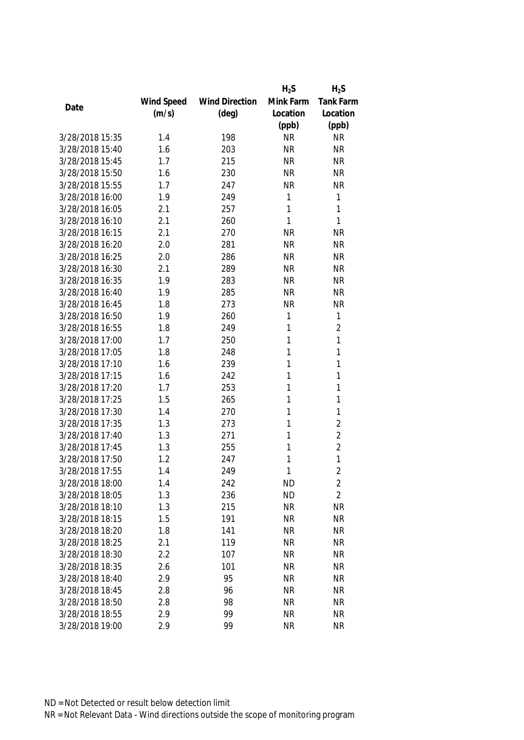|                 |            |                       | $H_2S$    | $H_2S$         |
|-----------------|------------|-----------------------|-----------|----------------|
|                 | Wind Speed | <b>Wind Direction</b> | Mink Farm | Tank Farm      |
| Date            | (m/s)      | $(\text{deg})$        | Location  | Location       |
|                 |            |                       | (ppb)     | (ppb)          |
| 3/28/2018 15:35 | 1.4        | 198                   | <b>NR</b> | <b>NR</b>      |
| 3/28/2018 15:40 | 1.6        | 203                   | <b>NR</b> | <b>NR</b>      |
| 3/28/2018 15:45 | 1.7        | 215                   | <b>NR</b> | <b>NR</b>      |
| 3/28/2018 15:50 | 1.6        | 230                   | <b>NR</b> | <b>NR</b>      |
| 3/28/2018 15:55 | 1.7        | 247                   | <b>NR</b> | <b>NR</b>      |
| 3/28/2018 16:00 | 1.9        | 249                   | 1         | 1              |
| 3/28/2018 16:05 | 2.1        | 257                   | 1         | 1              |
| 3/28/2018 16:10 | 2.1        | 260                   | 1         | 1              |
| 3/28/2018 16:15 | 2.1        | 270                   | <b>NR</b> | <b>NR</b>      |
| 3/28/2018 16:20 | 2.0        | 281                   | <b>NR</b> | <b>NR</b>      |
| 3/28/2018 16:25 | 2.0        | 286                   | <b>NR</b> | <b>NR</b>      |
| 3/28/2018 16:30 | 2.1        | 289                   | <b>NR</b> | <b>NR</b>      |
| 3/28/2018 16:35 | 1.9        | 283                   | <b>NR</b> | <b>NR</b>      |
| 3/28/2018 16:40 | 1.9        | 285                   | <b>NR</b> | <b>NR</b>      |
| 3/28/2018 16:45 | 1.8        | 273                   | <b>NR</b> | <b>NR</b>      |
| 3/28/2018 16:50 | 1.9        | 260                   | 1         | 1              |
| 3/28/2018 16:55 | 1.8        | 249                   | 1         | $\overline{2}$ |
| 3/28/2018 17:00 | 1.7        | 250                   | 1         | 1              |
| 3/28/2018 17:05 | 1.8        | 248                   | 1         | 1              |
| 3/28/2018 17:10 | 1.6        | 239                   | 1         | 1              |
| 3/28/2018 17:15 | 1.6        | 242                   | 1         | 1              |
| 3/28/2018 17:20 | 1.7        | 253                   | 1         | 1              |
| 3/28/2018 17:25 | 1.5        | 265                   | 1         | 1              |
| 3/28/2018 17:30 | 1.4        | 270                   | 1         | 1              |
| 3/28/2018 17:35 | 1.3        | 273                   | 1         | $\overline{2}$ |
| 3/28/2018 17:40 | 1.3        | 271                   | 1         | $\overline{2}$ |
| 3/28/2018 17:45 | 1.3        | 255                   | 1         | $\overline{2}$ |
| 3/28/2018 17:50 | 1.2        | 247                   | 1         | 1              |
| 3/28/2018 17:55 | 1.4        | 249                   | 1         | $\overline{2}$ |
| 3/28/2018 18:00 | 1.4        | 242                   | <b>ND</b> | 2              |
| 3/28/2018 18:05 | 1.3        | 236                   | <b>ND</b> | $\overline{2}$ |
| 3/28/2018 18:10 | 1.3        | 215                   | <b>NR</b> | <b>NR</b>      |
| 3/28/2018 18:15 | 1.5        | 191                   | <b>NR</b> | <b>NR</b>      |
| 3/28/2018 18:20 | 1.8        | 141                   | <b>NR</b> | <b>NR</b>      |
| 3/28/2018 18:25 | 2.1        | 119                   | <b>NR</b> | <b>NR</b>      |
| 3/28/2018 18:30 | 2.2        | 107                   | <b>NR</b> | <b>NR</b>      |
| 3/28/2018 18:35 | 2.6        | 101                   | <b>NR</b> | <b>NR</b>      |
| 3/28/2018 18:40 | 2.9        | 95                    | <b>NR</b> | <b>NR</b>      |
| 3/28/2018 18:45 | 2.8        | 96                    | <b>NR</b> | <b>NR</b>      |
| 3/28/2018 18:50 | 2.8        | 98                    | <b>NR</b> | <b>NR</b>      |
| 3/28/2018 18:55 | 2.9        | 99                    | <b>NR</b> | <b>NR</b>      |
| 3/28/2018 19:00 | 2.9        | 99                    | <b>NR</b> | <b>NR</b>      |
|                 |            |                       |           |                |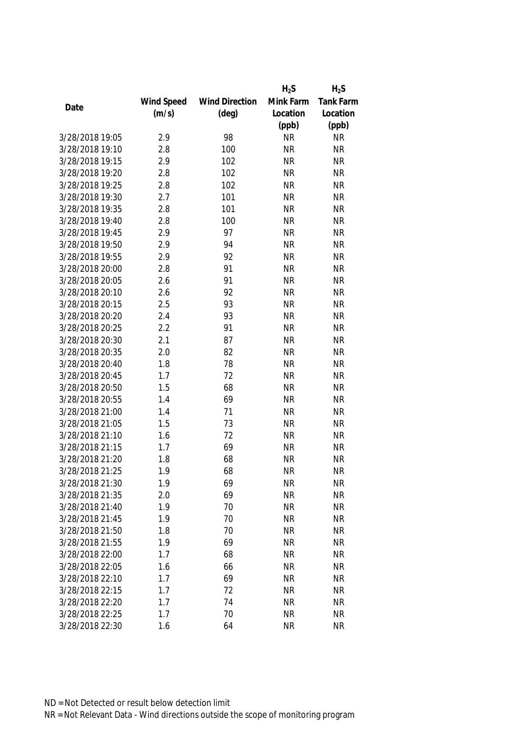|                 |            |                       | $H_2S$    | $H_2S$           |
|-----------------|------------|-----------------------|-----------|------------------|
|                 | Wind Speed | <b>Wind Direction</b> | Mink Farm | <b>Tank Farm</b> |
| Date            | (m/s)      | $(\text{deg})$        | Location  | Location         |
|                 |            |                       | (ppb)     | (ppb)            |
| 3/28/2018 19:05 | 2.9        | 98                    | <b>NR</b> | <b>NR</b>        |
| 3/28/2018 19:10 | 2.8        | 100                   | <b>NR</b> | <b>NR</b>        |
| 3/28/2018 19:15 | 2.9        | 102                   | <b>NR</b> | <b>NR</b>        |
| 3/28/2018 19:20 | 2.8        | 102                   | <b>NR</b> | <b>NR</b>        |
| 3/28/2018 19:25 | 2.8        | 102                   | <b>NR</b> | <b>NR</b>        |
| 3/28/2018 19:30 | 2.7        | 101                   | <b>NR</b> | <b>NR</b>        |
| 3/28/2018 19:35 | 2.8        | 101                   | <b>NR</b> | <b>NR</b>        |
| 3/28/2018 19:40 | 2.8        | 100                   | <b>NR</b> | <b>NR</b>        |
| 3/28/2018 19:45 | 2.9        | 97                    | <b>NR</b> | <b>NR</b>        |
| 3/28/2018 19:50 | 2.9        | 94                    | <b>NR</b> | <b>NR</b>        |
| 3/28/2018 19:55 | 2.9        | 92                    | <b>NR</b> | <b>NR</b>        |
| 3/28/2018 20:00 | 2.8        | 91                    | <b>NR</b> | <b>NR</b>        |
| 3/28/2018 20:05 | 2.6        | 91                    | <b>NR</b> | <b>NR</b>        |
| 3/28/2018 20:10 | 2.6        | 92                    | <b>NR</b> | <b>NR</b>        |
| 3/28/2018 20:15 | 2.5        | 93                    | <b>NR</b> | <b>NR</b>        |
| 3/28/2018 20:20 | 2.4        | 93                    | <b>NR</b> | <b>NR</b>        |
| 3/28/2018 20:25 | 2.2        | 91                    | <b>NR</b> | <b>NR</b>        |
| 3/28/2018 20:30 | 2.1        | 87                    | <b>NR</b> | <b>NR</b>        |
| 3/28/2018 20:35 | 2.0        | 82                    | <b>NR</b> | <b>NR</b>        |
| 3/28/2018 20:40 | 1.8        | 78                    | <b>NR</b> | <b>NR</b>        |
| 3/28/2018 20:45 | 1.7        | 72                    | <b>NR</b> | <b>NR</b>        |
| 3/28/2018 20:50 | 1.5        | 68                    | <b>NR</b> | <b>NR</b>        |
| 3/28/2018 20:55 | 1.4        | 69                    | <b>NR</b> | <b>NR</b>        |
| 3/28/2018 21:00 | 1.4        | 71                    | <b>NR</b> | <b>NR</b>        |
| 3/28/2018 21:05 | 1.5        | 73                    | <b>NR</b> | <b>NR</b>        |
| 3/28/2018 21:10 | 1.6        | 72                    | <b>NR</b> | <b>NR</b>        |
| 3/28/2018 21:15 | 1.7        | 69                    | <b>NR</b> | <b>NR</b>        |
| 3/28/2018 21:20 | 1.8        | 68                    | <b>NR</b> | <b>NR</b>        |
| 3/28/2018 21:25 | 1.9        | 68                    | <b>NR</b> | <b>NR</b>        |
| 3/28/2018 21:30 | 1.9        | 69                    | <b>NR</b> | <b>NR</b>        |
| 3/28/2018 21:35 | 2.0        | 69                    | <b>NR</b> | <b>NR</b>        |
| 3/28/2018 21:40 | 1.9        | 70                    | <b>NR</b> | <b>NR</b>        |
| 3/28/2018 21:45 | 1.9        | 70                    | <b>NR</b> | <b>NR</b>        |
| 3/28/2018 21:50 | 1.8        | 70                    | <b>NR</b> | <b>NR</b>        |
| 3/28/2018 21:55 | 1.9        | 69                    | <b>NR</b> | <b>NR</b>        |
| 3/28/2018 22:00 | 1.7        | 68                    | <b>NR</b> | <b>NR</b>        |
| 3/28/2018 22:05 | 1.6        | 66                    | <b>NR</b> | <b>NR</b>        |
| 3/28/2018 22:10 | 1.7        | 69                    | <b>NR</b> | <b>NR</b>        |
| 3/28/2018 22:15 | 1.7        | 72                    | <b>NR</b> | <b>NR</b>        |
| 3/28/2018 22:20 | 1.7        | 74                    | <b>NR</b> | <b>NR</b>        |
| 3/28/2018 22:25 | 1.7        | 70                    | <b>NR</b> | <b>NR</b>        |
| 3/28/2018 22:30 | 1.6        | 64                    | <b>NR</b> | <b>NR</b>        |
|                 |            |                       |           |                  |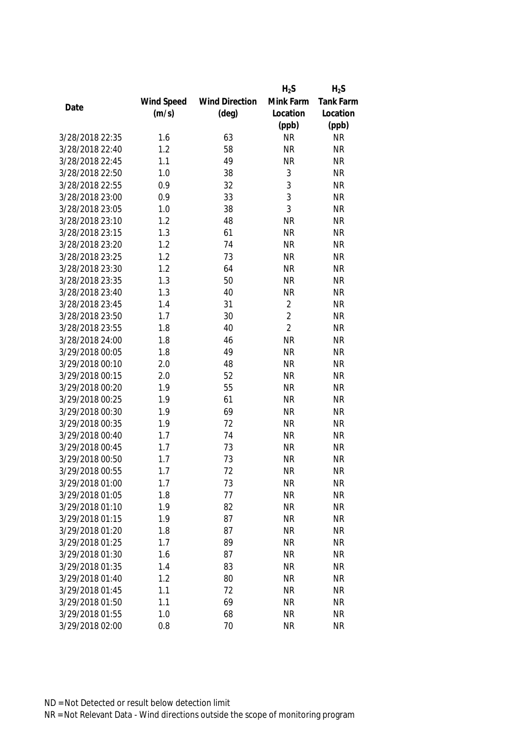|                 |            |                       | $H_2S$         | $H_2S$           |
|-----------------|------------|-----------------------|----------------|------------------|
|                 | Wind Speed | <b>Wind Direction</b> | Mink Farm      | <b>Tank Farm</b> |
| Date            | (m/s)      | $(\text{deg})$        | Location       | Location         |
|                 |            |                       | (ppb)          | (ppb)            |
| 3/28/2018 22:35 | 1.6        | 63                    | <b>NR</b>      | <b>NR</b>        |
| 3/28/2018 22:40 | 1.2        | 58                    | <b>NR</b>      | <b>NR</b>        |
| 3/28/2018 22:45 | 1.1        | 49                    | <b>NR</b>      | <b>NR</b>        |
| 3/28/2018 22:50 | 1.0        | 38                    | 3              | <b>NR</b>        |
| 3/28/2018 22:55 | 0.9        | 32                    | 3              | <b>NR</b>        |
| 3/28/2018 23:00 | 0.9        | 33                    | 3              | <b>NR</b>        |
| 3/28/2018 23:05 | 1.0        | 38                    | 3              | <b>NR</b>        |
| 3/28/2018 23:10 | 1.2        | 48                    | <b>NR</b>      | <b>NR</b>        |
| 3/28/2018 23:15 | 1.3        | 61                    | <b>NR</b>      | <b>NR</b>        |
| 3/28/2018 23:20 | 1.2        | 74                    | <b>NR</b>      | <b>NR</b>        |
| 3/28/2018 23:25 | 1.2        | 73                    | <b>NR</b>      | <b>NR</b>        |
| 3/28/2018 23:30 | 1.2        | 64                    | <b>NR</b>      | <b>NR</b>        |
| 3/28/2018 23:35 | 1.3        | 50                    | <b>NR</b>      | <b>NR</b>        |
| 3/28/2018 23:40 | 1.3        | 40                    | <b>NR</b>      | <b>NR</b>        |
| 3/28/2018 23:45 | 1.4        | 31                    | $\overline{2}$ | <b>NR</b>        |
| 3/28/2018 23:50 | 1.7        | 30                    | $\overline{2}$ | <b>NR</b>        |
| 3/28/2018 23:55 | 1.8        | 40                    | $\overline{2}$ | <b>NR</b>        |
| 3/28/2018 24:00 | 1.8        | 46                    | <b>NR</b>      | <b>NR</b>        |
| 3/29/2018 00:05 | 1.8        | 49                    | <b>NR</b>      | <b>NR</b>        |
| 3/29/2018 00:10 | 2.0        | 48                    | <b>NR</b>      | <b>NR</b>        |
| 3/29/2018 00:15 | 2.0        | 52                    | <b>NR</b>      | <b>NR</b>        |
| 3/29/2018 00:20 | 1.9        | 55                    | <b>NR</b>      | <b>NR</b>        |
| 3/29/2018 00:25 | 1.9        | 61                    | <b>NR</b>      | <b>NR</b>        |
| 3/29/2018 00:30 | 1.9        | 69                    | <b>NR</b>      | <b>NR</b>        |
| 3/29/2018 00:35 | 1.9        | 72                    | <b>NR</b>      | <b>NR</b>        |
| 3/29/2018 00:40 | 1.7        | 74                    | <b>NR</b>      | <b>NR</b>        |
| 3/29/2018 00:45 | 1.7        | 73                    | <b>NR</b>      | <b>NR</b>        |
| 3/29/2018 00:50 | 1.7        | 73                    | <b>NR</b>      | <b>NR</b>        |
| 3/29/2018 00:55 | 1.7        | 72                    | <b>NR</b>      | <b>NR</b>        |
| 3/29/2018 01:00 | 1.7        | 73                    | <b>NR</b>      | <b>NR</b>        |
| 3/29/2018 01:05 | 1.8        | 77                    | <b>NR</b>      | <b>NR</b>        |
| 3/29/2018 01:10 | 1.9        | 82                    | <b>NR</b>      | <b>NR</b>        |
| 3/29/2018 01:15 | 1.9        | 87                    | <b>NR</b>      | <b>NR</b>        |
| 3/29/2018 01:20 | 1.8        | 87                    | <b>NR</b>      | <b>NR</b>        |
| 3/29/2018 01:25 | 1.7        | 89                    | <b>NR</b>      | <b>NR</b>        |
| 3/29/2018 01:30 | 1.6        | 87                    | <b>NR</b>      | <b>NR</b>        |
| 3/29/2018 01:35 | 1.4        | 83                    | <b>NR</b>      | <b>NR</b>        |
| 3/29/2018 01:40 | 1.2        | 80                    | <b>NR</b>      | <b>NR</b>        |
| 3/29/2018 01:45 | 1.1        | 72                    | <b>NR</b>      | <b>NR</b>        |
| 3/29/2018 01:50 | 1.1        | 69                    | <b>NR</b>      | <b>NR</b>        |
| 3/29/2018 01:55 | 1.0        | 68                    | <b>NR</b>      | <b>NR</b>        |
| 3/29/2018 02:00 | 0.8        | 70                    | <b>NR</b>      | <b>NR</b>        |
|                 |            |                       |                |                  |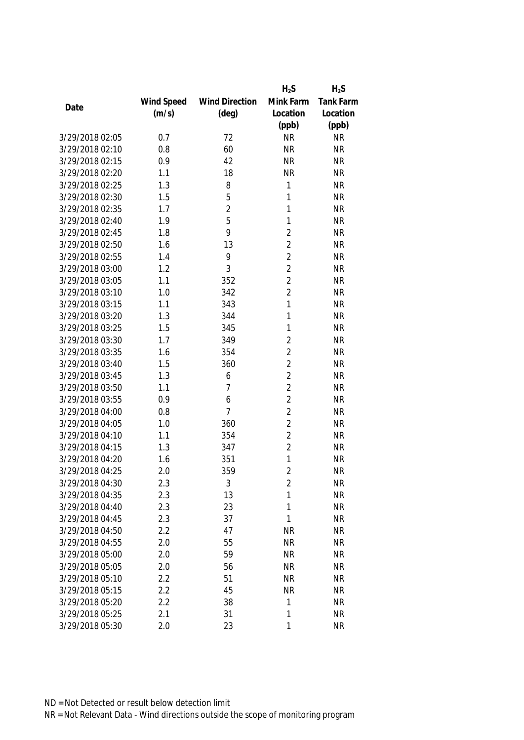|                 |            |                       | $H_2S$         | $H_2S$    |
|-----------------|------------|-----------------------|----------------|-----------|
|                 | Wind Speed | <b>Wind Direction</b> | Mink Farm      | Tank Farm |
| Date            | (m/s)      | $(\text{deg})$        | Location       | Location  |
|                 |            |                       | (ppb)          | (ppb)     |
| 3/29/2018 02:05 | 0.7        | 72                    | <b>NR</b>      | <b>NR</b> |
| 3/29/2018 02:10 | 0.8        | 60                    | <b>NR</b>      | <b>NR</b> |
| 3/29/2018 02:15 | 0.9        | 42                    | <b>NR</b>      | <b>NR</b> |
| 3/29/2018 02:20 | 1.1        | 18                    | <b>NR</b>      | <b>NR</b> |
| 3/29/2018 02:25 | 1.3        | 8                     | 1              | <b>NR</b> |
| 3/29/2018 02:30 | 1.5        | 5                     | 1              | <b>NR</b> |
| 3/29/2018 02:35 | 1.7        | $\overline{2}$        | 1              | <b>NR</b> |
| 3/29/2018 02:40 | 1.9        | 5                     | $\mathbf{1}$   | <b>NR</b> |
| 3/29/2018 02:45 | 1.8        | 9                     | $\overline{2}$ | <b>NR</b> |
| 3/29/2018 02:50 | 1.6        | 13                    | $\overline{2}$ | <b>NR</b> |
| 3/29/2018 02:55 | 1.4        | 9                     | $\overline{2}$ | <b>NR</b> |
| 3/29/2018 03:00 | 1.2        | 3                     | $\overline{2}$ | <b>NR</b> |
| 3/29/2018 03:05 | 1.1        | 352                   | $\overline{2}$ | <b>NR</b> |
| 3/29/2018 03:10 | 1.0        | 342                   | $\overline{2}$ | <b>NR</b> |
| 3/29/2018 03:15 | 1.1        | 343                   | 1              | <b>NR</b> |
| 3/29/2018 03:20 | 1.3        | 344                   | 1              | <b>NR</b> |
| 3/29/2018 03:25 | 1.5        | 345                   | 1              | <b>NR</b> |
| 3/29/2018 03:30 | 1.7        | 349                   | $\overline{2}$ | <b>NR</b> |
| 3/29/2018 03:35 | 1.6        | 354                   | $\overline{2}$ | <b>NR</b> |
| 3/29/2018 03:40 | 1.5        | 360                   | $\overline{2}$ | <b>NR</b> |
| 3/29/2018 03:45 | 1.3        | 6                     | $\overline{2}$ | <b>NR</b> |
| 3/29/2018 03:50 | 1.1        | $\overline{7}$        | $\overline{2}$ | <b>NR</b> |
| 3/29/2018 03:55 | 0.9        | 6                     | $\overline{2}$ | <b>NR</b> |
| 3/29/2018 04:00 | 0.8        | 7                     | $\overline{2}$ | <b>NR</b> |
| 3/29/2018 04:05 | 1.0        | 360                   | $\overline{2}$ | <b>NR</b> |
| 3/29/2018 04:10 | 1.1        | 354                   | $\overline{2}$ | <b>NR</b> |
| 3/29/2018 04:15 | 1.3        | 347                   | $\overline{2}$ | <b>NR</b> |
| 3/29/2018 04:20 | 1.6        | 351                   | 1              | <b>NR</b> |
| 3/29/2018 04:25 | 2.0        | 359                   | $\overline{2}$ | <b>NR</b> |
| 3/29/2018 04:30 | 2.3        | 3                     | 2              | <b>NR</b> |
| 3/29/2018 04:35 | 2.3        | 13                    | 1              | <b>NR</b> |
| 3/29/2018 04:40 | 2.3        | 23                    | 1              | <b>NR</b> |
| 3/29/2018 04:45 | 2.3        | 37                    | 1              | <b>NR</b> |
| 3/29/2018 04:50 | 2.2        | 47                    | <b>NR</b>      | <b>NR</b> |
| 3/29/2018 04:55 | 2.0        | 55                    | <b>NR</b>      | <b>NR</b> |
| 3/29/2018 05:00 | 2.0        | 59                    | <b>NR</b>      | <b>NR</b> |
| 3/29/2018 05:05 | 2.0        | 56                    | <b>NR</b>      | <b>NR</b> |
| 3/29/2018 05:10 | 2.2        | 51                    | <b>NR</b>      | <b>NR</b> |
| 3/29/2018 05:15 | 2.2        | 45                    | <b>NR</b>      | <b>NR</b> |
| 3/29/2018 05:20 | 2.2        | 38                    | 1              | <b>NR</b> |
| 3/29/2018 05:25 | 2.1        | 31                    | 1              | <b>NR</b> |
| 3/29/2018 05:30 | 2.0        | 23                    | 1              | <b>NR</b> |
|                 |            |                       |                |           |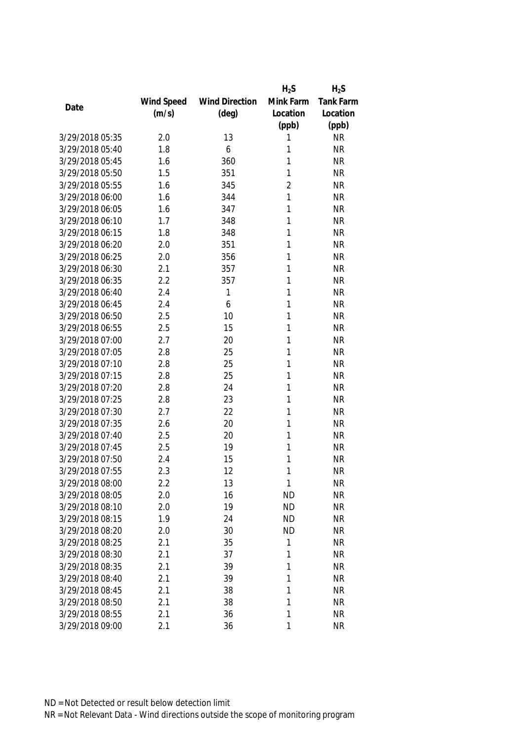|                 |            |                       | $H_2S$         | $H_2S$    |
|-----------------|------------|-----------------------|----------------|-----------|
|                 | Wind Speed | <b>Wind Direction</b> | Mink Farm      | Tank Farm |
| Date            | (m/s)      | $(\text{deg})$        | Location       | Location  |
|                 |            |                       | (ppb)          | (ppb)     |
| 3/29/2018 05:35 | 2.0        | 13                    | 1              | <b>NR</b> |
| 3/29/2018 05:40 | 1.8        | 6                     | 1              | <b>NR</b> |
| 3/29/2018 05:45 | 1.6        | 360                   | 1              | <b>NR</b> |
| 3/29/2018 05:50 | 1.5        | 351                   | 1              | <b>NR</b> |
| 3/29/2018 05:55 | 1.6        | 345                   | $\overline{2}$ | <b>NR</b> |
| 3/29/2018 06:00 | 1.6        | 344                   | 1              | <b>NR</b> |
| 3/29/2018 06:05 | 1.6        | 347                   | 1              | <b>NR</b> |
| 3/29/2018 06:10 | 1.7        | 348                   | 1              | <b>NR</b> |
| 3/29/2018 06:15 | 1.8        | 348                   | 1              | <b>NR</b> |
| 3/29/2018 06:20 | 2.0        | 351                   | 1              | <b>NR</b> |
| 3/29/2018 06:25 | 2.0        | 356                   | 1              | <b>NR</b> |
| 3/29/2018 06:30 | 2.1        | 357                   | 1              | <b>NR</b> |
| 3/29/2018 06:35 | 2.2        | 357                   | 1              | <b>NR</b> |
| 3/29/2018 06:40 | 2.4        | 1                     | 1              | <b>NR</b> |
| 3/29/2018 06:45 | 2.4        | 6                     | 1              | <b>NR</b> |
| 3/29/2018 06:50 | 2.5        | 10                    | 1              | <b>NR</b> |
| 3/29/2018 06:55 | 2.5        | 15                    | 1              | <b>NR</b> |
| 3/29/2018 07:00 | 2.7        | 20                    | 1              | <b>NR</b> |
| 3/29/2018 07:05 | 2.8        | 25                    | 1              | <b>NR</b> |
| 3/29/2018 07:10 | 2.8        | 25                    | 1              | <b>NR</b> |
| 3/29/2018 07:15 | 2.8        | 25                    | 1              | <b>NR</b> |
| 3/29/2018 07:20 | 2.8        | 24                    | 1              | <b>NR</b> |
| 3/29/2018 07:25 | 2.8        | 23                    | 1              | <b>NR</b> |
| 3/29/2018 07:30 | 2.7        | 22                    | 1              | <b>NR</b> |
| 3/29/2018 07:35 | 2.6        | 20                    | 1              | <b>NR</b> |
| 3/29/2018 07:40 | 2.5        | 20                    | 1              | <b>NR</b> |
| 3/29/2018 07:45 | 2.5        | 19                    | 1              | <b>NR</b> |
| 3/29/2018 07:50 | 2.4        | 15                    | 1              | <b>NR</b> |
| 3/29/2018 07:55 | 2.3        | 12                    | 1              | <b>NR</b> |
| 3/29/2018 08:00 | 2.2        | 13                    | 1              | <b>NR</b> |
| 3/29/2018 08:05 | 2.0        | 16                    | <b>ND</b>      | <b>NR</b> |
| 3/29/2018 08:10 | 2.0        | 19                    | <b>ND</b>      | <b>NR</b> |
| 3/29/2018 08:15 | 1.9        | 24                    | <b>ND</b>      | <b>NR</b> |
| 3/29/2018 08:20 | 2.0        | 30                    | <b>ND</b>      | <b>NR</b> |
| 3/29/2018 08:25 | 2.1        | 35                    | 1              | <b>NR</b> |
| 3/29/2018 08:30 | 2.1        | 37                    | 1              | <b>NR</b> |
| 3/29/2018 08:35 | 2.1        | 39                    | 1              | <b>NR</b> |
| 3/29/2018 08:40 | 2.1        | 39                    | 1              | <b>NR</b> |
| 3/29/2018 08:45 | 2.1        | 38                    | 1              | <b>NR</b> |
| 3/29/2018 08:50 | 2.1        | 38                    | 1              | <b>NR</b> |
| 3/29/2018 08:55 | 2.1        | 36                    | 1              | <b>NR</b> |
| 3/29/2018 09:00 | 2.1        | 36                    | 1              | <b>NR</b> |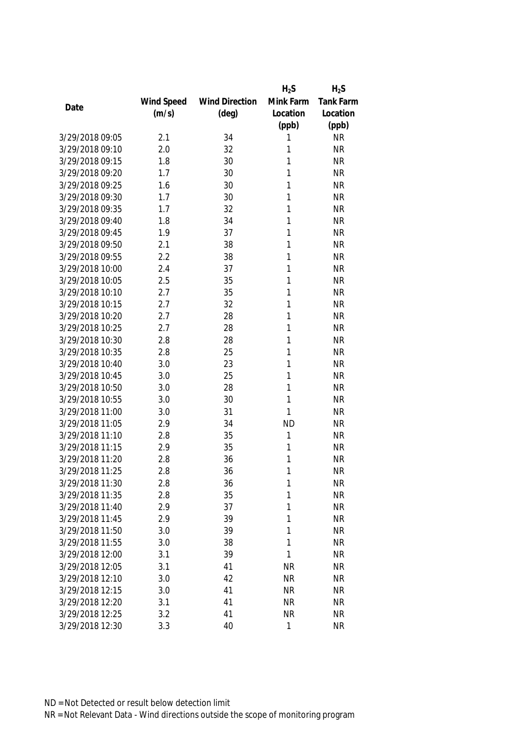|                 |            |                       | $H_2S$    | $H_2S$    |
|-----------------|------------|-----------------------|-----------|-----------|
|                 | Wind Speed | <b>Wind Direction</b> | Mink Farm | Tank Farm |
| Date            | (m/s)      | $(\text{deg})$        | Location  | Location  |
|                 |            |                       | (ppb)     | (ppb)     |
| 3/29/2018 09:05 | 2.1        | 34                    | 1         | <b>NR</b> |
| 3/29/2018 09:10 | 2.0        | 32                    | 1         | <b>NR</b> |
| 3/29/2018 09:15 | 1.8        | 30                    | 1         | <b>NR</b> |
| 3/29/2018 09:20 | 1.7        | 30                    | 1         | <b>NR</b> |
| 3/29/2018 09:25 | 1.6        | 30                    | 1         | <b>NR</b> |
| 3/29/2018 09:30 | 1.7        | 30                    | 1         | <b>NR</b> |
| 3/29/2018 09:35 | 1.7        | 32                    | 1         | <b>NR</b> |
| 3/29/2018 09:40 | 1.8        | 34                    | 1         | <b>NR</b> |
| 3/29/2018 09:45 | 1.9        | 37                    | 1         | <b>NR</b> |
| 3/29/2018 09:50 | 2.1        | 38                    | 1         | <b>NR</b> |
| 3/29/2018 09:55 | 2.2        | 38                    | 1         | <b>NR</b> |
| 3/29/2018 10:00 | 2.4        | 37                    | 1         | <b>NR</b> |
| 3/29/2018 10:05 | 2.5        | 35                    | 1         | <b>NR</b> |
| 3/29/2018 10:10 | 2.7        | 35                    | 1         | <b>NR</b> |
| 3/29/2018 10:15 | 2.7        | 32                    | 1         | <b>NR</b> |
| 3/29/2018 10:20 | 2.7        | 28                    | 1         | <b>NR</b> |
| 3/29/2018 10:25 | 2.7        | 28                    | 1         | <b>NR</b> |
| 3/29/2018 10:30 | 2.8        | 28                    | 1         | <b>NR</b> |
| 3/29/2018 10:35 | 2.8        | 25                    | 1         | <b>NR</b> |
| 3/29/2018 10:40 | 3.0        | 23                    | 1         | <b>NR</b> |
| 3/29/2018 10:45 | 3.0        | 25                    | 1         | <b>NR</b> |
| 3/29/2018 10:50 | 3.0        | 28                    | 1         | <b>NR</b> |
| 3/29/2018 10:55 | 3.0        | 30                    | 1         | <b>NR</b> |
| 3/29/2018 11:00 | 3.0        | 31                    | 1         | <b>NR</b> |
| 3/29/2018 11:05 | 2.9        | 34                    | <b>ND</b> | <b>NR</b> |
| 3/29/2018 11:10 | 2.8        | 35                    | 1         | <b>NR</b> |
| 3/29/2018 11:15 | 2.9        | 35                    | 1         | <b>NR</b> |
| 3/29/2018 11:20 | 2.8        | 36                    | 1         | <b>NR</b> |
| 3/29/2018 11:25 | 2.8        | 36                    | 1         | <b>NR</b> |
| 3/29/2018 11:30 | 2.8        | 36                    | 1         | <b>NR</b> |
| 3/29/2018 11:35 | 2.8        | 35                    | 1         | <b>NR</b> |
| 3/29/2018 11:40 | 2.9        | 37                    | 1         | <b>NR</b> |
| 3/29/2018 11:45 | 2.9        | 39                    | 1         | <b>NR</b> |
| 3/29/2018 11:50 | 3.0        | 39                    | 1         | <b>NR</b> |
| 3/29/2018 11:55 | 3.0        | 38                    | 1         | <b>NR</b> |
| 3/29/2018 12:00 | 3.1        | 39                    | 1         | <b>NR</b> |
| 3/29/2018 12:05 | 3.1        | 41                    | <b>NR</b> | <b>NR</b> |
| 3/29/2018 12:10 | 3.0        | 42                    | <b>NR</b> | <b>NR</b> |
| 3/29/2018 12:15 | 3.0        | 41                    | <b>NR</b> | <b>NR</b> |
| 3/29/2018 12:20 | 3.1        | 41                    | <b>NR</b> | <b>NR</b> |
| 3/29/2018 12:25 | 3.2        | 41                    | <b>NR</b> | NR        |
| 3/29/2018 12:30 | 3.3        | 40                    | 1         | <b>NR</b> |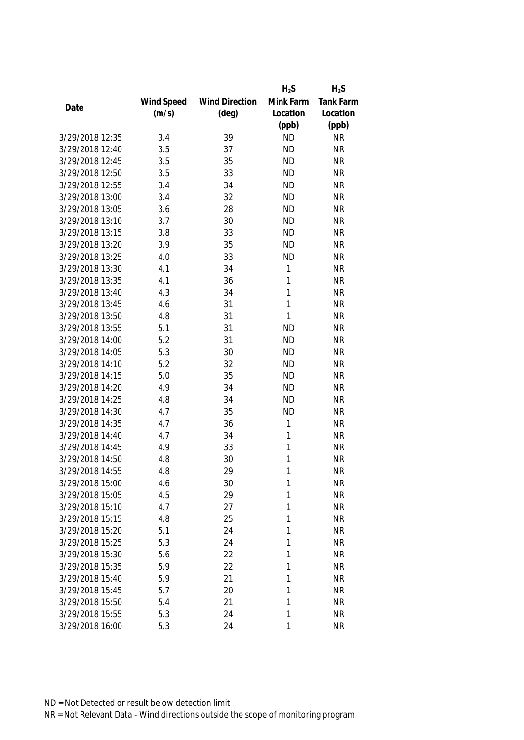|                 |            |                       | $H_2S$       | $H_2S$           |
|-----------------|------------|-----------------------|--------------|------------------|
|                 | Wind Speed | <b>Wind Direction</b> | Mink Farm    | <b>Tank Farm</b> |
| Date            | (m/s)      | $(\text{deg})$        | Location     | Location         |
|                 |            |                       | (ppb)        | (ppb)            |
| 3/29/2018 12:35 | 3.4        | 39                    | <b>ND</b>    | <b>NR</b>        |
| 3/29/2018 12:40 | 3.5        | 37                    | <b>ND</b>    | <b>NR</b>        |
| 3/29/2018 12:45 | 3.5        | 35                    | <b>ND</b>    | <b>NR</b>        |
| 3/29/2018 12:50 | 3.5        | 33                    | <b>ND</b>    | <b>NR</b>        |
| 3/29/2018 12:55 | 3.4        | 34                    | <b>ND</b>    | <b>NR</b>        |
| 3/29/2018 13:00 | 3.4        | 32                    | <b>ND</b>    | <b>NR</b>        |
| 3/29/2018 13:05 | 3.6        | 28                    | <b>ND</b>    | <b>NR</b>        |
| 3/29/2018 13:10 | 3.7        | 30                    | <b>ND</b>    | <b>NR</b>        |
| 3/29/2018 13:15 | 3.8        | 33                    | <b>ND</b>    | <b>NR</b>        |
| 3/29/2018 13:20 | 3.9        | 35                    | <b>ND</b>    | <b>NR</b>        |
| 3/29/2018 13:25 | 4.0        | 33                    | <b>ND</b>    | <b>NR</b>        |
| 3/29/2018 13:30 | 4.1        | 34                    | 1            | <b>NR</b>        |
| 3/29/2018 13:35 | 4.1        | 36                    | 1            | <b>NR</b>        |
| 3/29/2018 13:40 | 4.3        | 34                    | 1            | <b>NR</b>        |
| 3/29/2018 13:45 | 4.6        | 31                    | 1            | <b>NR</b>        |
| 3/29/2018 13:50 | 4.8        | 31                    | $\mathbf{1}$ | <b>NR</b>        |
| 3/29/2018 13:55 | 5.1        | 31                    | <b>ND</b>    | <b>NR</b>        |
| 3/29/2018 14:00 | 5.2        | 31                    | <b>ND</b>    | <b>NR</b>        |
| 3/29/2018 14:05 | 5.3        | 30                    | <b>ND</b>    | <b>NR</b>        |
| 3/29/2018 14:10 | 5.2        | 32                    | <b>ND</b>    | <b>NR</b>        |
| 3/29/2018 14:15 | 5.0        | 35                    | <b>ND</b>    | <b>NR</b>        |
| 3/29/2018 14:20 | 4.9        | 34                    | <b>ND</b>    | <b>NR</b>        |
| 3/29/2018 14:25 | 4.8        | 34                    | <b>ND</b>    | <b>NR</b>        |
| 3/29/2018 14:30 | 4.7        | 35                    | <b>ND</b>    | <b>NR</b>        |
| 3/29/2018 14:35 | 4.7        | 36                    | 1            | <b>NR</b>        |
| 3/29/2018 14:40 | 4.7        | 34                    | 1            | <b>NR</b>        |
| 3/29/2018 14:45 | 4.9        | 33                    | 1            | <b>NR</b>        |
| 3/29/2018 14:50 | 4.8        | 30                    | 1            | <b>NR</b>        |
| 3/29/2018 14:55 | 4.8        | 29                    | 1            | <b>NR</b>        |
| 3/29/2018 15:00 | 4.6        | 30                    | 1            | <b>NR</b>        |
| 3/29/2018 15:05 | 4.5        | 29                    | 1            | <b>NR</b>        |
| 3/29/2018 15:10 | 4.7        | 27                    | 1            | <b>NR</b>        |
| 3/29/2018 15:15 | 4.8        | 25                    | 1            | <b>NR</b>        |
| 3/29/2018 15:20 | 5.1        | 24                    | 1            | <b>NR</b>        |
| 3/29/2018 15:25 | 5.3        | 24                    | 1            | <b>NR</b>        |
| 3/29/2018 15:30 | 5.6        | 22                    | 1            | <b>NR</b>        |
| 3/29/2018 15:35 | 5.9        | 22                    | 1            | <b>NR</b>        |
| 3/29/2018 15:40 | 5.9        | 21                    | 1            | <b>NR</b>        |
| 3/29/2018 15:45 | 5.7        | 20                    | 1            | <b>NR</b>        |
| 3/29/2018 15:50 | 5.4        | 21                    | 1            | <b>NR</b>        |
| 3/29/2018 15:55 | 5.3        | 24                    | 1            | <b>NR</b>        |
| 3/29/2018 16:00 | 5.3        | 24                    | 1            | <b>NR</b>        |
|                 |            |                       |              |                  |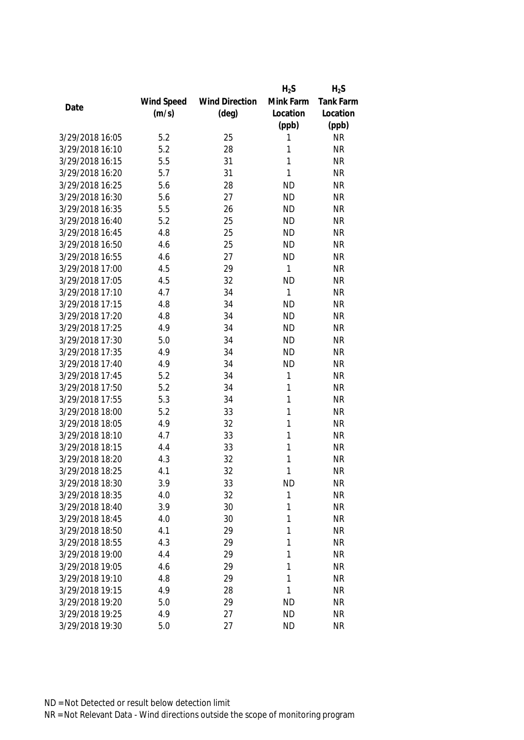|                 |            |                       | $H_2S$       | $H_2S$           |
|-----------------|------------|-----------------------|--------------|------------------|
|                 | Wind Speed | <b>Wind Direction</b> | Mink Farm    | <b>Tank Farm</b> |
| Date            | (m/s)      | $(\text{deg})$        | Location     | Location         |
|                 |            |                       | (ppb)        | (ppb)            |
| 3/29/2018 16:05 | 5.2        | 25                    | 1            | <b>NR</b>        |
| 3/29/2018 16:10 | 5.2        | 28                    | 1            | <b>NR</b>        |
| 3/29/2018 16:15 | 5.5        | 31                    | 1            | <b>NR</b>        |
| 3/29/2018 16:20 | 5.7        | 31                    | 1            | <b>NR</b>        |
| 3/29/2018 16:25 | 5.6        | 28                    | <b>ND</b>    | <b>NR</b>        |
| 3/29/2018 16:30 | 5.6        | 27                    | <b>ND</b>    | <b>NR</b>        |
| 3/29/2018 16:35 | 5.5        | 26                    | <b>ND</b>    | <b>NR</b>        |
| 3/29/2018 16:40 | 5.2        | 25                    | <b>ND</b>    | <b>NR</b>        |
| 3/29/2018 16:45 | 4.8        | 25                    | <b>ND</b>    | <b>NR</b>        |
| 3/29/2018 16:50 | 4.6        | 25                    | <b>ND</b>    | <b>NR</b>        |
| 3/29/2018 16:55 | 4.6        | 27                    | <b>ND</b>    | <b>NR</b>        |
| 3/29/2018 17:00 | 4.5        | 29                    | $\mathbf{1}$ | <b>NR</b>        |
| 3/29/2018 17:05 | 4.5        | 32                    | <b>ND</b>    | <b>NR</b>        |
| 3/29/2018 17:10 | 4.7        | 34                    | 1            | <b>NR</b>        |
| 3/29/2018 17:15 | 4.8        | 34                    | <b>ND</b>    | <b>NR</b>        |
| 3/29/2018 17:20 | 4.8        | 34                    | <b>ND</b>    | <b>NR</b>        |
| 3/29/2018 17:25 | 4.9        | 34                    | <b>ND</b>    | <b>NR</b>        |
| 3/29/2018 17:30 | 5.0        | 34                    | <b>ND</b>    | <b>NR</b>        |
| 3/29/2018 17:35 | 4.9        | 34                    | <b>ND</b>    | <b>NR</b>        |
| 3/29/2018 17:40 | 4.9        | 34                    | <b>ND</b>    | <b>NR</b>        |
| 3/29/2018 17:45 | 5.2        | 34                    | 1            | <b>NR</b>        |
| 3/29/2018 17:50 | 5.2        | 34                    | 1            | <b>NR</b>        |
| 3/29/2018 17:55 | 5.3        | 34                    | 1            | <b>NR</b>        |
| 3/29/2018 18:00 | 5.2        | 33                    | 1            | <b>NR</b>        |
| 3/29/2018 18:05 | 4.9        | 32                    | 1            | <b>NR</b>        |
| 3/29/2018 18:10 | 4.7        | 33                    | 1            | <b>NR</b>        |
| 3/29/2018 18:15 | 4.4        | 33                    | 1            | <b>NR</b>        |
| 3/29/2018 18:20 | 4.3        | 32                    | 1            | <b>NR</b>        |
| 3/29/2018 18:25 | 4.1        | 32                    | 1            | <b>NR</b>        |
| 3/29/2018 18:30 | 3.9        | 33                    | <b>ND</b>    | <b>NR</b>        |
| 3/29/2018 18:35 | 4.0        | 32                    | 1            | <b>NR</b>        |
| 3/29/2018 18:40 | 3.9        | 30                    | 1            | <b>NR</b>        |
| 3/29/2018 18:45 | 4.0        | 30                    | 1            | <b>NR</b>        |
| 3/29/2018 18:50 | 4.1        | 29                    | 1            | <b>NR</b>        |
| 3/29/2018 18:55 | 4.3        | 29                    | 1            | <b>NR</b>        |
| 3/29/2018 19:00 | 4.4        | 29                    | 1            | <b>NR</b>        |
| 3/29/2018 19:05 | 4.6        | 29                    | 1            | <b>NR</b>        |
| 3/29/2018 19:10 | 4.8        | 29                    | 1            | <b>NR</b>        |
| 3/29/2018 19:15 | 4.9        | 28                    | 1            | <b>NR</b>        |
| 3/29/2018 19:20 | 5.0        | 29                    | <b>ND</b>    | <b>NR</b>        |
| 3/29/2018 19:25 | 4.9        | 27                    | <b>ND</b>    | <b>NR</b>        |
|                 |            |                       |              |                  |
| 3/29/2018 19:30 | 5.0        | 27                    | <b>ND</b>    | <b>NR</b>        |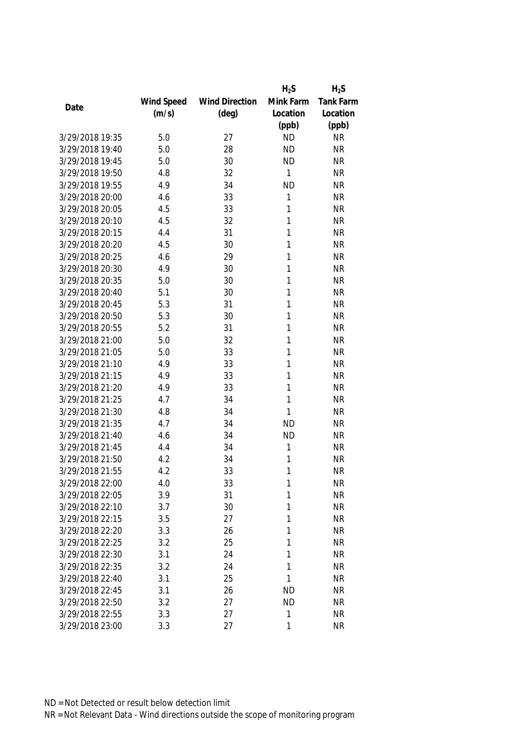|                 |            |                       | $H_2S$    | $H_2S$           |
|-----------------|------------|-----------------------|-----------|------------------|
|                 | Wind Speed | <b>Wind Direction</b> | Mink Farm | <b>Tank Farm</b> |
| Date            | (m/s)      | $(\text{deg})$        | Location  | Location         |
|                 |            |                       | (ppb)     | (ppb)            |
| 3/29/2018 19:35 | 5.0        | 27                    | <b>ND</b> | <b>NR</b>        |
| 3/29/2018 19:40 | 5.0        | 28                    | <b>ND</b> | <b>NR</b>        |
| 3/29/2018 19:45 | 5.0        | 30                    | <b>ND</b> | <b>NR</b>        |
| 3/29/2018 19:50 | 4.8        | 32                    | 1         | <b>NR</b>        |
| 3/29/2018 19:55 | 4.9        | 34                    | <b>ND</b> | <b>NR</b>        |
| 3/29/2018 20:00 | 4.6        | 33                    | 1         | <b>NR</b>        |
| 3/29/2018 20:05 | 4.5        | 33                    | 1         | <b>NR</b>        |
| 3/29/2018 20:10 | 4.5        | 32                    | 1         | <b>NR</b>        |
| 3/29/2018 20:15 | 4.4        | 31                    | 1         | <b>NR</b>        |
| 3/29/2018 20:20 | 4.5        | 30                    | 1         | <b>NR</b>        |
| 3/29/2018 20:25 | 4.6        | 29                    | 1         | <b>NR</b>        |
| 3/29/2018 20:30 | 4.9        | 30                    | 1         | <b>NR</b>        |
| 3/29/2018 20:35 | 5.0        | 30                    | 1         | <b>NR</b>        |
| 3/29/2018 20:40 | 5.1        | 30                    | 1         | <b>NR</b>        |
| 3/29/2018 20:45 | 5.3        | 31                    | 1         | <b>NR</b>        |
| 3/29/2018 20:50 | 5.3        | 30                    | 1         | <b>NR</b>        |
| 3/29/2018 20:55 | 5.2        | 31                    | 1         | <b>NR</b>        |
| 3/29/2018 21:00 | 5.0        | 32                    | 1         | <b>NR</b>        |
| 3/29/2018 21:05 | 5.0        | 33                    | 1         | <b>NR</b>        |
| 3/29/2018 21:10 | 4.9        | 33                    | 1         | <b>NR</b>        |
| 3/29/2018 21:15 | 4.9        | 33                    | 1         | <b>NR</b>        |
| 3/29/2018 21:20 | 4.9        | 33                    | 1         | <b>NR</b>        |
| 3/29/2018 21:25 | 4.7        | 34                    | 1         | <b>NR</b>        |
| 3/29/2018 21:30 | 4.8        | 34                    | 1         | <b>NR</b>        |
| 3/29/2018 21:35 | 4.7        | 34                    | <b>ND</b> | <b>NR</b>        |
| 3/29/2018 21:40 | 4.6        | 34                    | <b>ND</b> | <b>NR</b>        |
| 3/29/2018 21:45 | 4.4        | 34                    | 1         | <b>NR</b>        |
| 3/29/2018 21:50 | 4.2        | 34                    | 1         | <b>NR</b>        |
| 3/29/2018 21:55 | 4.2        | 33                    | 1         | <b>NR</b>        |
| 3/29/2018 22:00 | 4.0        | 33                    | 1         | <b>NR</b>        |
| 3/29/2018 22:05 | 3.9        | 31                    | 1         | <b>NR</b>        |
| 3/29/2018 22:10 | 3.7        | 30                    | 1         | <b>NR</b>        |
| 3/29/2018 22:15 | 3.5        | 27                    | 1         | <b>NR</b>        |
| 3/29/2018 22:20 | 3.3        | 26                    | 1         | <b>NR</b>        |
| 3/29/2018 22:25 | 3.2        | 25                    | 1         | <b>NR</b>        |
| 3/29/2018 22:30 | 3.1        | 24                    | 1         | <b>NR</b>        |
| 3/29/2018 22:35 | 3.2        | 24                    | 1         | <b>NR</b>        |
| 3/29/2018 22:40 | 3.1        | 25                    | 1         | <b>NR</b>        |
| 3/29/2018 22:45 | 3.1        | 26                    | <b>ND</b> | <b>NR</b>        |
| 3/29/2018 22:50 | 3.2        | 27                    | <b>ND</b> | <b>NR</b>        |
| 3/29/2018 22:55 | 3.3        | 27                    | 1         | <b>NR</b>        |
| 3/29/2018 23:00 | 3.3        | 27                    | 1         | <b>NR</b>        |
|                 |            |                       |           |                  |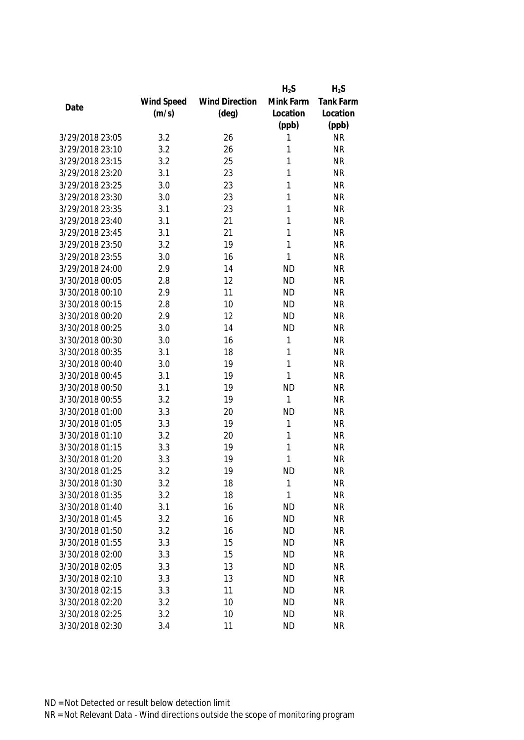|                 |            |                       | $H_2S$    | $H_2S$    |
|-----------------|------------|-----------------------|-----------|-----------|
|                 | Wind Speed | <b>Wind Direction</b> | Mink Farm | Tank Farm |
| Date            | (m/s)      | $(\text{deg})$        | Location  | Location  |
|                 |            |                       | (ppb)     | (ppb)     |
| 3/29/2018 23:05 | 3.2        | 26                    | 1         | <b>NR</b> |
| 3/29/2018 23:10 | 3.2        | 26                    | 1         | <b>NR</b> |
| 3/29/2018 23:15 | 3.2        | 25                    | 1         | <b>NR</b> |
| 3/29/2018 23:20 | 3.1        | 23                    | 1         | <b>NR</b> |
| 3/29/2018 23:25 | 3.0        | 23                    | 1         | <b>NR</b> |
| 3/29/2018 23:30 | 3.0        | 23                    | 1         | <b>NR</b> |
| 3/29/2018 23:35 | 3.1        | 23                    | 1         | <b>NR</b> |
| 3/29/2018 23:40 | 3.1        | 21                    | 1         | <b>NR</b> |
| 3/29/2018 23:45 | 3.1        | 21                    | 1         | <b>NR</b> |
| 3/29/2018 23:50 | 3.2        | 19                    | 1         | <b>NR</b> |
| 3/29/2018 23:55 | 3.0        | 16                    | 1         | <b>NR</b> |
| 3/29/2018 24:00 | 2.9        | 14                    | <b>ND</b> | <b>NR</b> |
| 3/30/2018 00:05 | 2.8        | 12                    | <b>ND</b> | <b>NR</b> |
| 3/30/2018 00:10 | 2.9        | 11                    | <b>ND</b> | <b>NR</b> |
| 3/30/2018 00:15 | 2.8        | 10                    | <b>ND</b> | <b>NR</b> |
| 3/30/2018 00:20 | 2.9        | 12                    | <b>ND</b> | <b>NR</b> |
| 3/30/2018 00:25 | 3.0        | 14                    | <b>ND</b> | <b>NR</b> |
| 3/30/2018 00:30 | 3.0        | 16                    | 1         | <b>NR</b> |
| 3/30/2018 00:35 | 3.1        | 18                    | 1         | <b>NR</b> |
| 3/30/2018 00:40 | 3.0        | 19                    | 1         | <b>NR</b> |
| 3/30/2018 00:45 | 3.1        | 19                    | 1         | <b>NR</b> |
| 3/30/2018 00:50 | 3.1        | 19                    | <b>ND</b> | <b>NR</b> |
| 3/30/2018 00:55 | 3.2        | 19                    | 1         | <b>NR</b> |
| 3/30/2018 01:00 | 3.3        | 20                    | <b>ND</b> | <b>NR</b> |
| 3/30/2018 01:05 | 3.3        | 19                    | 1         | <b>NR</b> |
| 3/30/2018 01:10 | 3.2        | 20                    | 1         | <b>NR</b> |
| 3/30/2018 01:15 | 3.3        | 19                    | 1         | <b>NR</b> |
| 3/30/2018 01:20 | 3.3        | 19                    | 1         | <b>NR</b> |
| 3/30/2018 01:25 | 3.2        | 19                    | <b>ND</b> | <b>NR</b> |
| 3/30/2018 01:30 | 3.2        | 18                    | 1         | <b>NR</b> |
| 3/30/2018 01:35 | 3.2        | 18                    | 1         | <b>NR</b> |
| 3/30/2018 01:40 | 3.1        | 16                    | <b>ND</b> | <b>NR</b> |
| 3/30/2018 01:45 | 3.2        | 16                    | <b>ND</b> | <b>NR</b> |
| 3/30/2018 01:50 | 3.2        | 16                    | <b>ND</b> | <b>NR</b> |
| 3/30/2018 01:55 | 3.3        | 15                    | <b>ND</b> | <b>NR</b> |
| 3/30/2018 02:00 | 3.3        | 15                    | <b>ND</b> | <b>NR</b> |
| 3/30/2018 02:05 | 3.3        | 13                    | <b>ND</b> | <b>NR</b> |
| 3/30/2018 02:10 | 3.3        | 13                    | <b>ND</b> | <b>NR</b> |
| 3/30/2018 02:15 | 3.3        | 11                    | <b>ND</b> | <b>NR</b> |
| 3/30/2018 02:20 | 3.2        | 10                    | <b>ND</b> | <b>NR</b> |
| 3/30/2018 02:25 | 3.2        | 10                    | <b>ND</b> | <b>NR</b> |
|                 |            |                       |           |           |
| 3/30/2018 02:30 | 3.4        | 11                    | <b>ND</b> | <b>NR</b> |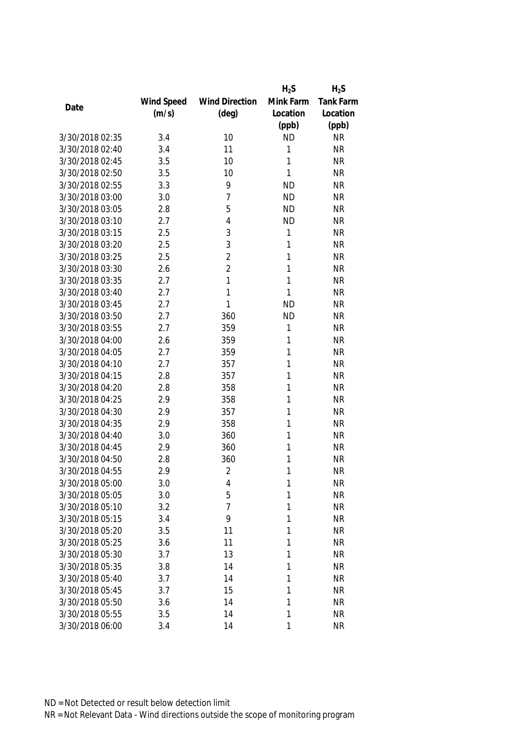|                 |            |                       | $H_2S$    | $H_2S$           |
|-----------------|------------|-----------------------|-----------|------------------|
|                 | Wind Speed | <b>Wind Direction</b> | Mink Farm | <b>Tank Farm</b> |
| Date            | (m/s)      | $(\text{deg})$        | Location  | Location         |
|                 |            |                       | (ppb)     | (ppb)            |
| 3/30/2018 02:35 | 3.4        | 10                    | <b>ND</b> | <b>NR</b>        |
| 3/30/2018 02:40 | 3.4        | 11                    | 1         | <b>NR</b>        |
| 3/30/2018 02:45 | 3.5        | 10                    | 1         | <b>NR</b>        |
| 3/30/2018 02:50 | 3.5        | 10                    | 1         | <b>NR</b>        |
| 3/30/2018 02:55 | 3.3        | 9                     | <b>ND</b> | <b>NR</b>        |
| 3/30/2018 03:00 | 3.0        | 7                     | <b>ND</b> | <b>NR</b>        |
| 3/30/2018 03:05 | 2.8        | 5                     | <b>ND</b> | <b>NR</b>        |
| 3/30/2018 03:10 | 2.7        | 4                     | <b>ND</b> | <b>NR</b>        |
| 3/30/2018 03:15 | 2.5        | 3                     | 1         | <b>NR</b>        |
| 3/30/2018 03:20 | 2.5        | 3                     | 1         | <b>NR</b>        |
| 3/30/2018 03:25 | 2.5        | $\overline{2}$        | 1         | <b>NR</b>        |
| 3/30/2018 03:30 | 2.6        | $\overline{2}$        | 1         | <b>NR</b>        |
| 3/30/2018 03:35 | 2.7        | 1                     | 1         | <b>NR</b>        |
| 3/30/2018 03:40 | 2.7        | 1                     | 1         | <b>NR</b>        |
| 3/30/2018 03:45 | 2.7        | 1                     | <b>ND</b> | <b>NR</b>        |
| 3/30/2018 03:50 | 2.7        | 360                   | <b>ND</b> | <b>NR</b>        |
| 3/30/2018 03:55 | 2.7        | 359                   | 1         | <b>NR</b>        |
| 3/30/2018 04:00 | 2.6        | 359                   | 1         | <b>NR</b>        |
| 3/30/2018 04:05 | 2.7        | 359                   | 1         | <b>NR</b>        |
| 3/30/2018 04:10 | 2.7        | 357                   | 1         | <b>NR</b>        |
| 3/30/2018 04:15 | 2.8        | 357                   | 1         | <b>NR</b>        |
| 3/30/2018 04:20 | 2.8        | 358                   | 1         | <b>NR</b>        |
| 3/30/2018 04:25 | 2.9        | 358                   | 1         | <b>NR</b>        |
| 3/30/2018 04:30 | 2.9        | 357                   | 1         | <b>NR</b>        |
| 3/30/2018 04:35 | 2.9        | 358                   | 1         | <b>NR</b>        |
| 3/30/2018 04:40 | 3.0        | 360                   | 1         | <b>NR</b>        |
| 3/30/2018 04:45 | 2.9        | 360                   | 1         | <b>NR</b>        |
| 3/30/2018 04:50 | 2.8        | 360                   | 1         | <b>NR</b>        |
| 3/30/2018 04:55 | 2.9        | $\overline{2}$        | 1         | <b>NR</b>        |
| 3/30/2018 05:00 | 3.0        | 4                     | 1         | <b>NR</b>        |
| 3/30/2018 05:05 | 3.0        | 5                     | 1         | <b>NR</b>        |
| 3/30/2018 05:10 | 3.2        | 7                     | 1         | <b>NR</b>        |
| 3/30/2018 05:15 | 3.4        | 9                     | 1         | <b>NR</b>        |
| 3/30/2018 05:20 | 3.5        | 11                    | 1         | <b>NR</b>        |
| 3/30/2018 05:25 | 3.6        | 11                    | 1         | <b>NR</b>        |
| 3/30/2018 05:30 | 3.7        | 13                    | 1         | <b>NR</b>        |
| 3/30/2018 05:35 | 3.8        | 14                    | 1         | <b>NR</b>        |
| 3/30/2018 05:40 | 3.7        | 14                    | 1         | <b>NR</b>        |
| 3/30/2018 05:45 | 3.7        | 15                    | 1         | <b>NR</b>        |
| 3/30/2018 05:50 | 3.6        | 14                    | 1         | <b>NR</b>        |
| 3/30/2018 05:55 | 3.5        | 14                    | 1         | <b>NR</b>        |
| 3/30/2018 06:00 | 3.4        | 14                    | 1         | <b>NR</b>        |
|                 |            |                       |           |                  |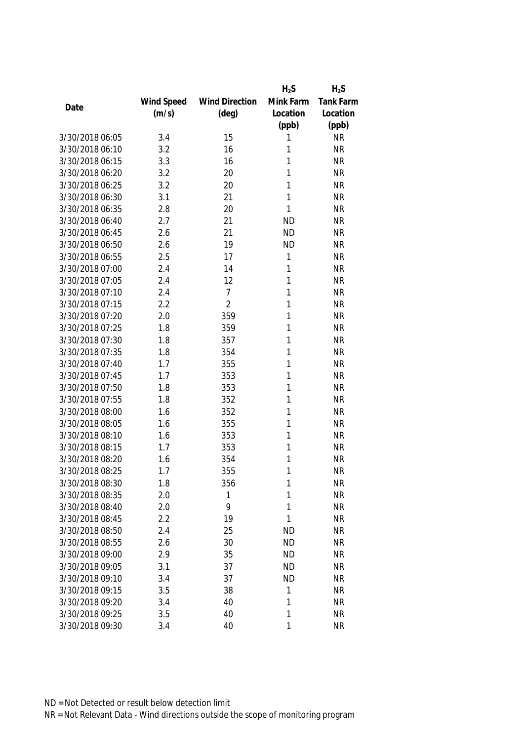|                 |            |                       | $H_2S$    | $H_2S$           |
|-----------------|------------|-----------------------|-----------|------------------|
|                 | Wind Speed | <b>Wind Direction</b> | Mink Farm | <b>Tank Farm</b> |
| Date            | (m/s)      | $(\text{deg})$        | Location  | Location         |
|                 |            |                       | (ppb)     | (ppb)            |
| 3/30/2018 06:05 | 3.4        | 15                    | 1         | <b>NR</b>        |
| 3/30/2018 06:10 | 3.2        | 16                    | 1         | <b>NR</b>        |
| 3/30/2018 06:15 | 3.3        | 16                    | 1         | <b>NR</b>        |
| 3/30/2018 06:20 | 3.2        | 20                    | 1         | <b>NR</b>        |
| 3/30/2018 06:25 | 3.2        | 20                    | 1         | <b>NR</b>        |
| 3/30/2018 06:30 | 3.1        | 21                    | 1         | <b>NR</b>        |
| 3/30/2018 06:35 | 2.8        | 20                    | 1         | <b>NR</b>        |
| 3/30/2018 06:40 | 2.7        | 21                    | <b>ND</b> | <b>NR</b>        |
| 3/30/2018 06:45 | 2.6        | 21                    | <b>ND</b> | <b>NR</b>        |
| 3/30/2018 06:50 | 2.6        | 19                    | <b>ND</b> | <b>NR</b>        |
| 3/30/2018 06:55 | 2.5        | 17                    | 1         | <b>NR</b>        |
| 3/30/2018 07:00 | 2.4        | 14                    | 1         | <b>NR</b>        |
| 3/30/2018 07:05 | 2.4        | 12                    | 1         | <b>NR</b>        |
| 3/30/2018 07:10 | 2.4        | $\overline{7}$        | 1         | <b>NR</b>        |
| 3/30/2018 07:15 | 2.2        | $\overline{2}$        | 1         | <b>NR</b>        |
| 3/30/2018 07:20 | 2.0        | 359                   | 1         | <b>NR</b>        |
| 3/30/2018 07:25 | 1.8        | 359                   | 1         | <b>NR</b>        |
| 3/30/2018 07:30 | 1.8        | 357                   | 1         | <b>NR</b>        |
| 3/30/2018 07:35 | 1.8        | 354                   | 1         | <b>NR</b>        |
| 3/30/2018 07:40 | 1.7        | 355                   | 1         | <b>NR</b>        |
| 3/30/2018 07:45 | 1.7        | 353                   | 1         | <b>NR</b>        |
| 3/30/2018 07:50 | 1.8        | 353                   | 1         | <b>NR</b>        |
| 3/30/2018 07:55 | 1.8        | 352                   | 1         | <b>NR</b>        |
| 3/30/2018 08:00 | 1.6        | 352                   | 1         | <b>NR</b>        |
| 3/30/2018 08:05 | 1.6        | 355                   | 1         | <b>NR</b>        |
| 3/30/2018 08:10 | 1.6        | 353                   | 1         | <b>NR</b>        |
| 3/30/2018 08:15 | 1.7        | 353                   | 1         | <b>NR</b>        |
| 3/30/2018 08:20 | 1.6        | 354                   | 1         | <b>NR</b>        |
| 3/30/2018 08:25 | 1.7        | 355                   | 1         | <b>NR</b>        |
| 3/30/2018 08:30 | 1.8        | 356                   | 1         | <b>NR</b>        |
| 3/30/2018 08:35 | 2.0        | 1                     | 1         | <b>NR</b>        |
| 3/30/2018 08:40 | 2.0        | 9                     | 1         | <b>NR</b>        |
| 3/30/2018 08:45 | 2.2        | 19                    | 1         | <b>NR</b>        |
| 3/30/2018 08:50 | 2.4        | 25                    | <b>ND</b> | <b>NR</b>        |
| 3/30/2018 08:55 | 2.6        | 30                    | <b>ND</b> | <b>NR</b>        |
| 3/30/2018 09:00 | 2.9        | 35                    | <b>ND</b> | <b>NR</b>        |
| 3/30/2018 09:05 | 3.1        | 37                    | <b>ND</b> | <b>NR</b>        |
| 3/30/2018 09:10 | 3.4        | 37                    | <b>ND</b> | <b>NR</b>        |
| 3/30/2018 09:15 | 3.5        | 38                    | 1         | <b>NR</b>        |
| 3/30/2018 09:20 | 3.4        | 40                    | 1         | <b>NR</b>        |
| 3/30/2018 09:25 | 3.5        | 40                    | 1         | <b>NR</b>        |
| 3/30/2018 09:30 | 3.4        | 40                    | 1         | <b>NR</b>        |
|                 |            |                       |           |                  |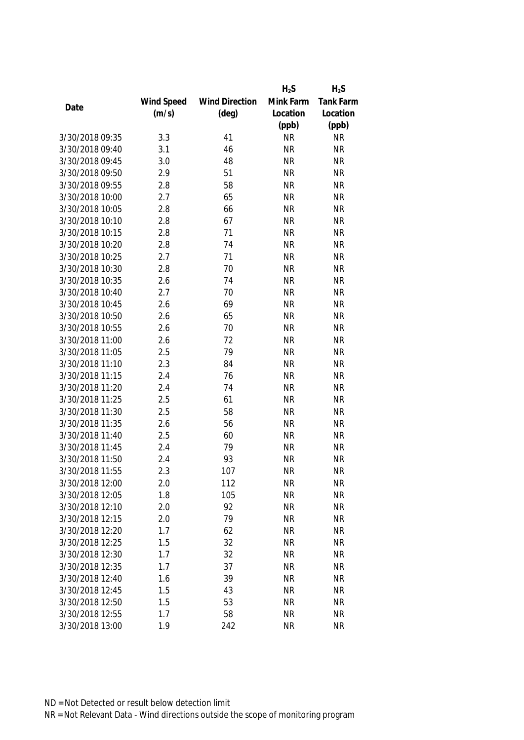|                 |            |                       | $H_2S$    | $H_2S$           |
|-----------------|------------|-----------------------|-----------|------------------|
|                 | Wind Speed | <b>Wind Direction</b> | Mink Farm | <b>Tank Farm</b> |
| Date            | (m/s)      | $(\text{deg})$        | Location  | Location         |
|                 |            |                       | (ppb)     | (ppb)            |
| 3/30/2018 09:35 | 3.3        | 41                    | <b>NR</b> | <b>NR</b>        |
| 3/30/2018 09:40 | 3.1        | 46                    | <b>NR</b> | <b>NR</b>        |
| 3/30/2018 09:45 | 3.0        | 48                    | <b>NR</b> | <b>NR</b>        |
| 3/30/2018 09:50 | 2.9        | 51                    | <b>NR</b> | <b>NR</b>        |
| 3/30/2018 09:55 | 2.8        | 58                    | <b>NR</b> | <b>NR</b>        |
| 3/30/2018 10:00 | 2.7        | 65                    | <b>NR</b> | <b>NR</b>        |
| 3/30/2018 10:05 | 2.8        | 66                    | <b>NR</b> | <b>NR</b>        |
| 3/30/2018 10:10 | 2.8        | 67                    | <b>NR</b> | <b>NR</b>        |
| 3/30/2018 10:15 | 2.8        | 71                    | <b>NR</b> | <b>NR</b>        |
| 3/30/2018 10:20 | 2.8        | 74                    | <b>NR</b> | <b>NR</b>        |
| 3/30/2018 10:25 | 2.7        | 71                    | <b>NR</b> | <b>NR</b>        |
| 3/30/2018 10:30 | 2.8        | 70                    | <b>NR</b> | <b>NR</b>        |
| 3/30/2018 10:35 | 2.6        | 74                    | <b>NR</b> | <b>NR</b>        |
| 3/30/2018 10:40 | 2.7        | 70                    | <b>NR</b> | <b>NR</b>        |
| 3/30/2018 10:45 | 2.6        | 69                    | <b>NR</b> | <b>NR</b>        |
| 3/30/2018 10:50 | 2.6        | 65                    | <b>NR</b> | <b>NR</b>        |
| 3/30/2018 10:55 | 2.6        | 70                    | <b>NR</b> | <b>NR</b>        |
| 3/30/2018 11:00 | 2.6        | 72                    | <b>NR</b> | <b>NR</b>        |
| 3/30/2018 11:05 | 2.5        | 79                    | <b>NR</b> | <b>NR</b>        |
| 3/30/2018 11:10 | 2.3        | 84                    | <b>NR</b> | <b>NR</b>        |
| 3/30/2018 11:15 | 2.4        | 76                    | <b>NR</b> | <b>NR</b>        |
| 3/30/2018 11:20 | 2.4        | 74                    | <b>NR</b> | <b>NR</b>        |
| 3/30/2018 11:25 | 2.5        | 61                    | <b>NR</b> | <b>NR</b>        |
| 3/30/2018 11:30 | 2.5        | 58                    | <b>NR</b> | <b>NR</b>        |
| 3/30/2018 11:35 | 2.6        | 56                    | <b>NR</b> | <b>NR</b>        |
| 3/30/2018 11:40 | 2.5        | 60                    | <b>NR</b> | <b>NR</b>        |
| 3/30/2018 11:45 | 2.4        | 79                    | <b>NR</b> | <b>NR</b>        |
| 3/30/2018 11:50 | 2.4        | 93                    | <b>NR</b> | <b>NR</b>        |
| 3/30/2018 11:55 | 2.3        | 107                   | <b>NR</b> | <b>NR</b>        |
| 3/30/2018 12:00 | 2.0        | 112                   | <b>NR</b> | <b>NR</b>        |
| 3/30/2018 12:05 | 1.8        | 105                   | <b>NR</b> | <b>NR</b>        |
| 3/30/2018 12:10 | 2.0        | 92                    | <b>NR</b> | <b>NR</b>        |
| 3/30/2018 12:15 | 2.0        | 79                    | <b>NR</b> | <b>NR</b>        |
| 3/30/2018 12:20 | 1.7        | 62                    | <b>NR</b> | <b>NR</b>        |
| 3/30/2018 12:25 | 1.5        | 32                    | <b>NR</b> | <b>NR</b>        |
| 3/30/2018 12:30 | 1.7        | 32                    | <b>NR</b> | <b>NR</b>        |
| 3/30/2018 12:35 | 1.7        | 37                    | <b>NR</b> | <b>NR</b>        |
| 3/30/2018 12:40 | 1.6        | 39                    | <b>NR</b> | <b>NR</b>        |
| 3/30/2018 12:45 | 1.5        | 43                    | <b>NR</b> | <b>NR</b>        |
| 3/30/2018 12:50 | 1.5        | 53                    | <b>NR</b> | <b>NR</b>        |
| 3/30/2018 12:55 | 1.7        | 58                    | <b>NR</b> | <b>NR</b>        |
|                 |            |                       |           |                  |
| 3/30/2018 13:00 | 1.9        | 242                   | <b>NR</b> | <b>NR</b>        |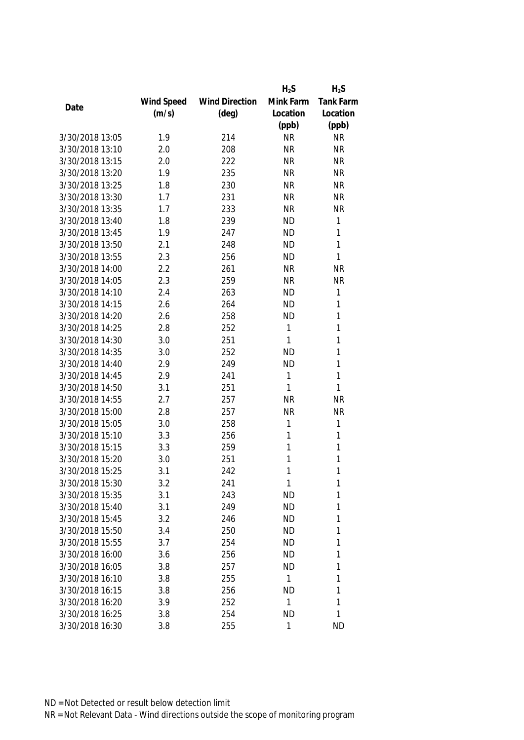|                 |            |                       | $H_2S$    | $H_2S$       |
|-----------------|------------|-----------------------|-----------|--------------|
|                 | Wind Speed | <b>Wind Direction</b> | Mink Farm | Tank Farm    |
| Date            | (m/s)      | $(\text{deg})$        | Location  | Location     |
|                 |            |                       | (ppb)     | (ppb)        |
| 3/30/2018 13:05 | 1.9        | 214                   | <b>NR</b> | <b>NR</b>    |
| 3/30/2018 13:10 | 2.0        | 208                   | <b>NR</b> | <b>NR</b>    |
| 3/30/2018 13:15 | 2.0        | 222                   | <b>NR</b> | <b>NR</b>    |
| 3/30/2018 13:20 | 1.9        | 235                   | <b>NR</b> | <b>NR</b>    |
| 3/30/2018 13:25 | 1.8        | 230                   | <b>NR</b> | <b>NR</b>    |
| 3/30/2018 13:30 | 1.7        | 231                   | <b>NR</b> | <b>NR</b>    |
| 3/30/2018 13:35 | 1.7        | 233                   | <b>NR</b> | <b>NR</b>    |
| 3/30/2018 13:40 | 1.8        | 239                   | <b>ND</b> | $\mathbf{1}$ |
| 3/30/2018 13:45 | 1.9        | 247                   | <b>ND</b> | 1            |
| 3/30/2018 13:50 | 2.1        | 248                   | <b>ND</b> | 1            |
| 3/30/2018 13:55 | 2.3        | 256                   | <b>ND</b> | 1            |
| 3/30/2018 14:00 | 2.2        | 261                   | <b>NR</b> | <b>NR</b>    |
| 3/30/2018 14:05 | 2.3        | 259                   | <b>NR</b> | <b>NR</b>    |
| 3/30/2018 14:10 | 2.4        | 263                   | <b>ND</b> | $\mathbf{1}$ |
| 3/30/2018 14:15 | 2.6        | 264                   | <b>ND</b> | 1            |
| 3/30/2018 14:20 | 2.6        | 258                   | <b>ND</b> | $\mathbf{1}$ |
| 3/30/2018 14:25 | 2.8        | 252                   | 1         | 1            |
| 3/30/2018 14:30 | 3.0        | 251                   | 1         | 1            |
| 3/30/2018 14:35 | 3.0        | 252                   | <b>ND</b> | 1            |
| 3/30/2018 14:40 | 2.9        | 249                   | <b>ND</b> | 1            |
| 3/30/2018 14:45 | 2.9        | 241                   | 1         | 1            |
| 3/30/2018 14:50 | 3.1        | 251                   | 1         | 1            |
| 3/30/2018 14:55 | 2.7        | 257                   | <b>NR</b> | <b>NR</b>    |
| 3/30/2018 15:00 | 2.8        | 257                   | <b>NR</b> | <b>NR</b>    |
| 3/30/2018 15:05 | 3.0        | 258                   | 1         | 1            |
| 3/30/2018 15:10 | 3.3        | 256                   | 1         | 1            |
| 3/30/2018 15:15 | 3.3        | 259                   | 1         | 1            |
| 3/30/2018 15:20 | 3.0        | 251                   | 1         | 1            |
| 3/30/2018 15:25 | 3.1        | 242                   | 1         | 1            |
| 3/30/2018 15:30 | 3.2        | 241                   | 1         | 1            |
| 3/30/2018 15:35 | 3.1        | 243                   | <b>ND</b> | 1            |
| 3/30/2018 15:40 | 3.1        | 249                   | <b>ND</b> | 1            |
| 3/30/2018 15:45 | 3.2        | 246                   | <b>ND</b> | 1            |
| 3/30/2018 15:50 | 3.4        | 250                   | <b>ND</b> | 1            |
| 3/30/2018 15:55 | 3.7        | 254                   | <b>ND</b> | 1            |
| 3/30/2018 16:00 | 3.6        | 256                   | <b>ND</b> | 1            |
| 3/30/2018 16:05 | 3.8        | 257                   | <b>ND</b> | 1            |
| 3/30/2018 16:10 | 3.8        | 255                   | 1         | 1            |
| 3/30/2018 16:15 | 3.8        | 256                   | <b>ND</b> | 1            |
| 3/30/2018 16:20 | 3.9        | 252                   | 1         | 1            |
| 3/30/2018 16:25 | 3.8        | 254                   | <b>ND</b> | 1            |
| 3/30/2018 16:30 | 3.8        | 255                   | 1         | <b>ND</b>    |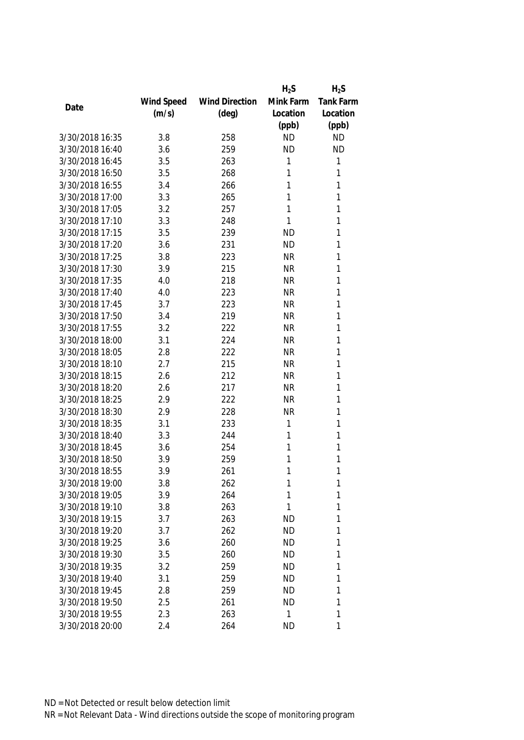|                 |            |                       | $H_2S$    | $H_2S$    |
|-----------------|------------|-----------------------|-----------|-----------|
|                 | Wind Speed | <b>Wind Direction</b> | Mink Farm | Tank Farm |
| Date            | (m/s)      | $(\text{deg})$        | Location  | Location  |
|                 |            |                       | (ppb)     | (ppb)     |
| 3/30/2018 16:35 | 3.8        | 258                   | <b>ND</b> | <b>ND</b> |
| 3/30/2018 16:40 | 3.6        | 259                   | <b>ND</b> | <b>ND</b> |
| 3/30/2018 16:45 | 3.5        | 263                   | 1         | 1         |
| 3/30/2018 16:50 | 3.5        | 268                   | 1         | 1         |
| 3/30/2018 16:55 | 3.4        | 266                   | 1         | 1         |
| 3/30/2018 17:00 | 3.3        | 265                   | 1         | 1         |
| 3/30/2018 17:05 | 3.2        | 257                   | 1         | 1         |
| 3/30/2018 17:10 | 3.3        | 248                   | 1         | 1         |
| 3/30/2018 17:15 | 3.5        | 239                   | <b>ND</b> | 1         |
| 3/30/2018 17:20 | 3.6        | 231                   | <b>ND</b> | 1         |
| 3/30/2018 17:25 | 3.8        | 223                   | <b>NR</b> | 1         |
| 3/30/2018 17:30 | 3.9        | 215                   | <b>NR</b> | 1         |
| 3/30/2018 17:35 | 4.0        | 218                   | <b>NR</b> | 1         |
| 3/30/2018 17:40 | 4.0        | 223                   | <b>NR</b> | 1         |
| 3/30/2018 17:45 | 3.7        | 223                   | <b>NR</b> | 1         |
| 3/30/2018 17:50 | 3.4        | 219                   | <b>NR</b> | 1         |
| 3/30/2018 17:55 | 3.2        | 222                   | <b>NR</b> | 1         |
| 3/30/2018 18:00 | 3.1        | 224                   | <b>NR</b> | 1         |
| 3/30/2018 18:05 | 2.8        | 222                   | <b>NR</b> | 1         |
| 3/30/2018 18:10 | 2.7        | 215                   | <b>NR</b> | 1         |
| 3/30/2018 18:15 | 2.6        | 212                   | <b>NR</b> | 1         |
| 3/30/2018 18:20 | 2.6        | 217                   | <b>NR</b> | 1         |
| 3/30/2018 18:25 | 2.9        | 222                   | <b>NR</b> | 1         |
| 3/30/2018 18:30 | 2.9        | 228                   | <b>NR</b> | 1         |
| 3/30/2018 18:35 | 3.1        | 233                   | 1         | 1         |
| 3/30/2018 18:40 | 3.3        | 244                   | 1         | 1         |
| 3/30/2018 18:45 | 3.6        | 254                   | 1         | 1         |
| 3/30/2018 18:50 | 3.9        | 259                   | 1         | 1         |
| 3/30/2018 18:55 | 3.9        | 261                   | 1         | 1         |
| 3/30/2018 19:00 | 3.8        | 262                   | 1         | 1         |
| 3/30/2018 19:05 | 3.9        | 264                   | 1         | 1         |
| 3/30/2018 19:10 | 3.8        | 263                   | 1         | 1         |
| 3/30/2018 19:15 | 3.7        | 263                   | <b>ND</b> | 1         |
| 3/30/2018 19:20 | 3.7        | 262                   | <b>ND</b> | 1         |
| 3/30/2018 19:25 | 3.6        | 260                   | <b>ND</b> | 1         |
| 3/30/2018 19:30 | 3.5        | 260                   | <b>ND</b> | 1         |
| 3/30/2018 19:35 | 3.2        | 259                   | <b>ND</b> | 1         |
| 3/30/2018 19:40 | 3.1        | 259                   | <b>ND</b> | 1         |
| 3/30/2018 19:45 | 2.8        | 259                   | <b>ND</b> | 1         |
| 3/30/2018 19:50 | 2.5        | 261                   | <b>ND</b> | 1         |
| 3/30/2018 19:55 | 2.3        | 263                   | 1         | 1         |
|                 |            |                       |           | 1         |
| 3/30/2018 20:00 | 2.4        | 264                   | <b>ND</b> |           |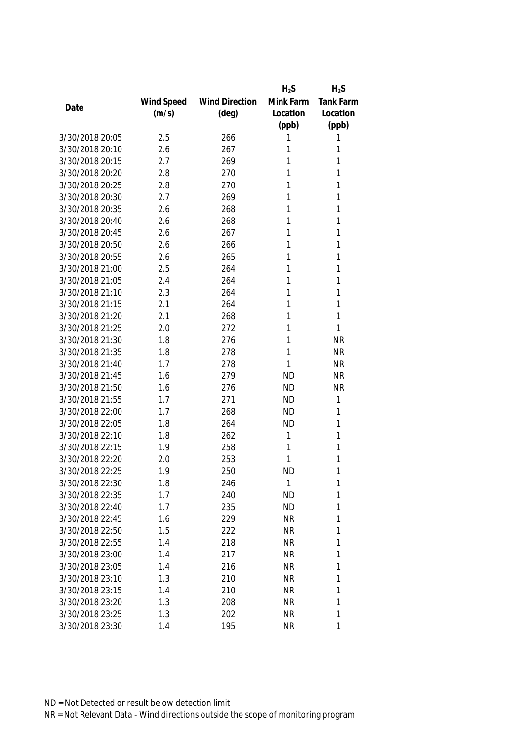|                 |            |                       | $H_2S$    | $H_2S$    |
|-----------------|------------|-----------------------|-----------|-----------|
|                 | Wind Speed | <b>Wind Direction</b> | Mink Farm | Tank Farm |
| Date            | (m/s)      | $(\text{deg})$        | Location  | Location  |
|                 |            |                       | (ppb)     | (ppb)     |
| 3/30/2018 20:05 | 2.5        | 266                   | 1         | 1         |
| 3/30/2018 20:10 | 2.6        | 267                   | 1         | 1         |
| 3/30/2018 20:15 | 2.7        | 269                   | 1         | 1         |
| 3/30/2018 20:20 | 2.8        | 270                   | 1         | 1         |
| 3/30/2018 20:25 | 2.8        | 270                   | 1         | 1         |
| 3/30/2018 20:30 | 2.7        | 269                   | 1         | 1         |
| 3/30/2018 20:35 | 2.6        | 268                   | 1         | 1         |
| 3/30/2018 20:40 | 2.6        | 268                   | 1         | 1         |
| 3/30/2018 20:45 | 2.6        | 267                   | 1         | 1         |
| 3/30/2018 20:50 | 2.6        | 266                   | 1         | 1         |
| 3/30/2018 20:55 | 2.6        | 265                   | 1         | 1         |
| 3/30/2018 21:00 | 2.5        | 264                   | 1         | 1         |
| 3/30/2018 21:05 | 2.4        | 264                   | 1         | 1         |
| 3/30/2018 21:10 | 2.3        | 264                   | 1         | 1         |
| 3/30/2018 21:15 | 2.1        | 264                   | 1         | 1         |
| 3/30/2018 21:20 | 2.1        | 268                   | 1         | 1         |
| 3/30/2018 21:25 | 2.0        | 272                   | 1         | 1         |
| 3/30/2018 21:30 | 1.8        | 276                   | 1         | <b>NR</b> |
| 3/30/2018 21:35 | 1.8        | 278                   | 1         | <b>NR</b> |
| 3/30/2018 21:40 | 1.7        | 278                   | 1         | <b>NR</b> |
| 3/30/2018 21:45 | 1.6        | 279                   | <b>ND</b> | <b>NR</b> |
| 3/30/2018 21:50 | 1.6        | 276                   | <b>ND</b> | <b>NR</b> |
| 3/30/2018 21:55 | 1.7        | 271                   | <b>ND</b> | 1         |
| 3/30/2018 22:00 | 1.7        | 268                   | <b>ND</b> | 1         |
| 3/30/2018 22:05 | 1.8        | 264                   | <b>ND</b> | 1         |
| 3/30/2018 22:10 | 1.8        | 262                   | 1         | 1         |
| 3/30/2018 22:15 | 1.9        | 258                   | 1         | 1         |
| 3/30/2018 22:20 | 2.0        | 253                   | 1         | 1         |
| 3/30/2018 22:25 | 1.9        | 250                   | <b>ND</b> | 1         |
| 3/30/2018 22:30 | 1.8        | 246                   | 1         | 1         |
| 3/30/2018 22:35 | 1.7        | 240                   | <b>ND</b> | 1         |
| 3/30/2018 22:40 | 1.7        | 235                   | <b>ND</b> | 1         |
| 3/30/2018 22:45 | 1.6        | 229                   | <b>NR</b> | 1         |
| 3/30/2018 22:50 | 1.5        | 222                   | NR        | 1         |
| 3/30/2018 22:55 | 1.4        | 218                   | <b>NR</b> | 1         |
| 3/30/2018 23:00 | 1.4        | 217                   | <b>NR</b> | 1         |
| 3/30/2018 23:05 | 1.4        | 216                   | <b>NR</b> | 1         |
| 3/30/2018 23:10 | 1.3        | 210                   | NR        | 1         |
| 3/30/2018 23:15 | 1.4        | 210                   | <b>NR</b> | 1         |
| 3/30/2018 23:20 | 1.3        | 208                   | NR        | 1         |
| 3/30/2018 23:25 | 1.3        | 202                   | <b>NR</b> | 1         |
|                 |            |                       |           | 1         |
| 3/30/2018 23:30 | 1.4        | 195                   | <b>NR</b> |           |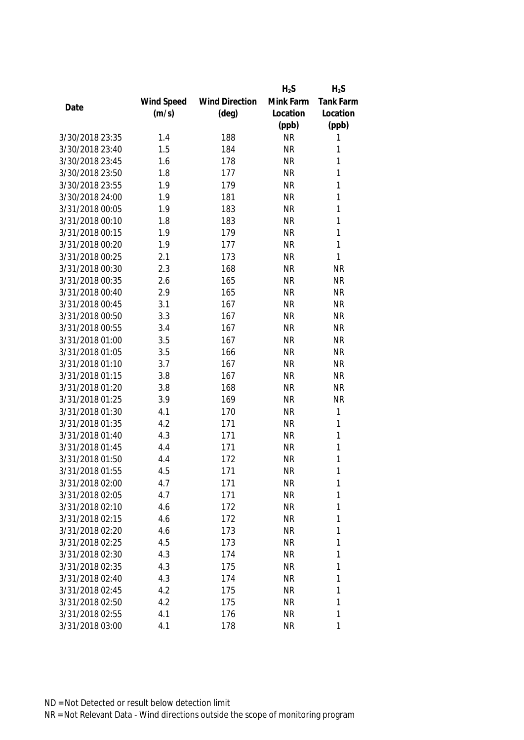|                 |            |                       | $H_2S$    | $H_2S$       |
|-----------------|------------|-----------------------|-----------|--------------|
|                 | Wind Speed | <b>Wind Direction</b> | Mink Farm | Tank Farm    |
| Date            | (m/s)      | $(\text{deg})$        | Location  | Location     |
|                 |            |                       | (ppb)     | (ppb)        |
| 3/30/2018 23:35 | 1.4        | 188                   | <b>NR</b> | 1            |
| 3/30/2018 23:40 | 1.5        | 184                   | <b>NR</b> | 1            |
| 3/30/2018 23:45 | 1.6        | 178                   | <b>NR</b> | 1            |
| 3/30/2018 23:50 | 1.8        | 177                   | <b>NR</b> | 1            |
| 3/30/2018 23:55 | 1.9        | 179                   | <b>NR</b> | $\mathbf{1}$ |
| 3/30/2018 24:00 | 1.9        | 181                   | <b>NR</b> | 1            |
| 3/31/2018 00:05 | 1.9        | 183                   | <b>NR</b> | 1            |
| 3/31/2018 00:10 | 1.8        | 183                   | <b>NR</b> | $\mathbf{1}$ |
| 3/31/2018 00:15 | 1.9        | 179                   | <b>NR</b> | $\mathbf{1}$ |
| 3/31/2018 00:20 | 1.9        | 177                   | <b>NR</b> | $\mathbf{1}$ |
| 3/31/2018 00:25 | 2.1        | 173                   | <b>NR</b> | 1            |
| 3/31/2018 00:30 | 2.3        | 168                   | <b>NR</b> | <b>NR</b>    |
| 3/31/2018 00:35 | 2.6        | 165                   | <b>NR</b> | <b>NR</b>    |
| 3/31/2018 00:40 | 2.9        | 165                   | <b>NR</b> | <b>NR</b>    |
| 3/31/2018 00:45 | 3.1        | 167                   | <b>NR</b> | <b>NR</b>    |
| 3/31/2018 00:50 | 3.3        | 167                   | <b>NR</b> | <b>NR</b>    |
| 3/31/2018 00:55 | 3.4        | 167                   | <b>NR</b> | <b>NR</b>    |
| 3/31/2018 01:00 | 3.5        | 167                   | <b>NR</b> | <b>NR</b>    |
| 3/31/2018 01:05 | 3.5        | 166                   | <b>NR</b> | <b>NR</b>    |
| 3/31/2018 01:10 | 3.7        | 167                   | <b>NR</b> | <b>NR</b>    |
| 3/31/2018 01:15 | 3.8        | 167                   | <b>NR</b> | <b>NR</b>    |
| 3/31/2018 01:20 | 3.8        | 168                   | <b>NR</b> | <b>NR</b>    |
| 3/31/2018 01:25 | 3.9        | 169                   | <b>NR</b> | <b>NR</b>    |
| 3/31/2018 01:30 | 4.1        | 170                   | <b>NR</b> | $\mathbf{1}$ |
| 3/31/2018 01:35 | 4.2        | 171                   | <b>NR</b> | 1            |
| 3/31/2018 01:40 | 4.3        | 171                   | <b>NR</b> | 1            |
| 3/31/2018 01:45 | 4.4        | 171                   | <b>NR</b> | 1            |
| 3/31/2018 01:50 | 4.4        | 172                   | <b>NR</b> | 1            |
| 3/31/2018 01:55 | 4.5        | 171                   | <b>NR</b> | 1            |
| 3/31/2018 02:00 | 4.7        | 171                   | <b>NR</b> | 1            |
| 3/31/2018 02:05 | 4.7        | 171                   | <b>NR</b> | 1            |
| 3/31/2018 02:10 | 4.6        | 172                   | <b>NR</b> | 1            |
| 3/31/2018 02:15 | 4.6        | 172                   | <b>NR</b> | 1            |
| 3/31/2018 02:20 | 4.6        | 173                   | NR        | 1            |
| 3/31/2018 02:25 | 4.5        | 173                   | <b>NR</b> | 1            |
| 3/31/2018 02:30 | 4.3        | 174                   | <b>NR</b> | 1            |
| 3/31/2018 02:35 | 4.3        | 175                   | <b>NR</b> | 1            |
| 3/31/2018 02:40 | 4.3        | 174                   | <b>NR</b> | 1            |
| 3/31/2018 02:45 | 4.2        | 175                   | <b>NR</b> | 1            |
| 3/31/2018 02:50 | 4.2        | 175                   | <b>NR</b> | 1            |
| 3/31/2018 02:55 | 4.1        | 176                   | <b>NR</b> | 1            |
| 3/31/2018 03:00 | 4.1        | 178                   | <b>NR</b> | 1            |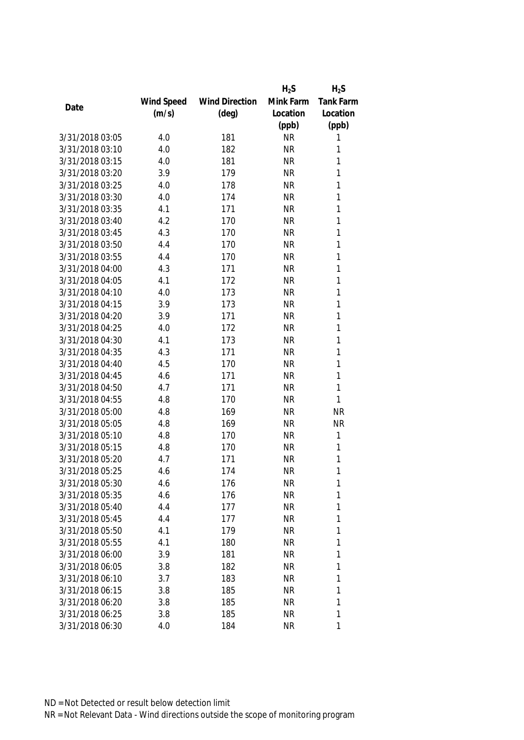|                 |            |                       | $H_2S$    | $H_2S$       |
|-----------------|------------|-----------------------|-----------|--------------|
|                 | Wind Speed | <b>Wind Direction</b> | Mink Farm | Tank Farm    |
| Date            | (m/s)      | $(\text{deg})$        | Location  | Location     |
|                 |            |                       | (ppb)     | (ppb)        |
| 3/31/2018 03:05 | 4.0        | 181                   | <b>NR</b> | 1            |
| 3/31/2018 03:10 | 4.0        | 182                   | <b>NR</b> | 1            |
| 3/31/2018 03:15 | 4.0        | 181                   | <b>NR</b> | 1            |
| 3/31/2018 03:20 | 3.9        | 179                   | <b>NR</b> | 1            |
| 3/31/2018 03:25 | 4.0        | 178                   | <b>NR</b> | 1            |
| 3/31/2018 03:30 | 4.0        | 174                   | <b>NR</b> | 1            |
| 3/31/2018 03:35 | 4.1        | 171                   | <b>NR</b> | 1            |
| 3/31/2018 03:40 | 4.2        | 170                   | <b>NR</b> | 1            |
| 3/31/2018 03:45 | 4.3        | 170                   | <b>NR</b> | 1            |
| 3/31/2018 03:50 | 4.4        | 170                   | <b>NR</b> | 1            |
| 3/31/2018 03:55 | 4.4        | 170                   | <b>NR</b> | 1            |
| 3/31/2018 04:00 | 4.3        | 171                   | <b>NR</b> | 1            |
| 3/31/2018 04:05 | 4.1        | 172                   | <b>NR</b> | 1            |
| 3/31/2018 04:10 | 4.0        | 173                   | <b>NR</b> | 1            |
| 3/31/2018 04:15 | 3.9        | 173                   | <b>NR</b> | $\mathbf{1}$ |
| 3/31/2018 04:20 | 3.9        | 171                   | <b>NR</b> | $\mathbf{1}$ |
| 3/31/2018 04:25 | 4.0        | 172                   | <b>NR</b> | 1            |
| 3/31/2018 04:30 | 4.1        | 173                   | <b>NR</b> | 1            |
| 3/31/2018 04:35 | 4.3        | 171                   | <b>NR</b> | $\mathbf{1}$ |
| 3/31/2018 04:40 | 4.5        | 170                   | <b>NR</b> | 1            |
| 3/31/2018 04:45 | 4.6        | 171                   | <b>NR</b> | $\mathbf{1}$ |
| 3/31/2018 04:50 | 4.7        | 171                   | <b>NR</b> | 1            |
| 3/31/2018 04:55 | 4.8        | 170                   | <b>NR</b> | 1            |
| 3/31/2018 05:00 | 4.8        | 169                   | <b>NR</b> | <b>NR</b>    |
| 3/31/2018 05:05 | 4.8        | 169                   | <b>NR</b> | <b>NR</b>    |
| 3/31/2018 05:10 | 4.8        | 170                   | <b>NR</b> | 1            |
| 3/31/2018 05:15 | 4.8        | 170                   | <b>NR</b> | 1            |
| 3/31/2018 05:20 | 4.7        | 171                   | <b>NR</b> | 1            |
| 3/31/2018 05:25 | 4.6        | 174                   | <b>NR</b> | 1            |
| 3/31/2018 05:30 | 4.6        | 176                   | <b>NR</b> | 1            |
| 3/31/2018 05:35 | 4.6        | 176                   | <b>NR</b> | 1            |
| 3/31/2018 05:40 | 4.4        | 177                   | <b>NR</b> | 1            |
| 3/31/2018 05:45 | 4.4        | 177                   | <b>NR</b> | 1            |
| 3/31/2018 05:50 | 4.1        | 179                   | NR        | 1            |
| 3/31/2018 05:55 | 4.1        | 180                   | <b>NR</b> | 1            |
| 3/31/2018 06:00 | 3.9        | 181                   | <b>NR</b> | 1            |
| 3/31/2018 06:05 | 3.8        | 182                   | <b>NR</b> | 1            |
| 3/31/2018 06:10 | 3.7        | 183                   | NR        | 1            |
| 3/31/2018 06:15 | 3.8        | 185                   | <b>NR</b> | 1            |
| 3/31/2018 06:20 | 3.8        | 185                   | NR        | 1            |
| 3/31/2018 06:25 | 3.8        | 185                   | <b>NR</b> | 1            |
| 3/31/2018 06:30 | 4.0        | 184                   | <b>NR</b> | 1            |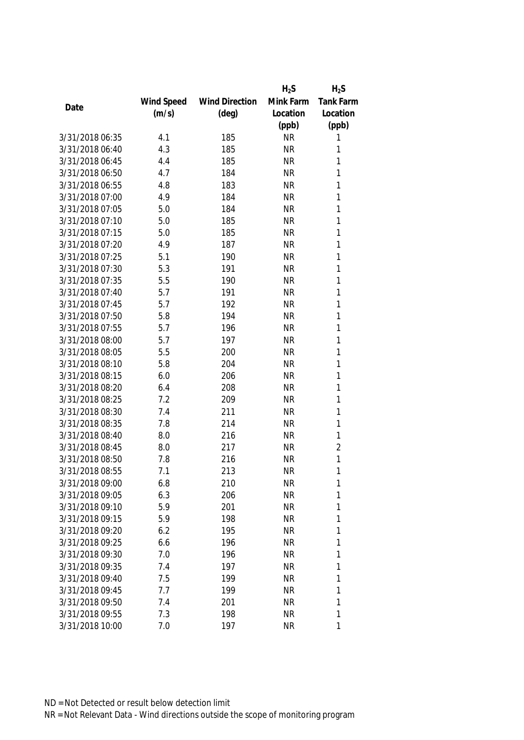|                 |            |                       | $H_2S$    | $H_2S$         |
|-----------------|------------|-----------------------|-----------|----------------|
|                 | Wind Speed | <b>Wind Direction</b> | Mink Farm | Tank Farm      |
| Date            | (m/s)      | $(\text{deg})$        | Location  | Location       |
|                 |            |                       | (ppb)     | (ppb)          |
| 3/31/2018 06:35 | 4.1        | 185                   | <b>NR</b> | 1              |
| 3/31/2018 06:40 | 4.3        | 185                   | <b>NR</b> | 1              |
| 3/31/2018 06:45 | 4.4        | 185                   | <b>NR</b> | 1              |
| 3/31/2018 06:50 | 4.7        | 184                   | <b>NR</b> | 1              |
| 3/31/2018 06:55 | 4.8        | 183                   | <b>NR</b> | 1              |
| 3/31/2018 07:00 | 4.9        | 184                   | <b>NR</b> | 1              |
| 3/31/2018 07:05 | 5.0        | 184                   | <b>NR</b> | 1              |
| 3/31/2018 07:10 | 5.0        | 185                   | <b>NR</b> | 1              |
| 3/31/2018 07:15 | 5.0        | 185                   | <b>NR</b> | 1              |
| 3/31/2018 07:20 | 4.9        | 187                   | <b>NR</b> | 1              |
| 3/31/2018 07:25 | 5.1        | 190                   | <b>NR</b> | 1              |
| 3/31/2018 07:30 | 5.3        | 191                   | <b>NR</b> | 1              |
| 3/31/2018 07:35 | 5.5        | 190                   | <b>NR</b> | 1              |
| 3/31/2018 07:40 | 5.7        | 191                   | <b>NR</b> | 1              |
| 3/31/2018 07:45 | 5.7        | 192                   | <b>NR</b> | 1              |
| 3/31/2018 07:50 | 5.8        | 194                   | <b>NR</b> | $\mathbf{1}$   |
| 3/31/2018 07:55 | 5.7        | 196                   | <b>NR</b> | 1              |
| 3/31/2018 08:00 | 5.7        | 197                   | <b>NR</b> | 1              |
| 3/31/2018 08:05 | 5.5        | 200                   | <b>NR</b> | 1              |
| 3/31/2018 08:10 | 5.8        | 204                   | <b>NR</b> | 1              |
| 3/31/2018 08:15 | 6.0        | 206                   | <b>NR</b> | 1              |
| 3/31/2018 08:20 | 6.4        | 208                   | <b>NR</b> | 1              |
| 3/31/2018 08:25 | 7.2        | 209                   | <b>NR</b> | $\mathbf{1}$   |
| 3/31/2018 08:30 | 7.4        | 211                   | <b>NR</b> | 1              |
| 3/31/2018 08:35 | 7.8        | 214                   | <b>NR</b> | 1              |
| 3/31/2018 08:40 | 8.0        | 216                   | <b>NR</b> | 1              |
| 3/31/2018 08:45 | 8.0        | 217                   | <b>NR</b> | $\overline{2}$ |
| 3/31/2018 08:50 | 7.8        | 216                   | <b>NR</b> | 1              |
| 3/31/2018 08:55 | 7.1        | 213                   | <b>NR</b> | 1              |
| 3/31/2018 09:00 | 6.8        | 210                   | <b>NR</b> | 1              |
| 3/31/2018 09:05 | 6.3        | 206                   | <b>NR</b> | 1              |
| 3/31/2018 09:10 | 5.9        | 201                   | <b>NR</b> | 1              |
| 3/31/2018 09:15 | 5.9        | 198                   | <b>NR</b> | 1              |
| 3/31/2018 09:20 | 6.2        | 195                   | NR        | 1              |
| 3/31/2018 09:25 | 6.6        | 196                   | <b>NR</b> | 1              |
| 3/31/2018 09:30 | 7.0        | 196                   | <b>NR</b> | 1              |
| 3/31/2018 09:35 | 7.4        | 197                   | <b>NR</b> | 1              |
| 3/31/2018 09:40 | 7.5        | 199                   | <b>NR</b> | 1              |
| 3/31/2018 09:45 | 7.7        | 199                   | <b>NR</b> | 1              |
| 3/31/2018 09:50 | 7.4        | 201                   | <b>NR</b> | 1              |
| 3/31/2018 09:55 | 7.3        | 198                   | <b>NR</b> | 1              |
| 3/31/2018 10:00 | 7.0        | 197                   | <b>NR</b> | 1              |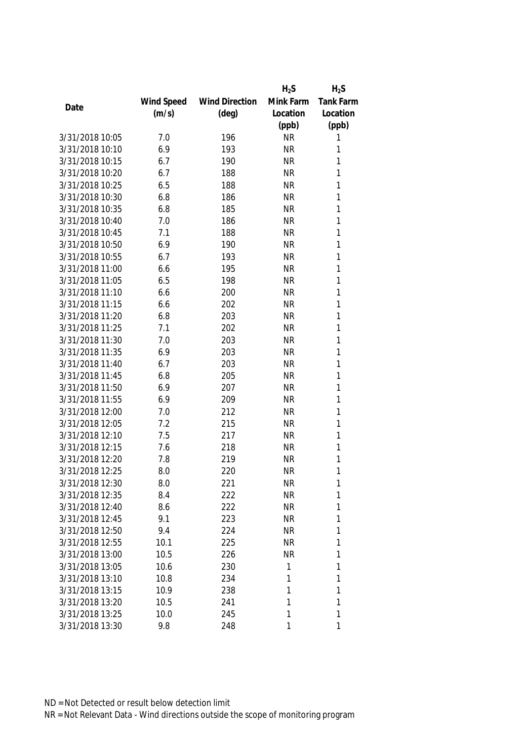|                 |            |                       | $H_2S$    | $H_2S$       |
|-----------------|------------|-----------------------|-----------|--------------|
|                 | Wind Speed | <b>Wind Direction</b> | Mink Farm | Tank Farm    |
| Date            | (m/s)      | $(\text{deg})$        | Location  | Location     |
|                 |            |                       | (ppb)     | (ppb)        |
| 3/31/2018 10:05 | 7.0        | 196                   | <b>NR</b> | 1            |
| 3/31/2018 10:10 | 6.9        | 193                   | <b>NR</b> | 1            |
| 3/31/2018 10:15 | 6.7        | 190                   | <b>NR</b> | 1            |
| 3/31/2018 10:20 | 6.7        | 188                   | <b>NR</b> | 1            |
| 3/31/2018 10:25 | 6.5        | 188                   | <b>NR</b> | 1            |
| 3/31/2018 10:30 | 6.8        | 186                   | <b>NR</b> | 1            |
| 3/31/2018 10:35 | 6.8        | 185                   | <b>NR</b> | 1            |
| 3/31/2018 10:40 | 7.0        | 186                   | <b>NR</b> | 1            |
| 3/31/2018 10:45 | 7.1        | 188                   | <b>NR</b> | 1            |
| 3/31/2018 10:50 | 6.9        | 190                   | <b>NR</b> | 1            |
| 3/31/2018 10:55 | 6.7        | 193                   | <b>NR</b> | 1            |
| 3/31/2018 11:00 | 6.6        | 195                   | <b>NR</b> | 1            |
| 3/31/2018 11:05 | 6.5        | 198                   | <b>NR</b> | 1            |
| 3/31/2018 11:10 | 6.6        | 200                   | <b>NR</b> | 1            |
| 3/31/2018 11:15 | 6.6        | 202                   | <b>NR</b> | 1            |
| 3/31/2018 11:20 | 6.8        | 203                   | <b>NR</b> | $\mathbf{1}$ |
| 3/31/2018 11:25 | 7.1        | 202                   | <b>NR</b> | 1            |
| 3/31/2018 11:30 | 7.0        | 203                   | <b>NR</b> | 1            |
| 3/31/2018 11:35 | 6.9        | 203                   | <b>NR</b> | 1            |
| 3/31/2018 11:40 | 6.7        | 203                   | <b>NR</b> | 1            |
| 3/31/2018 11:45 | 6.8        | 205                   | <b>NR</b> | 1            |
| 3/31/2018 11:50 | 6.9        | 207                   | <b>NR</b> | 1            |
| 3/31/2018 11:55 | 6.9        | 209                   | <b>NR</b> | $\mathbf{1}$ |
| 3/31/2018 12:00 | 7.0        | 212                   | <b>NR</b> | 1            |
| 3/31/2018 12:05 | 7.2        | 215                   | <b>NR</b> | 1            |
| 3/31/2018 12:10 | 7.5        | 217                   | <b>NR</b> | 1            |
| 3/31/2018 12:15 | 7.6        | 218                   | <b>NR</b> | 1            |
| 3/31/2018 12:20 | 7.8        | 219                   | <b>NR</b> | 1            |
| 3/31/2018 12:25 | 8.0        | 220                   | <b>NR</b> | 1            |
| 3/31/2018 12:30 | 8.0        | 221                   | <b>NR</b> | 1            |
| 3/31/2018 12:35 | 8.4        | 222                   | <b>NR</b> | 1            |
| 3/31/2018 12:40 | 8.6        | 222                   | <b>NR</b> | 1            |
| 3/31/2018 12:45 | 9.1        | 223                   | <b>NR</b> | 1            |
| 3/31/2018 12:50 | 9.4        | 224                   | <b>NR</b> | 1            |
| 3/31/2018 12:55 | 10.1       | 225                   | <b>NR</b> | 1            |
| 3/31/2018 13:00 | 10.5       | 226                   | <b>NR</b> | 1            |
| 3/31/2018 13:05 | 10.6       | 230                   | 1         | 1            |
| 3/31/2018 13:10 | 10.8       | 234                   | 1         | 1            |
| 3/31/2018 13:15 | 10.9       | 238                   | 1         | 1            |
| 3/31/2018 13:20 | 10.5       | 241                   | 1         | 1            |
| 3/31/2018 13:25 | 10.0       | 245                   | 1         | 1            |
| 3/31/2018 13:30 | 9.8        | 248                   | 1         | 1            |
|                 |            |                       |           |              |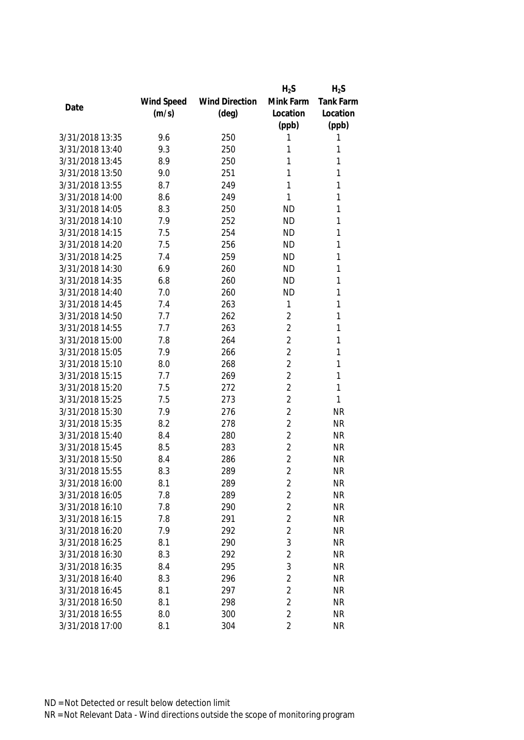|                 |            |                       | $H_2S$         | $H_2S$           |
|-----------------|------------|-----------------------|----------------|------------------|
|                 | Wind Speed | <b>Wind Direction</b> | Mink Farm      | <b>Tank Farm</b> |
| Date            | (m/s)      | $(\text{deg})$        | Location       | Location         |
|                 |            |                       | (ppb)          | (ppb)            |
| 3/31/2018 13:35 | 9.6        | 250                   | 1              | 1                |
| 3/31/2018 13:40 | 9.3        | 250                   | 1              | 1                |
| 3/31/2018 13:45 | 8.9        | 250                   | 1              | 1                |
| 3/31/2018 13:50 | 9.0        | 251                   | 1              | 1                |
| 3/31/2018 13:55 | 8.7        | 249                   | 1              | 1                |
| 3/31/2018 14:00 | 8.6        | 249                   | 1              | 1                |
| 3/31/2018 14:05 | 8.3        | 250                   | <b>ND</b>      | 1                |
| 3/31/2018 14:10 | 7.9        | 252                   | <b>ND</b>      | 1                |
| 3/31/2018 14:15 | 7.5        | 254                   | <b>ND</b>      | 1                |
| 3/31/2018 14:20 | 7.5        | 256                   | <b>ND</b>      | 1                |
| 3/31/2018 14:25 | 7.4        | 259                   | <b>ND</b>      | 1                |
| 3/31/2018 14:30 | 6.9        | 260                   | <b>ND</b>      | 1                |
| 3/31/2018 14:35 | 6.8        | 260                   | <b>ND</b>      | 1                |
| 3/31/2018 14:40 | 7.0        | 260                   | <b>ND</b>      | 1                |
| 3/31/2018 14:45 | 7.4        | 263                   | 1              | 1                |
| 3/31/2018 14:50 | 7.7        | 262                   | $\overline{2}$ | 1                |
| 3/31/2018 14:55 | 7.7        | 263                   | $\overline{2}$ | 1                |
| 3/31/2018 15:00 | 7.8        | 264                   | $\overline{2}$ | 1                |
| 3/31/2018 15:05 | 7.9        | 266                   | $\overline{2}$ | 1                |
| 3/31/2018 15:10 | 8.0        | 268                   | $\overline{2}$ | 1                |
| 3/31/2018 15:15 | 7.7        | 269                   | $\overline{2}$ | 1                |
| 3/31/2018 15:20 | 7.5        | 272                   | $\overline{2}$ | 1                |
| 3/31/2018 15:25 | 7.5        | 273                   | $\overline{2}$ | 1                |
| 3/31/2018 15:30 | 7.9        | 276                   | $\overline{2}$ | <b>NR</b>        |
| 3/31/2018 15:35 | 8.2        | 278                   | $\overline{2}$ | <b>NR</b>        |
| 3/31/2018 15:40 | 8.4        | 280                   | $\overline{2}$ | <b>NR</b>        |
| 3/31/2018 15:45 | 8.5        | 283                   | $\overline{2}$ | <b>NR</b>        |
| 3/31/2018 15:50 | 8.4        | 286                   | $\overline{2}$ | <b>NR</b>        |
| 3/31/2018 15:55 | 8.3        | 289                   | $\overline{2}$ | <b>NR</b>        |
| 3/31/2018 16:00 | 8.1        | 289                   | 2              | <b>NR</b>        |
| 3/31/2018 16:05 | 7.8        | 289                   | $\overline{c}$ | <b>NR</b>        |
| 3/31/2018 16:10 | 7.8        | 290                   | $\overline{2}$ | <b>NR</b>        |
| 3/31/2018 16:15 | 7.8        | 291                   | $\overline{2}$ | <b>NR</b>        |
| 3/31/2018 16:20 | 7.9        | 292                   | $\overline{2}$ | <b>NR</b>        |
| 3/31/2018 16:25 | 8.1        | 290                   | 3              | <b>NR</b>        |
| 3/31/2018 16:30 | 8.3        | 292                   | $\overline{2}$ | <b>NR</b>        |
| 3/31/2018 16:35 | 8.4        | 295                   | 3              | <b>NR</b>        |
| 3/31/2018 16:40 | 8.3        | 296                   | $\overline{2}$ | <b>NR</b>        |
| 3/31/2018 16:45 | 8.1        | 297                   | $\overline{2}$ | <b>NR</b>        |
| 3/31/2018 16:50 | 8.1        | 298                   | $\overline{2}$ | <b>NR</b>        |
| 3/31/2018 16:55 | 8.0        | 300                   | $\overline{2}$ | <b>NR</b>        |
| 3/31/2018 17:00 | 8.1        | 304                   | 2              | <b>NR</b>        |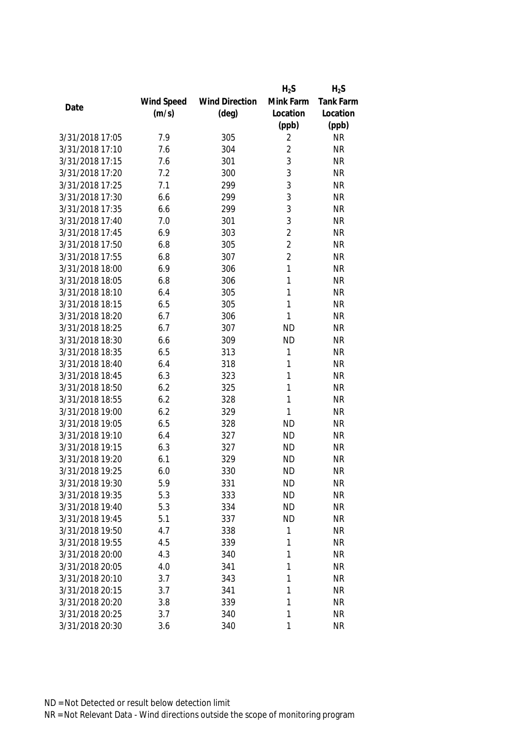|                 |            |                       | $H_2S$         | $H_2S$           |
|-----------------|------------|-----------------------|----------------|------------------|
|                 | Wind Speed | <b>Wind Direction</b> | Mink Farm      | <b>Tank Farm</b> |
| Date            | (m/s)      | $(\text{deg})$        | Location       | Location         |
|                 |            |                       | (ppb)          | (ppb)            |
| 3/31/2018 17:05 | 7.9        | 305                   | 2              | <b>NR</b>        |
| 3/31/2018 17:10 | 7.6        | 304                   | $\overline{2}$ | <b>NR</b>        |
| 3/31/2018 17:15 | 7.6        | 301                   | 3              | <b>NR</b>        |
| 3/31/2018 17:20 | 7.2        | 300                   | 3              | <b>NR</b>        |
| 3/31/2018 17:25 | 7.1        | 299                   | 3              | <b>NR</b>        |
| 3/31/2018 17:30 | 6.6        | 299                   | 3              | <b>NR</b>        |
| 3/31/2018 17:35 | 6.6        | 299                   | 3              | <b>NR</b>        |
| 3/31/2018 17:40 | 7.0        | 301                   | 3              | <b>NR</b>        |
| 3/31/2018 17:45 | 6.9        | 303                   | $\overline{2}$ | <b>NR</b>        |
| 3/31/2018 17:50 | 6.8        | 305                   | $\overline{2}$ | <b>NR</b>        |
| 3/31/2018 17:55 | 6.8        | 307                   | $\overline{2}$ | <b>NR</b>        |
| 3/31/2018 18:00 | 6.9        | 306                   | 1              | <b>NR</b>        |
| 3/31/2018 18:05 | 6.8        | 306                   | 1              | <b>NR</b>        |
| 3/31/2018 18:10 | 6.4        | 305                   | 1              | <b>NR</b>        |
| 3/31/2018 18:15 | 6.5        | 305                   | 1              | <b>NR</b>        |
| 3/31/2018 18:20 | 6.7        | 306                   | 1              | <b>NR</b>        |
| 3/31/2018 18:25 | 6.7        | 307                   | <b>ND</b>      | <b>NR</b>        |
| 3/31/2018 18:30 | 6.6        | 309                   | <b>ND</b>      | <b>NR</b>        |
| 3/31/2018 18:35 | 6.5        | 313                   | 1              | <b>NR</b>        |
| 3/31/2018 18:40 | 6.4        | 318                   | 1              | <b>NR</b>        |
| 3/31/2018 18:45 | 6.3        | 323                   | 1              | <b>NR</b>        |
| 3/31/2018 18:50 | 6.2        | 325                   | 1              | <b>NR</b>        |
| 3/31/2018 18:55 | 6.2        | 328                   | 1              | <b>NR</b>        |
| 3/31/2018 19:00 | 6.2        | 329                   | 1              | <b>NR</b>        |
| 3/31/2018 19:05 | 6.5        | 328                   | <b>ND</b>      | <b>NR</b>        |
| 3/31/2018 19:10 | 6.4        | 327                   | <b>ND</b>      | <b>NR</b>        |
| 3/31/2018 19:15 | 6.3        | 327                   | <b>ND</b>      | <b>NR</b>        |
| 3/31/2018 19:20 | 6.1        | 329                   | <b>ND</b>      | <b>NR</b>        |
| 3/31/2018 19:25 | 6.0        | 330                   | <b>ND</b>      | <b>NR</b>        |
| 3/31/2018 19:30 | 5.9        | 331                   | <b>ND</b>      | <b>NR</b>        |
| 3/31/2018 19:35 | 5.3        | 333                   | <b>ND</b>      | <b>NR</b>        |
| 3/31/2018 19:40 | 5.3        | 334                   | <b>ND</b>      | <b>NR</b>        |
| 3/31/2018 19:45 | 5.1        | 337                   | <b>ND</b>      | <b>NR</b>        |
| 3/31/2018 19:50 | 4.7        | 338                   | 1              | <b>NR</b>        |
| 3/31/2018 19:55 | 4.5        | 339                   | 1              | <b>NR</b>        |
| 3/31/2018 20:00 | 4.3        | 340                   | 1              | <b>NR</b>        |
| 3/31/2018 20:05 | 4.0        | 341                   | 1              | <b>NR</b>        |
| 3/31/2018 20:10 | 3.7        | 343                   | 1              | <b>NR</b>        |
| 3/31/2018 20:15 | 3.7        | 341                   | 1              | <b>NR</b>        |
| 3/31/2018 20:20 | 3.8        | 339                   | 1              | <b>NR</b>        |
| 3/31/2018 20:25 | 3.7        | 340                   | 1              | <b>NR</b>        |
| 3/31/2018 20:30 | 3.6        | 340                   | 1              | <b>NR</b>        |